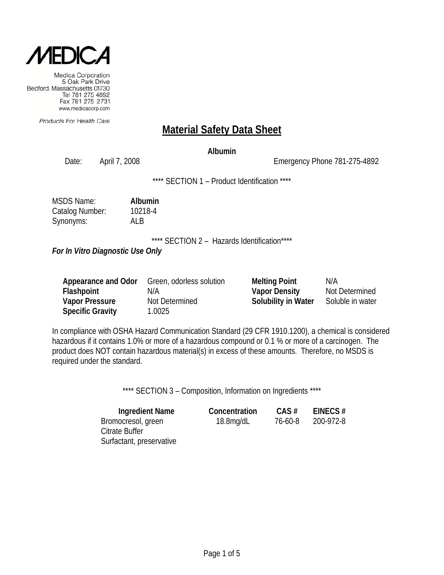

Products For Health Care

# **Material Safety Data Sheet**

### **Albumin**

Date: April 7, 2008 Emergency Phone 781-275-4892

\*\*\*\* SECTION 1 - Product Identification \*\*\*\*

| <b>MSDS Name:</b> | Albumin |
|-------------------|---------|
| Catalog Number:   | 10218-4 |
| Synonyms:         | AI B    |

\*\*\*\* SECTION 2 - Hazards Identification\*\*\*\*

*For In Vitro Diagnostic Use Only*

Surfactant, preservative

| Appearance and Odor     | Green, odorless solution | <b>Melting Point</b> | N/A              |
|-------------------------|--------------------------|----------------------|------------------|
| Flashpoint              | N/A                      | <b>Vapor Density</b> | Not Determined   |
| <b>Vapor Pressure</b>   | Not Determined           | Solubility in Water  | Soluble in water |
| <b>Specific Gravity</b> | 1.0025                   |                      |                  |

In compliance with OSHA Hazard Communication Standard (29 CFR 1910.1200), a chemical is considered hazardous if it contains 1.0% or more of a hazardous compound or 0.1 % or more of a carcinogen. The product does NOT contain hazardous material(s) in excess of these amounts. Therefore, no MSDS is required under the standard.

\*\*\*\* SECTION 3 - Composition, Information on Ingredients \*\*\*\*

| Ingredient Name    | Concentration | CAS#    | EINECS#   |
|--------------------|---------------|---------|-----------|
| Bromocresol, green | $18.8$ mg/dL  | 76-60-8 | 200-972-8 |
| Citrate Buffer     |               |         |           |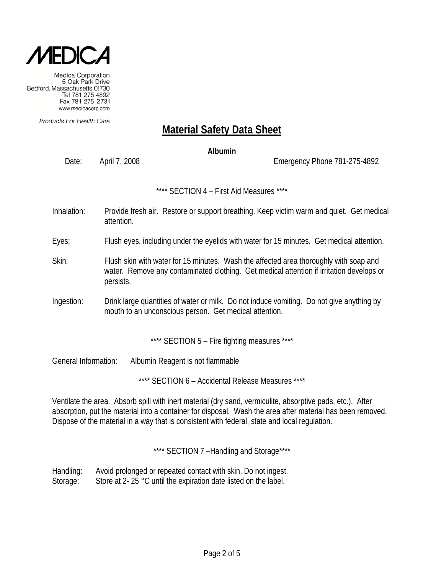

Products For Health Care

# **Material Safety Data Sheet**

#### **Albumin**

Date: April 7, 2008 Emergency Phone 781-275-4892

\*\*\*\* SECTION 4 – First Aid Measures \*\*\*\*

- Inhalation: Provide fresh air. Restore or support breathing. Keep victim warm and quiet. Get medical attention.
- Eyes: Flush eyes, including under the eyelids with water for 15 minutes. Get medical attention.
- Skin: Flush skin with water for 15 minutes. Wash the affected area thoroughly with soap and water. Remove any contaminated clothing. Get medical attention if irritation develops or persists.
- Ingestion: Drink large quantities of water or milk. Do not induce vomiting. Do not give anything by mouth to an unconscious person. Get medical attention.

\*\*\*\* SECTION 5 - Fire fighting measures \*\*\*\*

General Information: Albumin Reagent is not flammable

\*\*\*\* SECTION 6 – Accidental Release Measures \*\*\*\*

Ventilate the area. Absorb spill with inert material (dry sand, vermiculite, absorptive pads, etc.). After absorption, put the material into a container for disposal. Wash the area after material has been removed. Dispose of the material in a way that is consistent with federal, state and local regulation.

\*\*\*\* SECTION 7-Handling and Storage\*\*\*\*

Handling: Avoid prolonged or repeated contact with skin. Do not ingest. Storage: Store at 2- 25 °C until the expiration date listed on the label.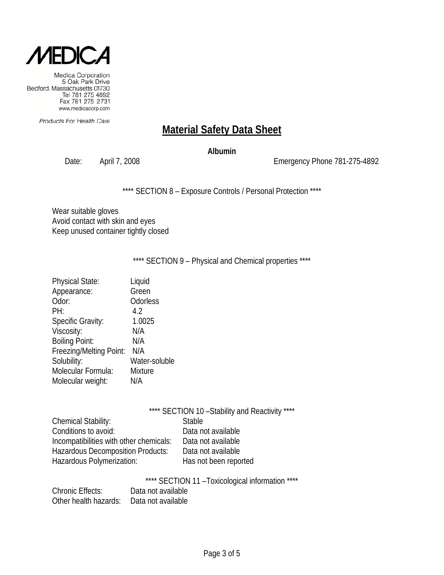

Products For Health Care

# **Material Safety Data Sheet**

#### **Albumin**

Date: April 7, 2008 2008 2009 Emergency Phone 781-275-4892

\*\*\*\* SECTION 8 - Exposure Controls / Personal Protection \*\*\*\*

Wear suitable gloves Avoid contact with skin and eyes Keep unused container tightly closed

\*\*\*\* SECTION 9 - Physical and Chemical properties \*\*\*\*

| <b>Physical State:</b>   | Liquid         |
|--------------------------|----------------|
| Appearance:              | Green          |
| Odor:                    | Odorless       |
| PH:                      | 4.2            |
| <b>Specific Gravity:</b> | 1.0025         |
| Viscosity:               | N/A            |
| <b>Boiling Point:</b>    | N/A            |
| Freezing/Melting Point:  | N/A            |
| Solubility:              | Water-soluble  |
| Molecular Formula:       | <b>Mixture</b> |
| Molecular weight:        | N/A            |
|                          |                |

| **** SECTION 11 - Toxicological information **** |
|--------------------------------------------------|
|--------------------------------------------------|

| <b>Chronic Effects:</b>                  | Data not available |
|------------------------------------------|--------------------|
| Other health hazards: Data not available |                    |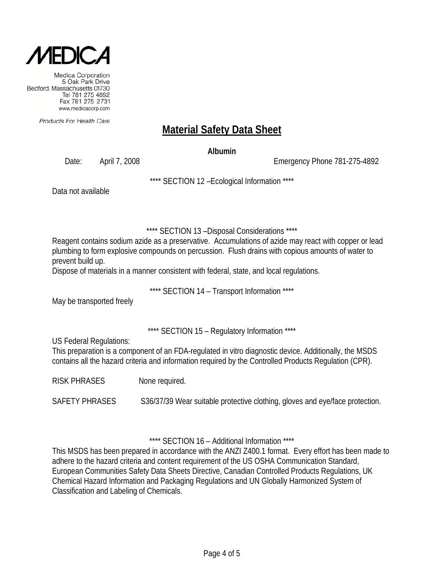

Products For Health Care

# **Material Safety Data Sheet**

**Albumin**

Date: April 7, 2008 Emergency Phone 781-275-4892

\*\*\*\* SECTION 12 –Ecological Information \*\*\*\*

Data not available

\*\*\*\* SECTION 13 –Disposal Considerations \*\*\*\*

Reagent contains sodium azide as a preservative. Accumulations of azide may react with copper or lead plumbing to form explosive compounds on percussion. Flush drains with copious amounts of water to prevent build up.

Dispose of materials in a manner consistent with federal, state, and local regulations.

\*\*\*\* SECTION 14 – Transport Information \*\*\*\*

May be transported freely

\*\*\*\* SECTION 15 – Regulatory Information \*\*\*\*

US Federal Regulations:

This preparation is a component of an FDA-regulated in vitro diagnostic device. Additionally, the MSDS contains all the hazard criteria and information required by the Controlled Products Regulation (CPR).

RISK PHRASES None required.

SAFETY PHRASES S36/37/39 Wear suitable protective clothing, gloves and eye/face protection.

\*\*\*\* SECTION 16 – Additional Information \*\*\*\*

This MSDS has been prepared in accordance with the ANZI Z400.1 format. Every effort has been made to adhere to the hazard criteria and content requirement of the US OSHA Communication Standard, European Communities Safety Data Sheets Directive, Canadian Controlled Products Regulations, UK Chemical Hazard Information and Packaging Regulations and UN Globally Harmonized System of Classification and Labeling of Chemicals.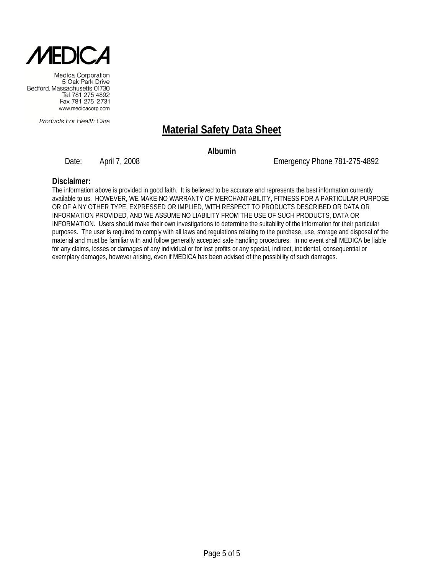

Products For Health Care

# **Material Safety Data Sheet**

**Albumin**

Date: April 7, 2008 Emergency Phone 781-275-4892

#### **Disclaimer:**

The information above is provided in good faith. It is believed to be accurate and represents the best information currently available to us. HOWEVER, WE MAKE NO WARRANTY OF MERCHANTABILITY, FITNESS FOR A PARTICULAR PURPOSE OR OF A NY OTHER TYPE, EXPRESSED OR IMPLIED, WITH RESPECT TO PRODUCTS DESCRIBED OR DATA OR INFORMATION PROVIDED, AND WE ASSUME NO LIABILITY FROM THE USE OF SUCH PRODUCTS, DATA OR INFORMATION. Users should make their own investigations to determine the suitability of the information for their particular purposes. The user is required to comply with all laws and regulations relating to the purchase, use, storage and disposal of the material and must be familiar with and follow generally accepted safe handling procedures. In no event shall MEDICA be liable for any claims, losses or damages of any individual or for lost profits or any special, indirect, incidental, consequential or exemplary damages, however arising, even if MEDICA has been advised of the possibility of such damages.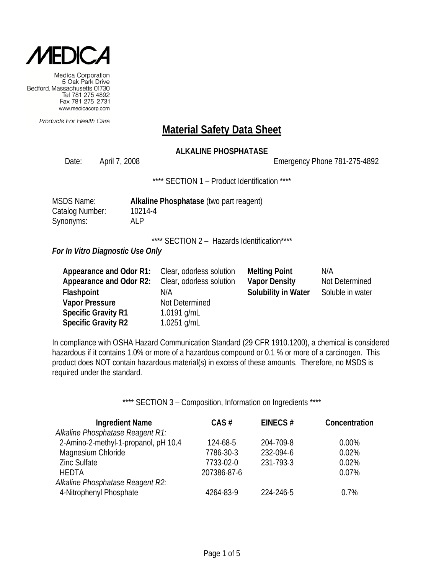

Products For Health Care

### **Material Safety Data Sheet**

### **ALKALINE PHOSPHATASE**

Date: April 7, 2008 2008 2009 Emergency Phone 781-275-4892

\*\*\*\* SECTION 1 – Product Identification \*\*\*\*

| <b>MSDS Name:</b> | Alkaline Phosphatase (two part reagent) |
|-------------------|-----------------------------------------|
| Catalog Number:   | 10214-4                                 |
| Synonyms:         | AI P                                    |

\*\*\*\* SECTION 2 - Hazards Identification\*\*\*\*

*For In Vitro Diagnostic Use Only*

| <b>Appearance and Odor R1:</b> Clear, odorless solution |                          | <b>Melting Point</b> | N/A              |
|---------------------------------------------------------|--------------------------|----------------------|------------------|
| Appearance and Odor R2:                                 | Clear, odorless solution | <b>Vapor Density</b> | Not Determined   |
| Flashpoint                                              | N/A                      | Solubility in Water  | Soluble in water |
| <b>Vapor Pressure</b>                                   | Not Determined           |                      |                  |
| <b>Specific Gravity R1</b>                              | 1.0191 $g/mL$            |                      |                  |
| <b>Specific Gravity R2</b>                              | 1.0251 $g/mL$            |                      |                  |

In compliance with OSHA Hazard Communication Standard (29 CFR 1910.1200), a chemical is considered hazardous if it contains 1.0% or more of a hazardous compound or 0.1 % or more of a carcinogen. This product does NOT contain hazardous material(s) in excess of these amounts. Therefore, no MSDS is required under the standard.

\*\*\*\* SECTION 3 - Composition, Information on Ingredients \*\*\*\*

| <b>Ingredient Name</b>               | CAS#        | EINECS#   | Concentration |
|--------------------------------------|-------------|-----------|---------------|
| Alkaline Phosphatase Reagent R1:     |             |           |               |
| 2-Amino-2-methyl-1-propanol, pH 10.4 | 124-68-5    | 204-709-8 | $0.00\%$      |
| Magnesium Chloride                   | 7786-30-3   | 232-094-6 | 0.02%         |
| <b>Zinc Sulfate</b>                  | 7733-02-0   | 231-793-3 | 0.02%         |
| <b>HEDTA</b>                         | 207386-87-6 |           | 0.07%         |
| Alkaline Phosphatase Reagent R2:     |             |           |               |
| 4-Nitrophenyl Phosphate              | 4264-83-9   | 224-246-5 | 0.7%          |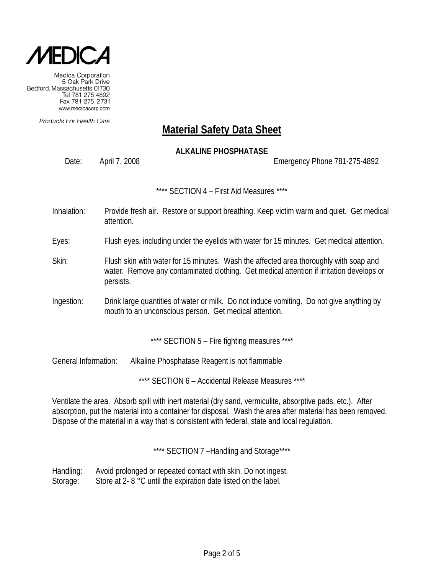

Products For Health Care

# **Material Safety Data Sheet**

### **ALKALINE PHOSPHATASE**

Date: April 7, 2008 Emergency Phone 781-275-4892

\*\*\*\* SECTION 4 – First Aid Measures \*\*\*\*

- Inhalation: Provide fresh air. Restore or support breathing. Keep victim warm and quiet. Get medical attention.
- Eyes: Flush eyes, including under the eyelids with water for 15 minutes. Get medical attention.
- Skin: Flush skin with water for 15 minutes. Wash the affected area thoroughly with soap and water. Remove any contaminated clothing. Get medical attention if irritation develops or persists.
- Ingestion: Drink large quantities of water or milk. Do not induce vomiting. Do not give anything by mouth to an unconscious person. Get medical attention.

\*\*\*\* SECTION 5 - Fire fighting measures \*\*\*\*

General Information: Alkaline Phosphatase Reagent is not flammable

\*\*\*\* SECTION 6 – Accidental Release Measures \*\*\*\*

Ventilate the area. Absorb spill with inert material (dry sand, vermiculite, absorptive pads, etc.). After absorption, put the material into a container for disposal. Wash the area after material has been removed. Dispose of the material in a way that is consistent with federal, state and local regulation.

\*\*\*\* SECTION 7-Handling and Storage\*\*\*\*

Handling: Avoid prolonged or repeated contact with skin. Do not ingest. Storage: Store at 2- 8 °C until the expiration date listed on the label.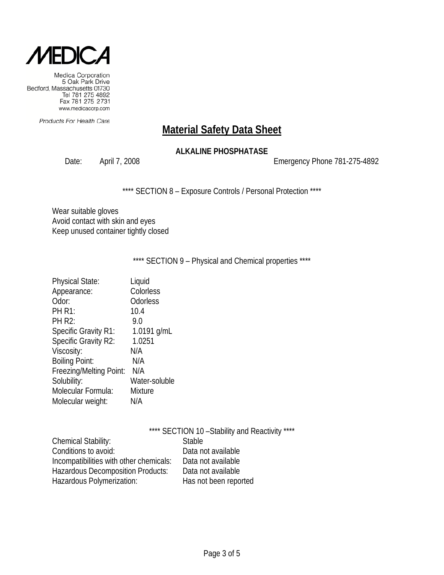

Products For Health Care

# **Material Safety Data Sheet**

### **ALKALINE PHOSPHATASE**

Date: April 7, 2008 2008 2009 Emergency Phone 781-275-4892

\*\*\*\* SECTION 8 - Exposure Controls / Personal Protection \*\*\*\*

Wear suitable gloves Avoid contact with skin and eyes Keep unused container tightly closed

\*\*\*\* SECTION 9 - Physical and Chemical properties \*\*\*\*

| <b>Physical State:</b>  | Liquid        |
|-------------------------|---------------|
| Appearance:             | Colorless     |
| Odor:                   | Odorless      |
| <b>PH R1:</b>           | 10.4          |
| <b>PH R2:</b>           | 9.0           |
| Specific Gravity R1:    | 1.0191 g/mL   |
| Specific Gravity R2:    | 1.0251        |
| Viscosity:              | N/A           |
| <b>Boiling Point:</b>   | N/A           |
| Freezing/Melting Point: | N/A           |
| Solubility:             | Water-soluble |
| Molecular Formula:      | Mixture       |
| Molecular weight:       | N/A           |
|                         |               |

|                                          | **** SECTION 10 - Stability and Reactivity **** |
|------------------------------------------|-------------------------------------------------|
| <b>Chemical Stability:</b>               | <b>Stable</b>                                   |
| Conditions to avoid:                     | Data not available                              |
| Incompatibilities with other chemicals:  | Data not available                              |
| <b>Hazardous Decomposition Products:</b> | Data not available                              |
| Hazardous Polymerization:                | Has not been reported                           |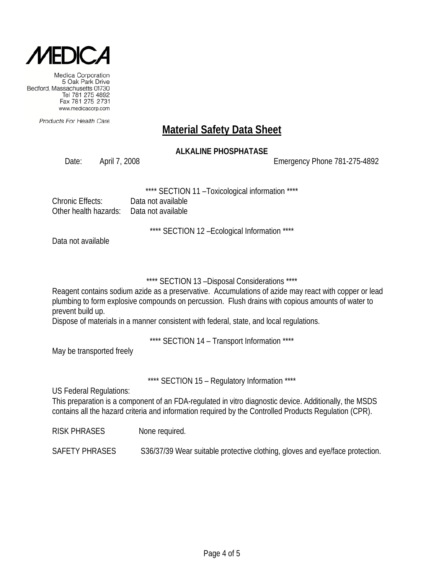

Products For Health Care

### **Material Safety Data Sheet**

### **ALKALINE PHOSPHATASE**

Date: April 7, 2008 Emergency Phone 781-275-4892

SECTION 11 - Toxicological information \*\*\*\*

| Chronic Effects:                          | Data not available |
|-------------------------------------------|--------------------|
| Other health hazards:  Data not available |                    |

\*\*\*\* SECTION 12 –Ecological Information \*\*\*\*

Data not available

### \*\*\*\* SECTION 13 –Disposal Considerations \*\*\*\*

Reagent contains sodium azide as a preservative. Accumulations of azide may react with copper or lead plumbing to form explosive compounds on percussion. Flush drains with copious amounts of water to prevent build up.

Dispose of materials in a manner consistent with federal, state, and local regulations.

\*\*\*\* SECTION 14 – Transport Information \*\*\*\*

May be transported freely

\*\*\*\* SECTION 15 - Regulatory Information \*\*\*\*

US Federal Regulations:

This preparation is a component of an FDA-regulated in vitro diagnostic device. Additionally, the MSDS contains all the hazard criteria and information required by the Controlled Products Regulation (CPR).

RISK PHRASES None required.

SAFETY PHRASES S36/37/39 Wear suitable protective clothing, gloves and eye/face protection.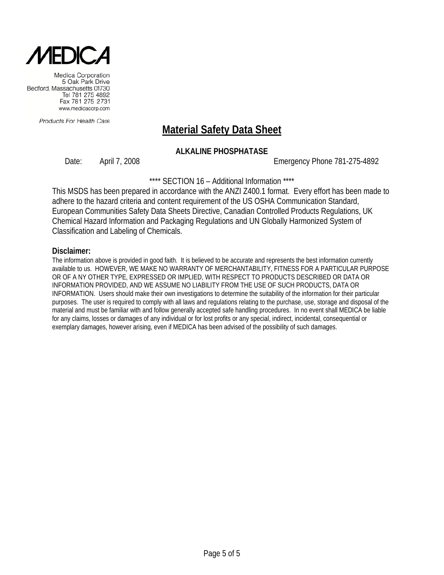

Products For Health Care

# **Material Safety Data Sheet**

### **ALKALINE PHOSPHATASE**

Date: April 7, 2008 Emergency Phone 781-275-4892

\*\*\*\* SECTION 16 – Additional Information \*\*\*\*

This MSDS has been prepared in accordance with the ANZI Z400.1 format. Every effort has been made to adhere to the hazard criteria and content requirement of the US OSHA Communication Standard, European Communities Safety Data Sheets Directive, Canadian Controlled Products Regulations, UK Chemical Hazard Information and Packaging Regulations and UN Globally Harmonized System of Classification and Labeling of Chemicals.

#### **Disclaimer:**

The information above is provided in good faith. It is believed to be accurate and represents the best information currently available to us. HOWEVER, WE MAKE NO WARRANTY OF MERCHANTABILITY, FITNESS FOR A PARTICULAR PURPOSE OR OF A NY OTHER TYPE, EXPRESSED OR IMPLIED, WITH RESPECT TO PRODUCTS DESCRIBED OR DATA OR INFORMATION PROVIDED, AND WE ASSUME NO LIABILITY FROM THE USE OF SUCH PRODUCTS, DATA OR INFORMATION. Users should make their own investigations to determine the suitability of the information for their particular purposes. The user is required to comply with all laws and regulations relating to the purchase, use, storage and disposal of the material and must be familiar with and follow generally accepted safe handling procedures. In no event shall MEDICA be liable for any claims, losses or damages of any individual or for lost profits or any special, indirect, incidental, consequential or exemplary damages, however arising, even if MEDICA has been advised of the possibility of such damages.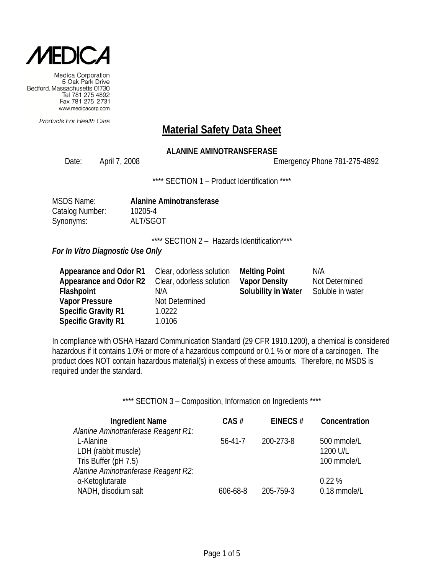

Products For Health Care

### **Material Safety Data Sheet**

### **ALANINE AMINOTRANSFERASE**

Date: April 7, 2008 Emergency Phone 781-275-4892

\*\*\*\* SECTION 1 - Product Identification \*\*\*\*

| <b>MSDS Name:</b> |  |
|-------------------|--|
| Catalog Number:   |  |
| Synonyms:         |  |

MSDS Name: **Alanine Aminotransferase** 10205-4 ALT/SGOT

\*\*\*\* SECTION 2 - Hazards Identification\*\*\*\*

*For In Vitro Diagnostic Use Only*

| Appearance and Odor R1     | Clear, odorless solution | <b>Melting Point</b>       | N/A              |
|----------------------------|--------------------------|----------------------------|------------------|
| Appearance and Odor R2     | Clear, odorless solution | <b>Vapor Density</b>       | Not Determined   |
| Flashpoint                 | N/A                      | <b>Solubility in Water</b> | Soluble in water |
| <b>Vapor Pressure</b>      | Not Determined           |                            |                  |
| <b>Specific Gravity R1</b> | 1.0222                   |                            |                  |
| <b>Specific Gravity R1</b> | 1.0106                   |                            |                  |

In compliance with OSHA Hazard Communication Standard (29 CFR 1910.1200), a chemical is considered hazardous if it contains 1.0% or more of a hazardous compound or 0.1 % or more of a carcinogen. The product does NOT contain hazardous material(s) in excess of these amounts. Therefore, no MSDS is required under the standard.

\*\*\*\* SECTION 3 - Composition, Information on Ingredients \*\*\*\*

| <b>Ingredient Name</b>              | CAS#     | EINECS#   | Concentration |
|-------------------------------------|----------|-----------|---------------|
| Alanine Aminotranferase Reagent R1: |          |           |               |
| L-Alanine                           | 56-41-7  | 200-273-8 | 500 mmole/L   |
| LDH (rabbit muscle)                 |          |           | 1200 U/L      |
| Tris Buffer (pH 7.5)                |          |           | 100 mmole/L   |
| Alanine Aminotranferase Reagent R2: |          |           |               |
| α-Ketoglutarate                     |          |           | 0.22%         |
| NADH, disodium salt                 | 606-68-8 | 205-759-3 | 0.18 mmole/L  |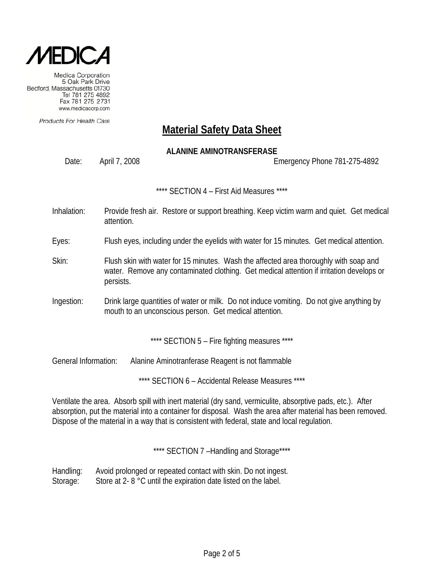

Products For Health Care

# **Material Safety Data Sheet**

### **ALANINE AMINOTRANSFERASE**

Date: April 7, 2008 Emergency Phone 781-275-4892

\*\*\*\* SECTION 4 – First Aid Measures \*\*\*\*

- Inhalation: Provide fresh air. Restore or support breathing. Keep victim warm and quiet. Get medical attention.
- Eyes: Flush eyes, including under the eyelids with water for 15 minutes. Get medical attention.
- Skin: Flush skin with water for 15 minutes. Wash the affected area thoroughly with soap and water. Remove any contaminated clothing. Get medical attention if irritation develops or persists.
- Ingestion: Drink large quantities of water or milk. Do not induce vomiting. Do not give anything by mouth to an unconscious person. Get medical attention.

\*\*\*\* SECTION 5 - Fire fighting measures \*\*\*\*

General Information: Alanine Aminotranferase Reagent is not flammable

\*\*\*\* SECTION 6 – Accidental Release Measures \*\*\*\*

Ventilate the area. Absorb spill with inert material (dry sand, vermiculite, absorptive pads, etc.). After absorption, put the material into a container for disposal. Wash the area after material has been removed. Dispose of the material in a way that is consistent with federal, state and local regulation.

\*\*\*\* SECTION 7-Handling and Storage\*\*\*\*

Handling: Avoid prolonged or repeated contact with skin. Do not ingest. Storage: Store at 2- 8 °C until the expiration date listed on the label.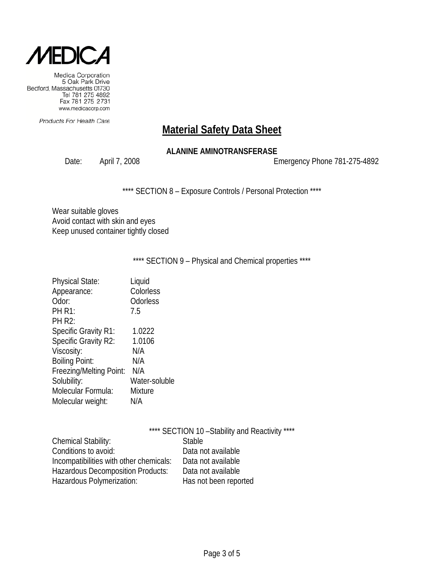

Products For Health Care

# **Material Safety Data Sheet**

### **ALANINE AMINOTRANSFERASE**

Date: April 7, 2008 2008 2009 Emergency Phone 781-275-4892

\*\*\*\* SECTION 8 - Exposure Controls / Personal Protection \*\*\*\*

Wear suitable gloves Avoid contact with skin and eyes Keep unused container tightly closed

### \*\*\*\* SECTION 9 - Physical and Chemical properties \*\*\*\*

| <b>Physical State:</b>      | Liquid        |
|-----------------------------|---------------|
| Appearance:                 | Colorless     |
| Odor:                       | Odorless      |
| <b>PH R1:</b>               | 7.5           |
| <b>PH R2:</b>               |               |
| <b>Specific Gravity R1:</b> | 1.0222        |
| Specific Gravity R2:        | 1.0106        |
| Viscosity:                  | N/A           |
| <b>Boiling Point:</b>       | N/A           |
| Freezing/Melting Point:     | N/A           |
| Solubility:                 | Water-soluble |
| Molecular Formula:          | Mixture       |
| Molecular weight:           | N/A           |

|                                         | **** SECTION 10 - Stability and Reactivity **** |
|-----------------------------------------|-------------------------------------------------|
| Chemical Stability:                     | <b>Stable</b>                                   |
| Conditions to avoid:                    | Data not available                              |
| Incompatibilities with other chemicals: | Data not available                              |
| Hazardous Decomposition Products:       | Data not available                              |
| Hazardous Polymerization:               | Has not been reported                           |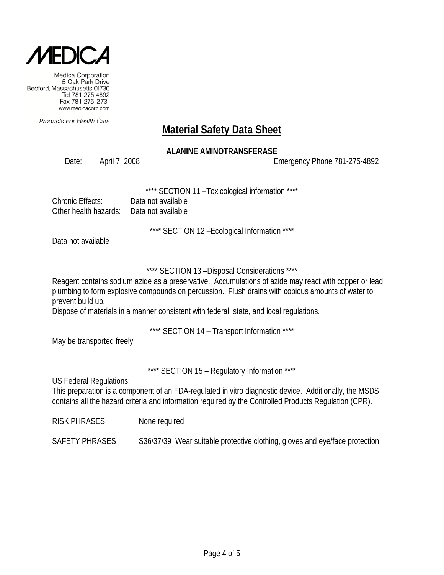

Products For Health Care

# **Material Safety Data Sheet**

### **ALANINE AMINOTRANSFERASE**

Date: April 7, 2008 Emergency Phone 781-275-4892

SECTION 11 - Toxicological information \*\*\*\*

| Chronic Effects:                          | Data not available |
|-------------------------------------------|--------------------|
| Other health hazards:  Data not available |                    |

\*\*\*\* SECTION 12 –Ecological Information \*\*\*\*

Data not available

\*\*\*\* SECTION 13 –Disposal Considerations \*\*\*\*

Reagent contains sodium azide as a preservative. Accumulations of azide may react with copper or lead plumbing to form explosive compounds on percussion. Flush drains with copious amounts of water to prevent build up.

Dispose of materials in a manner consistent with federal, state, and local regulations.

\*\*\*\* SECTION 14 – Transport Information \*\*\*\*

May be transported freely

\*\*\*\* SECTION 15 – Regulatory Information \*\*\*\*

US Federal Regulations:

This preparation is a component of an FDA-regulated in vitro diagnostic device. Additionally, the MSDS contains all the hazard criteria and information required by the Controlled Products Regulation (CPR).

RISK PHRASES None required

SAFETY PHRASES S36/37/39 Wear suitable protective clothing, gloves and eye/face protection.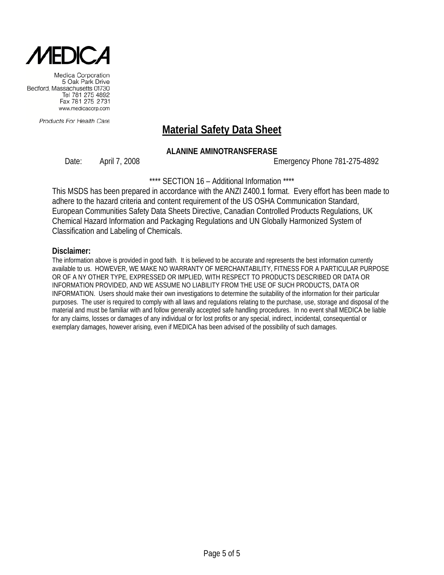

Products For Health Care

# **Material Safety Data Sheet**

### **ALANINE AMINOTRANSFERASE**

Date: April 7, 2008 Emergency Phone 781-275-4892

\*\*\*\* SECTION 16 - Additional Information \*\*\*\*

This MSDS has been prepared in accordance with the ANZI Z400.1 format. Every effort has been made to adhere to the hazard criteria and content requirement of the US OSHA Communication Standard, European Communities Safety Data Sheets Directive, Canadian Controlled Products Regulations, UK Chemical Hazard Information and Packaging Regulations and UN Globally Harmonized System of Classification and Labeling of Chemicals.

#### **Disclaimer:**

The information above is provided in good faith. It is believed to be accurate and represents the best information currently available to us. HOWEVER, WE MAKE NO WARRANTY OF MERCHANTABILITY, FITNESS FOR A PARTICULAR PURPOSE OR OF A NY OTHER TYPE, EXPRESSED OR IMPLIED, WITH RESPECT TO PRODUCTS DESCRIBED OR DATA OR INFORMATION PROVIDED, AND WE ASSUME NO LIABILITY FROM THE USE OF SUCH PRODUCTS, DATA OR INFORMATION. Users should make their own investigations to determine the suitability of the information for their particular purposes. The user is required to comply with all laws and regulations relating to the purchase, use, storage and disposal of the material and must be familiar with and follow generally accepted safe handling procedures. In no event shall MEDICA be liable for any claims, losses or damages of any individual or for lost profits or any special, indirect, incidental, consequential or exemplary damages, however arising, even if MEDICA has been advised of the possibility of such damages.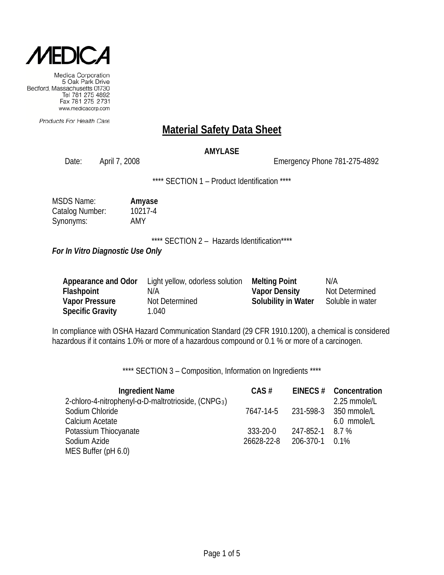

Products For Health Care

### **Material Safety Data Sheet**

### **AMYLASE**

Date: April 7, 2008 2008 2009 Emergency Phone 781-275-4892

\*\*\*\* SECTION 1 - Product Identification \*\*\*\*

| <b>MSDS Name:</b> | Amyase  |
|-------------------|---------|
| Catalog Number:   | 10217-4 |
| Synonyms:         | AMY     |

\*\*\*\* SECTION 2 - Hazards Identification\*\*\*\*

*For In Vitro Diagnostic Use Only*

| Appearance and Odor     | Light yellow, odorless solution | <b>Melting Point</b>       | N/A              |
|-------------------------|---------------------------------|----------------------------|------------------|
| Flashpoint              | N/A                             | <b>Vapor Density</b>       | Not Determined   |
| <b>Vapor Pressure</b>   | Not Determined                  | <b>Solubility in Water</b> | Soluble in water |
| <b>Specific Gravity</b> | 040                             |                            |                  |

In compliance with OSHA Hazard Communication Standard (29 CFR 1910.1200), a chemical is considered hazardous if it contains 1.0% or more of a hazardous compound or 0.1 % or more of a carcinogen.

\*\*\*\* SECTION 3 - Composition, Information on Ingredients \*\*\*\*

| <b>Ingredient Name</b>                                                   | CAS#           |           | EINECS # Concentration          |
|--------------------------------------------------------------------------|----------------|-----------|---------------------------------|
| 2-chloro-4-nitrophenyl- $\alpha$ -D-maltrotrioside, (CNPG <sub>3</sub> ) |                |           | 2.25 mmole/L                    |
| Sodium Chloride                                                          |                |           | 7647-14-5 231-598-3 350 mmole/L |
| Calcium Acetate                                                          |                |           | 6.0 mmole/L                     |
| Potassium Thiocyanate                                                    | $333 - 20 - 0$ | 247-852-1 | 8.7 %                           |
| Sodium Azide                                                             | 26628-22-8     | 206-370-1 | $0.1\%$                         |
| MES Buffer (pH 6.0)                                                      |                |           |                                 |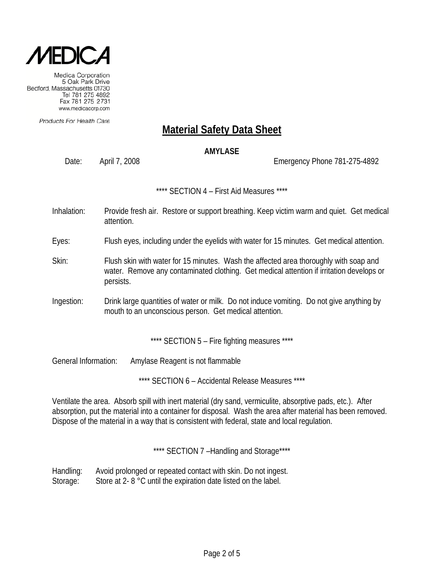

Products For Health Care

# **Material Safety Data Sheet**

### **AMYLASE**

Date: April 7, 2008 Emergency Phone 781-275-4892

\*\*\*\* SECTION 4 – First Aid Measures \*\*\*\*

- Inhalation: Provide fresh air. Restore or support breathing. Keep victim warm and quiet. Get medical attention.
- Eyes: Flush eyes, including under the eyelids with water for 15 minutes. Get medical attention.
- Skin: Flush skin with water for 15 minutes. Wash the affected area thoroughly with soap and water. Remove any contaminated clothing. Get medical attention if irritation develops or persists.
- Ingestion: Drink large quantities of water or milk. Do not induce vomiting. Do not give anything by mouth to an unconscious person. Get medical attention.

\*\*\*\* SECTION 5 - Fire fighting measures \*\*\*\*

General Information: Amylase Reagent is not flammable

\*\*\*\* SECTION 6 – Accidental Release Measures \*\*\*\*

Ventilate the area. Absorb spill with inert material (dry sand, vermiculite, absorptive pads, etc.). After absorption, put the material into a container for disposal. Wash the area after material has been removed. Dispose of the material in a way that is consistent with federal, state and local regulation.

\*\*\*\* SECTION 7-Handling and Storage\*\*\*\*

Handling: Avoid prolonged or repeated contact with skin. Do not ingest. Storage: Store at 2- 8 °C until the expiration date listed on the label.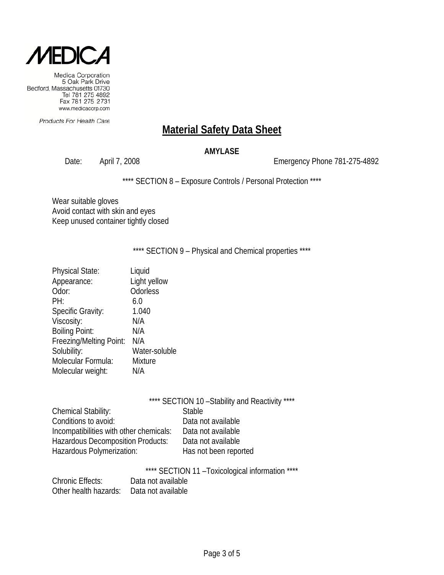

Products For Health Care

# **Material Safety Data Sheet**

### **AMYLASE**

Date: April 7, 2008 2008 2009 2010 Emergency Phone 781-275-4892

\*\*\*\* SECTION 8 - Exposure Controls / Personal Protection \*\*\*\*

Wear suitable gloves Avoid contact with skin and eyes Keep unused container tightly closed

\*\*\*\* SECTION 9 - Physical and Chemical properties \*\*\*\*

| Liquid         |
|----------------|
| Light yellow   |
| Odorless       |
| 6.0            |
| 1.040          |
| N/A            |
| N/A            |
| N/A            |
| Water-soluble  |
| <b>Mixture</b> |
| N/A            |
|                |

|                                          | **** SECTION 10 - Stability and Reactivity **** |
|------------------------------------------|-------------------------------------------------|
| Chemical Stability:                      | <b>Stable</b>                                   |
| Conditions to avoid:                     | Data not available                              |
| Incompatibilities with other chemicals:  | Data not available                              |
| <b>Hazardous Decomposition Products:</b> | Data not available                              |
| Hazardous Polymerization:                | Has not been reported                           |

\*\*\*\* SECTION 11 –Toxicological information \*\*\*\*

| <b>Chronic Effects:</b> | Data not available |
|-------------------------|--------------------|
| Other health hazards:   | Data not available |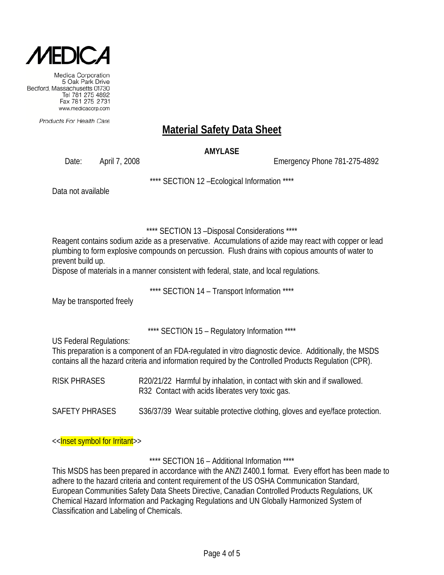

Products For Health Care

# **Material Safety Data Sheet**

### **AMYLASE**

Date: April 7, 2008 Emergency Phone 781-275-4892

\*\*\*\* SECTION 12 –Ecological Information \*\*\*\*

Data not available

\*\*\*\* SECTION 13 –Disposal Considerations \*\*\*\*

Reagent contains sodium azide as a preservative. Accumulations of azide may react with copper or lead plumbing to form explosive compounds on percussion. Flush drains with copious amounts of water to prevent build up.

Dispose of materials in a manner consistent with federal, state, and local regulations.

\*\*\*\* SECTION 14 – Transport Information \*\*\*\*

May be transported freely

\*\*\*\* SECTION 15 – Regulatory Information \*\*\*\*

US Federal Regulations:

This preparation is a component of an FDA-regulated in vitro diagnostic device. Additionally, the MSDS contains all the hazard criteria and information required by the Controlled Products Regulation (CPR).

RISK PHRASES R20/21/22 Harmful by inhalation, in contact with skin and if swallowed. R32 Contact with acids liberates very toxic gas.

SAFETY PHRASES S36/37/39 Wear suitable protective clothing, gloves and eye/face protection.

<<Inset symbol for Irritant>>

\*\*\*\* SECTION 16 – Additional Information \*\*\*\*

This MSDS has been prepared in accordance with the ANZI Z400.1 format. Every effort has been made to adhere to the hazard criteria and content requirement of the US OSHA Communication Standard, European Communities Safety Data Sheets Directive, Canadian Controlled Products Regulations, UK Chemical Hazard Information and Packaging Regulations and UN Globally Harmonized System of Classification and Labeling of Chemicals.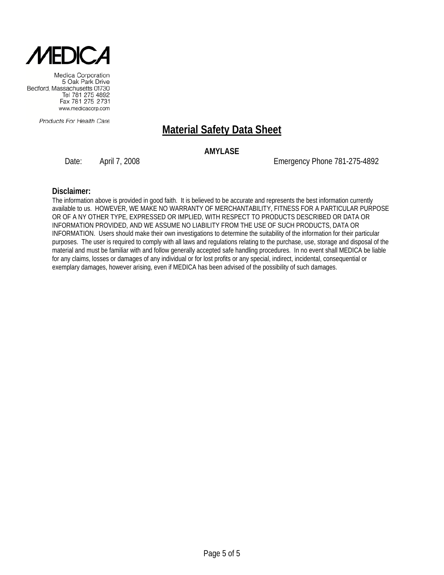

Products For Health Care

# **Material Safety Data Sheet**

### **AMYLASE**

Date: April 7, 2008 Emergency Phone 781-275-4892

#### **Disclaimer:**

The information above is provided in good faith. It is believed to be accurate and represents the best information currently available to us. HOWEVER, WE MAKE NO WARRANTY OF MERCHANTABILITY, FITNESS FOR A PARTICULAR PURPOSE OR OF A NY OTHER TYPE, EXPRESSED OR IMPLIED, WITH RESPECT TO PRODUCTS DESCRIBED OR DATA OR INFORMATION PROVIDED, AND WE ASSUME NO LIABILITY FROM THE USE OF SUCH PRODUCTS, DATA OR INFORMATION. Users should make their own investigations to determine the suitability of the information for their particular purposes. The user is required to comply with all laws and regulations relating to the purchase, use, storage and disposal of the material and must be familiar with and follow generally accepted safe handling procedures. In no event shall MEDICA be liable for any claims, losses or damages of any individual or for lost profits or any special, indirect, incidental, consequential or exemplary damages, however arising, even if MEDICA has been advised of the possibility of such damages.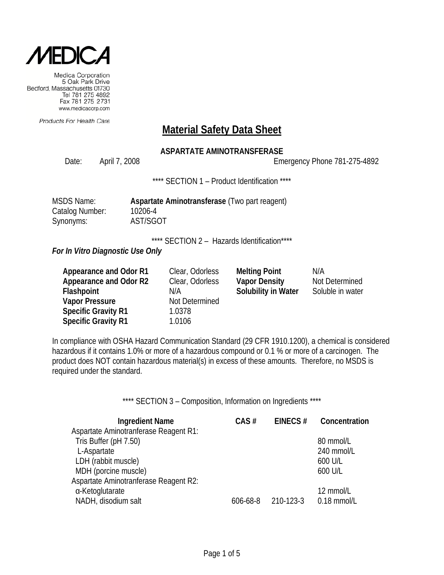

Products For Health Care

### **Material Safety Data Sheet**

### **ASPARTATE AMINOTRANSFERASE**

Date: April 7, 2008 Emergency Phone 781-275-4892

\*\*\*\* SECTION 1 - Product Identification \*\*\*\*

| <b>MSDS Name:</b>      |  |
|------------------------|--|
| <b>Catalog Number:</b> |  |
| Synonyms:              |  |

Aspartate Aminotransferase (Two part reagent) 10206-4 AST/SGOT

\*\*\*\* SECTION 2 - Hazards Identification\*\*\*\*

*For In Vitro Diagnostic Use Only*

| Appearance and Odor R1     | Clear, Odorless | <b>Melting Point</b> | N/A              |
|----------------------------|-----------------|----------------------|------------------|
| Appearance and Odor R2     | Clear, Odorless | <b>Vapor Density</b> | Not Determined   |
| Flashpoint                 | N/A             | Solubility in Water  | Soluble in water |
| <b>Vapor Pressure</b>      | Not Determined  |                      |                  |
| <b>Specific Gravity R1</b> | 1.0378          |                      |                  |
| <b>Specific Gravity R1</b> | 1.0106          |                      |                  |

In compliance with OSHA Hazard Communication Standard (29 CFR 1910.1200), a chemical is considered hazardous if it contains 1.0% or more of a hazardous compound or 0.1 % or more of a carcinogen. The product does NOT contain hazardous material(s) in excess of these amounts. Therefore, no MSDS is required under the standard.

\*\*\*\* SECTION 3 - Composition, Information on Ingredients \*\*\*\*

| <b>Ingredient Name</b>                | CAS#           | EINECS#   | Concentration |
|---------------------------------------|----------------|-----------|---------------|
| Aspartate Aminotranferase Reagent R1: |                |           |               |
| Tris Buffer (pH 7.50)                 |                |           | 80 mmol/L     |
| L-Aspartate                           |                |           | 240 mmol/L    |
| LDH (rabbit muscle)                   |                |           | 600 U/L       |
| MDH (porcine muscle)                  |                |           | 600 U/L       |
| Aspartate Aminotranferase Reagent R2: |                |           |               |
| α-Ketoglutarate                       |                |           | 12 mmol/L     |
| NADH, disodium salt                   | $606 - 68 - 8$ | 210-123-3 | 0.18 mmol/L   |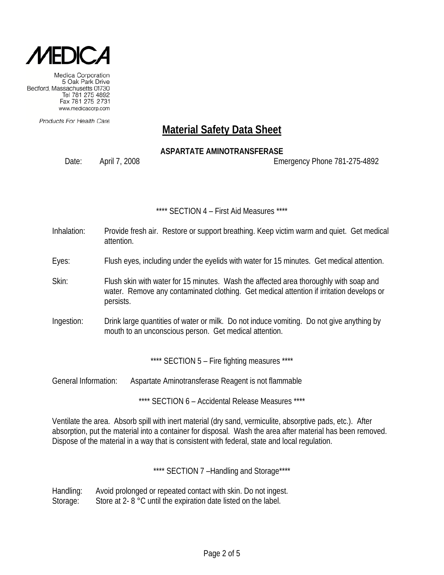

Products For Health Care

# **Material Safety Data Sheet**

### **ASPARTATE AMINOTRANSFERASE**

Date: April 7, 2008 Emergency Phone 781-275-4892

#### \*\*\*\* SECTION 4 – First Aid Measures \*\*\*\*

- Inhalation: Provide fresh air. Restore or support breathing. Keep victim warm and quiet. Get medical attention.
- Eyes: Flush eyes, including under the eyelids with water for 15 minutes. Get medical attention.
- Skin: Flush skin with water for 15 minutes. Wash the affected area thoroughly with soap and water. Remove any contaminated clothing. Get medical attention if irritation develops or persists.
- Ingestion: Drink large quantities of water or milk. Do not induce vomiting. Do not give anything by mouth to an unconscious person. Get medical attention.

\*\*\*\* SECTION 5 - Fire fighting measures \*\*\*\*

General Information: Aspartate Aminotransferase Reagent is not flammable

\*\*\*\* SECTION 6 – Accidental Release Measures \*\*\*\*

Ventilate the area. Absorb spill with inert material (dry sand, vermiculite, absorptive pads, etc.). After absorption, put the material into a container for disposal. Wash the area after material has been removed. Dispose of the material in a way that is consistent with federal, state and local regulation.

\*\*\*\* SECTION 7 -Handling and Storage\*\*\*\*

Handling: Avoid prolonged or repeated contact with skin. Do not ingest. Storage: Store at 2- 8 °C until the expiration date listed on the label.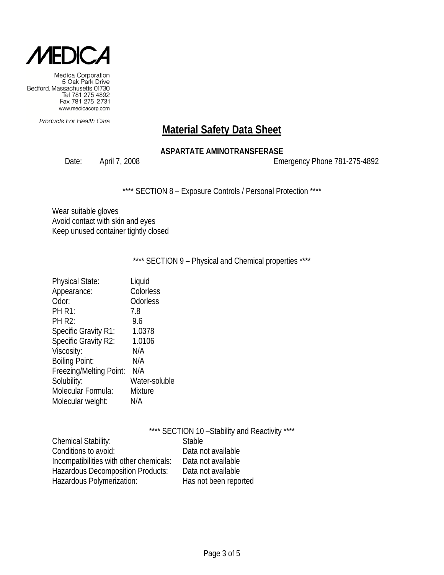

Products For Health Care

# **Material Safety Data Sheet**

### **ASPARTATE AMINOTRANSFERASE**

Date: April 7, 2008 2008 2009 Emergency Phone 781-275-4892

\*\*\*\* SECTION 8 - Exposure Controls / Personal Protection \*\*\*\*

Wear suitable gloves Avoid contact with skin and eyes Keep unused container tightly closed

### \*\*\*\* SECTION 9 - Physical and Chemical properties \*\*\*\*

| <b>Physical State:</b>      | Liquid        |
|-----------------------------|---------------|
| Appearance:                 | Colorless     |
| Odor:                       | Odorless      |
| <b>PH R1:</b>               | 7.8           |
| <b>PH R2:</b>               | 9.6           |
| <b>Specific Gravity R1:</b> | 1.0378        |
| Specific Gravity R2:        | 1.0106        |
| Viscosity:                  | N/A           |
| <b>Boiling Point:</b>       | N/A           |
| Freezing/Melting Point:     | N/A           |
| Solubility:                 | Water-soluble |
| Molecular Formula:          | Mixture       |
| Molecular weight:           | N/A           |

|                                          | **** SECTION 10 - Stability and Reactivity **** |
|------------------------------------------|-------------------------------------------------|
| <b>Chemical Stability:</b>               | <b>Stable</b>                                   |
| Conditions to avoid:                     | Data not available                              |
| Incompatibilities with other chemicals:  | Data not available                              |
| <b>Hazardous Decomposition Products:</b> | Data not available                              |
| Hazardous Polymerization:                | Has not been reported                           |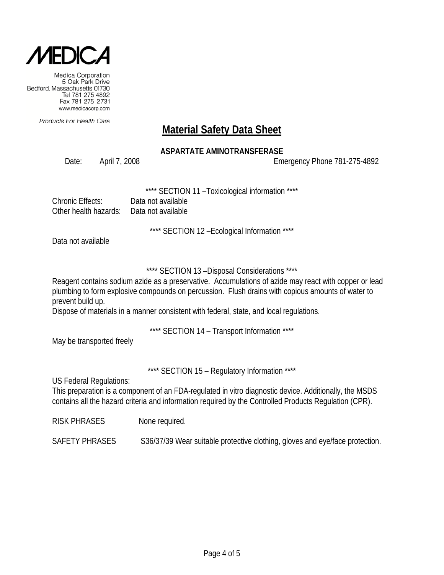

Products For Health Care

# **Material Safety Data Sheet**

### **ASPARTATE AMINOTRANSFERASE**

Date: April 7, 2008 Emergency Phone 781-275-4892

SECTION 11 - Toxicological information \*\*\*\*

| Chronic Effects:                          | Data not available |
|-------------------------------------------|--------------------|
| Other health hazards:  Data not available |                    |

\*\*\*\* SECTION 12 –Ecological Information \*\*\*\*

Data not available

### \*\*\*\* SECTION 13 –Disposal Considerations \*\*\*\*

Reagent contains sodium azide as a preservative. Accumulations of azide may react with copper or lead plumbing to form explosive compounds on percussion. Flush drains with copious amounts of water to prevent build up.

Dispose of materials in a manner consistent with federal, state, and local regulations.

\*\*\*\* SECTION 14 – Transport Information \*\*\*\*

May be transported freely

\*\*\*\* SECTION 15 – Regulatory Information \*\*\*\*

US Federal Regulations:

This preparation is a component of an FDA-regulated in vitro diagnostic device. Additionally, the MSDS contains all the hazard criteria and information required by the Controlled Products Regulation (CPR).

RISK PHRASES None required.

SAFETY PHRASES S36/37/39 Wear suitable protective clothing, gloves and eye/face protection.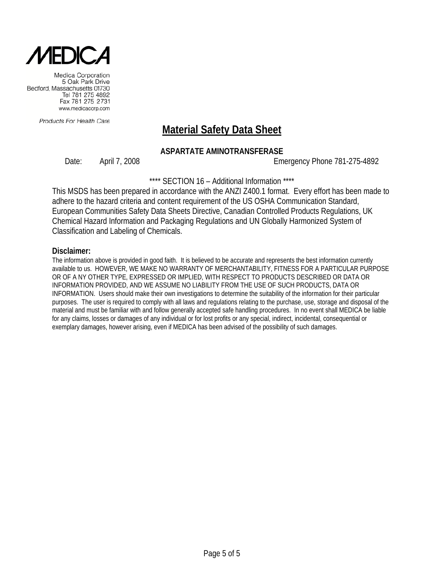

Products For Health Care

# **Material Safety Data Sheet**

### **ASPARTATE AMINOTRANSFERASE**

Date: April 7, 2008 Emergency Phone 781-275-4892

\*\*\*\* SECTION 16 – Additional Information \*\*\*\*

This MSDS has been prepared in accordance with the ANZI Z400.1 format. Every effort has been made to adhere to the hazard criteria and content requirement of the US OSHA Communication Standard, European Communities Safety Data Sheets Directive, Canadian Controlled Products Regulations, UK Chemical Hazard Information and Packaging Regulations and UN Globally Harmonized System of Classification and Labeling of Chemicals.

#### **Disclaimer:**

The information above is provided in good faith. It is believed to be accurate and represents the best information currently available to us. HOWEVER, WE MAKE NO WARRANTY OF MERCHANTABILITY, FITNESS FOR A PARTICULAR PURPOSE OR OF A NY OTHER TYPE, EXPRESSED OR IMPLIED, WITH RESPECT TO PRODUCTS DESCRIBED OR DATA OR INFORMATION PROVIDED, AND WE ASSUME NO LIABILITY FROM THE USE OF SUCH PRODUCTS, DATA OR INFORMATION. Users should make their own investigations to determine the suitability of the information for their particular purposes. The user is required to comply with all laws and regulations relating to the purchase, use, storage and disposal of the material and must be familiar with and follow generally accepted safe handling procedures. In no event shall MEDICA be liable for any claims, losses or damages of any individual or for lost profits or any special, indirect, incidental, consequential or exemplary damages, however arising, even if MEDICA has been advised of the possibility of such damages.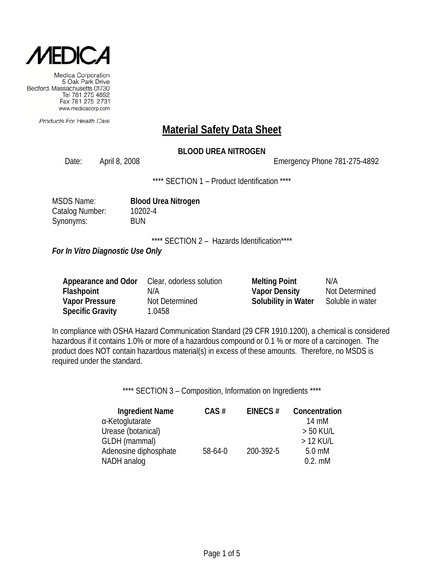

Products For Health Care

# **Material Safety Data Sheet**

### **BLOOD UREA NITROGEN**

Date: April 8, 2008 2008 2008 Emergency Phone 781-275-4892

\*\*\*\* SECTION 1 – Product Identification \*\*\*\*

| <b>MSDS Name:</b> |
|-------------------|
| Catalog Number:   |
| Synonyms:         |

**Blood Urea Nitrogen** 10202-4 **BUN** 

\*\*\*\* SECTION 2 - Hazards Identification\*\*\*\*

*For In Vitro Diagnostic Use Only*

| Appearance and Odor     | Clear, odorless solution | <b>Melting Point</b>       | N/A              |
|-------------------------|--------------------------|----------------------------|------------------|
| Flashpoint              | N/A                      | <b>Vapor Density</b>       | Not Determined   |
| <b>Vapor Pressure</b>   | Not Determined           | <b>Solubility in Water</b> | Soluble in water |
| <b>Specific Gravity</b> | 1.0458                   |                            |                  |

In compliance with OSHA Hazard Communication Standard (29 CFR 1910.1200), a chemical is considered hazardous if it contains 1.0% or more of a hazardous compound or 0.1 % or more of a carcinogen. The product does NOT contain hazardous material(s) in excess of these amounts. Therefore, no MSDS is required under the standard.

\*\*\*\* SECTION 3 - Composition, Information on Ingredients \*\*\*\*

| <b>Ingredient Name</b> | CAS#    | EINECS $#$ | Concentration    |
|------------------------|---------|------------|------------------|
| α-Ketoglutarate        |         |            | 14 mM            |
| Urease (botanical)     |         |            | $> 50$ KU/L      |
| GLDH (mammal)          |         |            | $>12$ KU/L       |
| Adenosine diphosphate  | 58-64-0 | 200-392-5  | $5.0 \text{ mM}$ |
| NADH analog            |         |            | $0.2.$ mM        |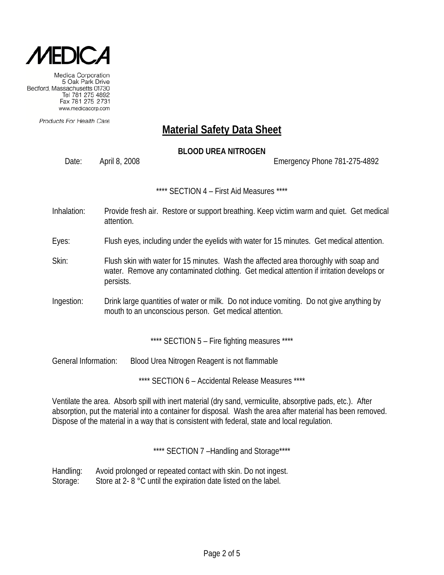

Products For Health Care

# **Material Safety Data Sheet**

### **BLOOD UREA NITROGEN**

Date: April 8, 2008 Emergency Phone 781-275-4892

\*\*\*\* SECTION 4 – First Aid Measures \*\*\*\*

- Inhalation: Provide fresh air. Restore or support breathing. Keep victim warm and quiet. Get medical attention.
- Eyes: Flush eyes, including under the eyelids with water for 15 minutes. Get medical attention.
- Skin: Flush skin with water for 15 minutes. Wash the affected area thoroughly with soap and water. Remove any contaminated clothing. Get medical attention if irritation develops or persists.
- Ingestion: Drink large quantities of water or milk. Do not induce vomiting. Do not give anything by mouth to an unconscious person. Get medical attention.

\*\*\*\* SECTION 5 - Fire fighting measures \*\*\*\*

General Information: Blood Urea Nitrogen Reagent is not flammable

\*\*\*\* SECTION 6 - Accidental Release Measures \*\*\*\*

Ventilate the area. Absorb spill with inert material (dry sand, vermiculite, absorptive pads, etc.). After absorption, put the material into a container for disposal. Wash the area after material has been removed. Dispose of the material in a way that is consistent with federal, state and local regulation.

\*\*\*\* SECTION 7-Handling and Storage\*\*\*\*

Handling: Avoid prolonged or repeated contact with skin. Do not ingest. Storage: Store at 2- 8 °C until the expiration date listed on the label.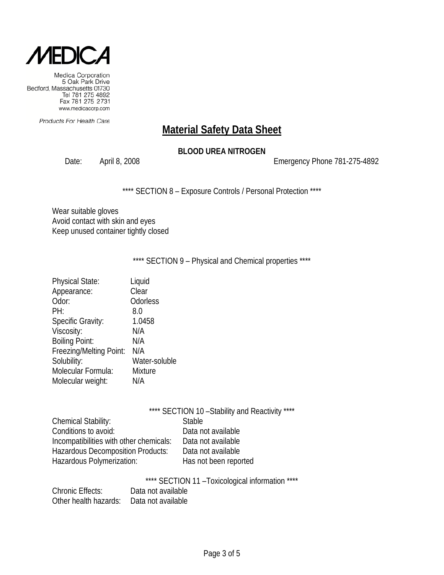

Products For Health Care

# **Material Safety Data Sheet**

### **BLOOD UREA NITROGEN**

Date: April 8, 2008 2008 2008 Emergency Phone 781-275-4892

\*\*\*\* SECTION 8 - Exposure Controls / Personal Protection \*\*\*\*

Wear suitable gloves Avoid contact with skin and eyes Keep unused container tightly closed

\*\*\*\* SECTION 9 - Physical and Chemical properties \*\*\*\*

| <b>Physical State:</b>   | Liquid         |
|--------------------------|----------------|
| Appearance:              | Clear          |
| Odor:                    | Odorless       |
| PH:                      | 8.0            |
| <b>Specific Gravity:</b> | 1.0458         |
| Viscosity:               | N/A            |
| <b>Boiling Point:</b>    | N/A            |
| Freezing/Melting Point:  | N/A            |
| Solubility:              | Water-soluble  |
| Molecular Formula:       | <b>Mixture</b> |
| Molecular weight:        | N/A            |
|                          |                |

|                                         | **** SECTION 10 - Stability and Reactivity **** |
|-----------------------------------------|-------------------------------------------------|
| Chemical Stability:                     | <b>Stable</b>                                   |
| Conditions to avoid:                    | Data not available                              |
| Incompatibilities with other chemicals: | Data not available                              |
| Hazardous Decomposition Products:       | Data not available                              |
| Hazardous Polymerization:               | Has not been reported                           |

| **** SECTION 11 - Toxicological information **** |  |
|--------------------------------------------------|--|
|--------------------------------------------------|--|

| <b>Chronic Effects:</b> | Data not available |
|-------------------------|--------------------|
| Other health hazards:   | Data not available |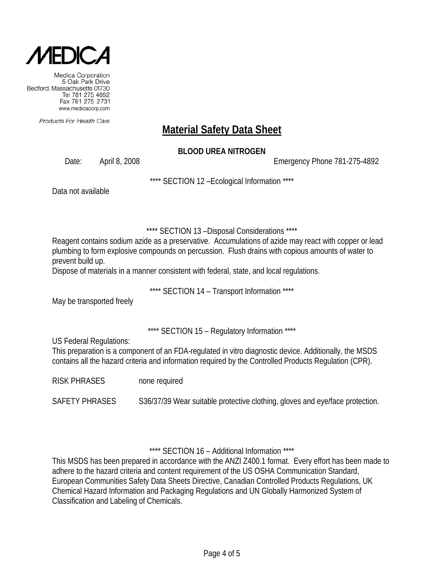

Products For Health Care

# **Material Safety Data Sheet**

### **BLOOD UREA NITROGEN**

Date: April 8, 2008 Emergency Phone 781-275-4892

\*\*\*\* SECTION 12 –Ecological Information \*\*\*\*

Data not available

\*\*\*\* SECTION 13 –Disposal Considerations \*\*\*\*

Reagent contains sodium azide as a preservative. Accumulations of azide may react with copper or lead plumbing to form explosive compounds on percussion. Flush drains with copious amounts of water to prevent build up.

Dispose of materials in a manner consistent with federal, state, and local regulations.

\*\*\*\* SECTION 14 – Transport Information \*\*\*\*

May be transported freely

\*\*\*\* SECTION 15 – Regulatory Information \*\*\*\*

US Federal Regulations:

This preparation is a component of an FDA-regulated in vitro diagnostic device. Additionally, the MSDS contains all the hazard criteria and information required by the Controlled Products Regulation (CPR).

RISK PHRASES none required

SAFETY PHRASES S36/37/39 Wear suitable protective clothing, gloves and eye/face protection.

\*\*\*\* SECTION 16 – Additional Information \*\*\*\*

This MSDS has been prepared in accordance with the ANZI Z400.1 format. Every effort has been made to adhere to the hazard criteria and content requirement of the US OSHA Communication Standard, European Communities Safety Data Sheets Directive, Canadian Controlled Products Regulations, UK Chemical Hazard Information and Packaging Regulations and UN Globally Harmonized System of Classification and Labeling of Chemicals.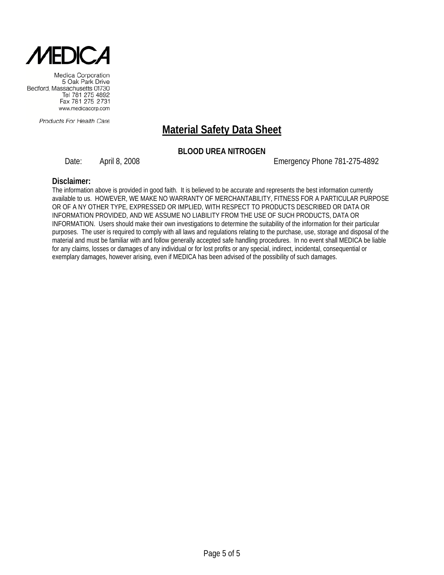

Products For Health Care

# **Material Safety Data Sheet**

### **BLOOD UREA NITROGEN**

Date: April 8, 2008 Emergency Phone 781-275-4892

#### **Disclaimer:**

The information above is provided in good faith. It is believed to be accurate and represents the best information currently available to us. HOWEVER, WE MAKE NO WARRANTY OF MERCHANTABILITY, FITNESS FOR A PARTICULAR PURPOSE OR OF A NY OTHER TYPE, EXPRESSED OR IMPLIED, WITH RESPECT TO PRODUCTS DESCRIBED OR DATA OR INFORMATION PROVIDED, AND WE ASSUME NO LIABILITY FROM THE USE OF SUCH PRODUCTS, DATA OR INFORMATION. Users should make their own investigations to determine the suitability of the information for their particular purposes. The user is required to comply with all laws and regulations relating to the purchase, use, storage and disposal of the material and must be familiar with and follow generally accepted safe handling procedures. In no event shall MEDICA be liable for any claims, losses or damages of any individual or for lost profits or any special, indirect, incidental, consequential or exemplary damages, however arising, even if MEDICA has been advised of the possibility of such damages.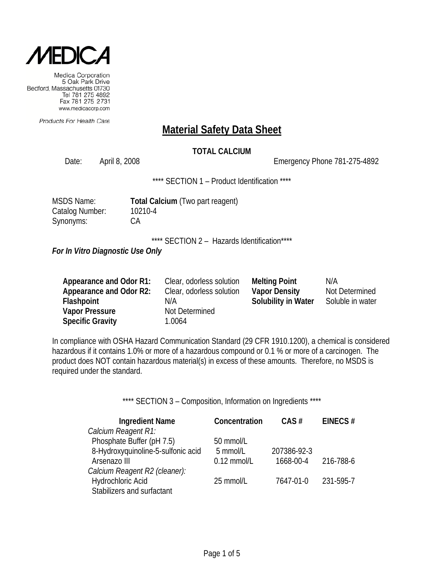

Products For Health Care

### **Material Safety Data Sheet**

### **TOTAL CALCIUM**

Date: April 8, 2008 2008 2008 Emergency Phone 781-275-4892

\*\*\*\* SECTION 1 - Product Identification \*\*\*\*

| MSDS Name:      |
|-----------------|
| Catalog Number: |
| Synonyms:       |

**Total Calcium** (Two part reagent) 10210-4  $CA$ 

\*\*\*\* SECTION 2 - Hazards Identification\*\*\*\*

*For In Vitro Diagnostic Use Only*

| Appearance and Odor R1: | Clear, odorless solution | <b>Melting Point</b> | N/A              |
|-------------------------|--------------------------|----------------------|------------------|
| Appearance and Odor R2: | Clear, odorless solution | <b>Vapor Density</b> | Not Determined   |
| <b>Flashpoint</b>       | N/A                      | Solubility in Water  | Soluble in water |
| <b>Vapor Pressure</b>   | Not Determined           |                      |                  |
| <b>Specific Gravity</b> | 1.0064                   |                      |                  |

In compliance with OSHA Hazard Communication Standard (29 CFR 1910.1200), a chemical is considered hazardous if it contains 1.0% or more of a hazardous compound or 0.1 % or more of a carcinogen. The product does NOT contain hazardous material(s) in excess of these amounts. Therefore, no MSDS is required under the standard.

\*\*\*\* SECTION 3 - Composition, Information on Ingredients \*\*\*\*

| <b>Ingredient Name</b>             | Concentration | $CAS \#$    | EINECS#   |
|------------------------------------|---------------|-------------|-----------|
| Calcium Reagent R1:                |               |             |           |
| Phosphate Buffer (pH 7.5)          | 50 mmol/L     |             |           |
| 8-Hydroxyquinoline-5-sulfonic acid | 5 mmol/L      | 207386-92-3 |           |
| Arsenazo III                       | $0.12$ mmol/L | 1668-00-4   | 216-788-6 |
| Calcium Reagent R2 (cleaner):      |               |             |           |
| Hydrochloric Acid                  | 25 mmol/L     | 7647-01-0   | 231-595-7 |
| Stabilizers and surfactant         |               |             |           |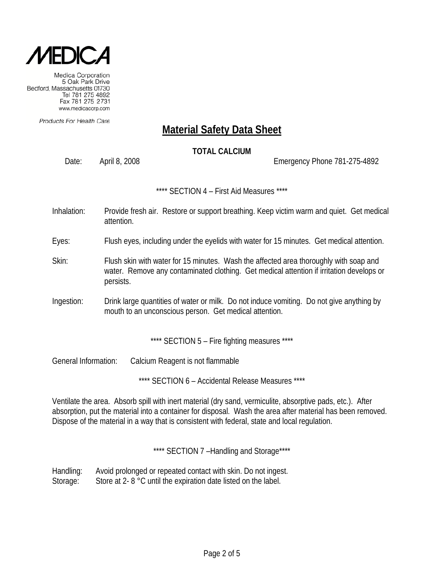

Products For Health Care

# **Material Safety Data Sheet**

### **TOTAL CALCIUM**

Date: April 8, 2008 Emergency Phone 781-275-4892

\*\*\*\* SECTION 4 – First Aid Measures \*\*\*\*

Inhalation: Provide fresh air. Restore or support breathing. Keep victim warm and quiet. Get medical attention.

Eyes: Flush eyes, including under the eyelids with water for 15 minutes. Get medical attention.

- Skin: Flush skin with water for 15 minutes. Wash the affected area thoroughly with soap and water. Remove any contaminated clothing. Get medical attention if irritation develops or persists.
- Ingestion: Drink large quantities of water or milk. Do not induce vomiting. Do not give anything by mouth to an unconscious person. Get medical attention.

\*\*\*\* SECTION 5 - Fire fighting measures \*\*\*\*

General Information: Calcium Reagent is not flammable

\*\*\*\* SECTION 6 – Accidental Release Measures \*\*\*\*

Ventilate the area. Absorb spill with inert material (dry sand, vermiculite, absorptive pads, etc.). After absorption, put the material into a container for disposal. Wash the area after material has been removed. Dispose of the material in a way that is consistent with federal, state and local regulation.

\*\*\*\* SECTION 7-Handling and Storage\*\*\*\*

Handling: Avoid prolonged or repeated contact with skin. Do not ingest. Storage: Store at 2- 8 °C until the expiration date listed on the label.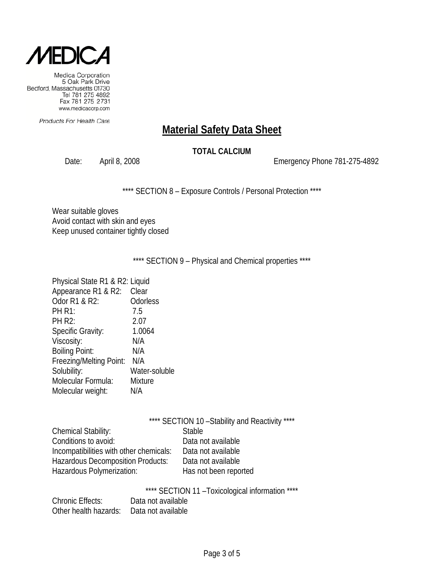

Products For Health Care

# **Material Safety Data Sheet**

### **TOTAL CALCIUM**

Date: April 8, 2008 2008 2008 Emergency Phone 781-275-4892

\*\*\*\* SECTION 8 - Exposure Controls / Personal Protection \*\*\*\*

Wear suitable gloves Avoid contact with skin and eyes Keep unused container tightly closed

\*\*\*\* SECTION 9 - Physical and Chemical properties \*\*\*\*

| Physical State R1 & R2: Liquid |               |
|--------------------------------|---------------|
| Appearance R1 & R2:            | Clear         |
| Odor R1 & R2:                  | Odorless      |
| <b>PH R1:</b>                  | 7.5           |
| <b>PH R2:</b>                  | 2.07          |
| Specific Gravity:              | 1.0064        |
| Viscosity:                     | N/A           |
| <b>Boiling Point:</b>          | N/A           |
| Freezing/Melting Point:        | N/A           |
| Solubility:                    | Water-soluble |
| Molecular Formula:             | Mixture       |
| Molecular weight:              | N/A           |
|                                |               |

|                                         | **** SECTION 10 - Stability and Reactivity **** |
|-----------------------------------------|-------------------------------------------------|
| <b>Chemical Stability:</b>              | <b>Stable</b>                                   |
| Conditions to avoid:                    | Data not available                              |
| Incompatibilities with other chemicals: | Data not available                              |
| Hazardous Decomposition Products:       | Data not available                              |
| Hazardous Polymerization:               | Has not been reported                           |
|                                         |                                                 |

\*\*\*\* SECTION 11 –Toxicological information \*\*\*\*

| <b>Chronic Effects:</b> | Data not available |
|-------------------------|--------------------|
| Other health hazards:   | Data not available |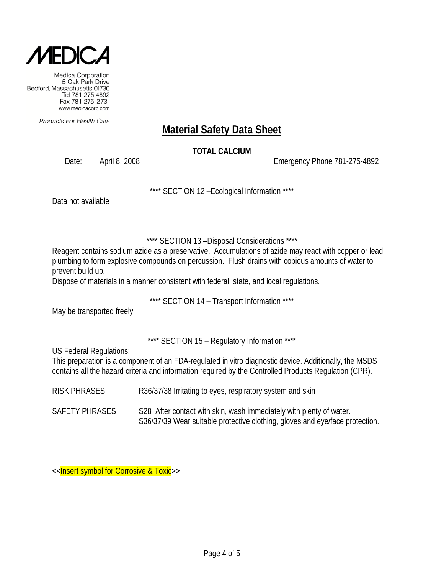

Products For Health Care

# **Material Safety Data Sheet**

### **TOTAL CALCIUM**

Date: April 8, 2008 Emergency Phone 781-275-4892

\*\*\*\* SECTION 12 –Ecological Information \*\*\*\*

Data not available

### \*\*\*\* SECTION 13 –Disposal Considerations \*\*\*\*

Reagent contains sodium azide as a preservative. Accumulations of azide may react with copper or lead plumbing to form explosive compounds on percussion. Flush drains with copious amounts of water to prevent build up.

Dispose of materials in a manner consistent with federal, state, and local regulations.

\*\*\*\* SECTION 14 – Transport Information \*\*\*\*

May be transported freely

\*\*\*\* SECTION 15 - Regulatory Information \*\*\*\*

US Federal Regulations:

This preparation is a component of an FDA-regulated in vitro diagnostic device. Additionally, the MSDS contains all the hazard criteria and information required by the Controlled Products Regulation (CPR).

- RISK PHRASES R36/37/38 Irritating to eyes, respiratory system and skin
- SAFETY PHRASES S28 After contact with skin, wash immediately with plenty of water. S36/37/39 Wear suitable protective clothing, gloves and eye/face protection.

<<Insert symbol for Corrosive & Toxic>>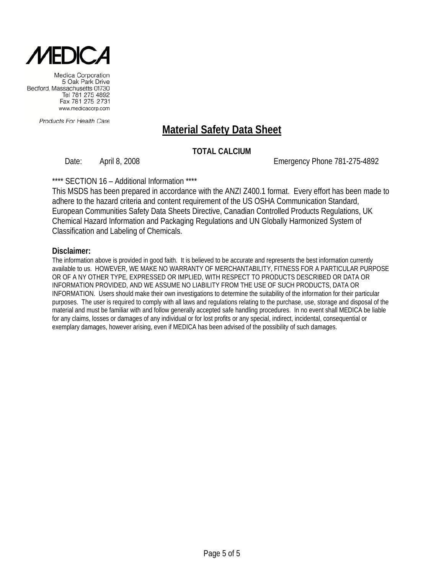

Products For Health Care

# **Material Safety Data Sheet**

### **TOTAL CALCIUM**

Date: April 8, 2008 and the state of the Emergency Phone 781-275-4892

\*\*\*\* SECTION 16 – Additional Information \*\*\*\*

This MSDS has been prepared in accordance with the ANZI Z400.1 format. Every effort has been made to adhere to the hazard criteria and content requirement of the US OSHA Communication Standard, European Communities Safety Data Sheets Directive, Canadian Controlled Products Regulations, UK Chemical Hazard Information and Packaging Regulations and UN Globally Harmonized System of Classification and Labeling of Chemicals.

#### **Disclaimer:**

The information above is provided in good faith. It is believed to be accurate and represents the best information currently available to us. HOWEVER, WE MAKE NO WARRANTY OF MERCHANTABILITY, FITNESS FOR A PARTICULAR PURPOSE OR OF A NY OTHER TYPE, EXPRESSED OR IMPLIED, WITH RESPECT TO PRODUCTS DESCRIBED OR DATA OR INFORMATION PROVIDED, AND WE ASSUME NO LIABILITY FROM THE USE OF SUCH PRODUCTS, DATA OR INFORMATION. Users should make their own investigations to determine the suitability of the information for their particular purposes. The user is required to comply with all laws and regulations relating to the purchase, use, storage and disposal of the material and must be familiar with and follow generally accepted safe handling procedures. In no event shall MEDICA be liable for any claims, losses or damages of any individual or for lost profits or any special, indirect, incidental, consequential or exemplary damages, however arising, even if MEDICA has been advised of the possibility of such damages.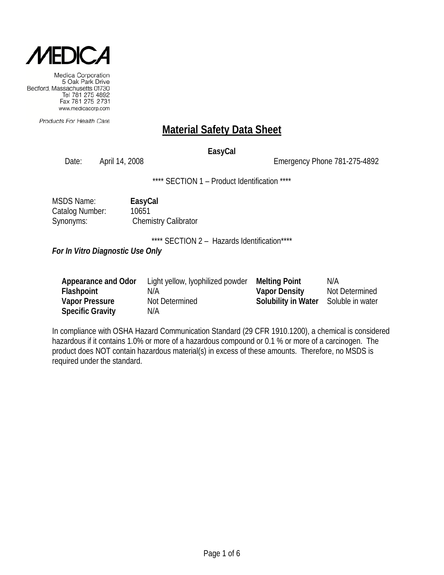

Products For Health Care

# **Material Safety Data Sheet**

### **EasyCal**

Date: April 14, 2008 2008 Emergency Phone 781-275-4892

\*\*\*\* SECTION 1 - Product Identification \*\*\*\*

| <b>MSDS Name:</b> | EasyCal                     |
|-------------------|-----------------------------|
| Catalog Number:   | 10651                       |
| Synonyms:         | <b>Chemistry Calibrator</b> |

\*\*\*\* SECTION 2 - Hazards Identification\*\*\*\*

*For In Vitro Diagnostic Use Only*

| Appearance and Odor     | Light yellow, lyophilized powder | <b>Melting Point</b>                 | N/A            |
|-------------------------|----------------------------------|--------------------------------------|----------------|
| Flashpoint              | N/A                              | <b>Vapor Density</b>                 | Not Determined |
| <b>Vapor Pressure</b>   | Not Determined                   | Solubility in Water Soluble in water |                |
| <b>Specific Gravity</b> | N/A                              |                                      |                |

In compliance with OSHA Hazard Communication Standard (29 CFR 1910.1200), a chemical is considered hazardous if it contains 1.0% or more of a hazardous compound or 0.1 % or more of a carcinogen. The product does NOT contain hazardous material(s) in excess of these amounts. Therefore, no MSDS is required under the standard.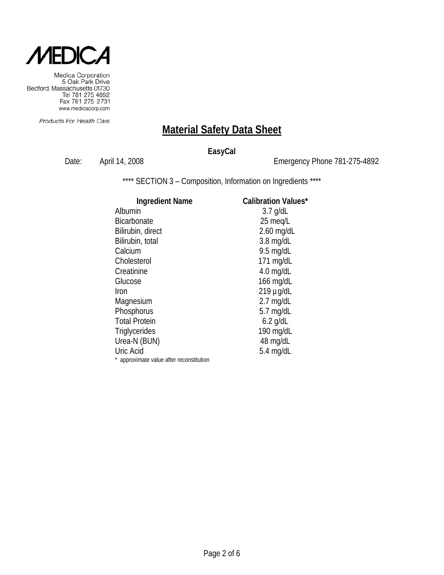

Products For Health Care

### **Material Safety Data Sheet**

#### **EasyCal**

Date: April 14, 2008 2008 Emergency Phone 781-275-4892

\*\*\*\* SECTION 3 - Composition, Information on Ingredients \*\*\*\*

#### **Ingredient Name Calibration Values\*** Albumin 3.7 g/dL Bicarbonate 25 meq/L Bilirubin, direct 2.60 mg/dL<br>Bilirubin, total 2.8 mg/dL Bilirubin, total Calcium 9.5 mg/dL Cholesterol 171 mg/dL Creatinine 4.0 mg/dL Glucose 166 mg/dL Iron 219 µg/dL Magnesium 2.7 mg/dL Phosphorus 5.7 mg/dL Total Protein 6.2 g/dL Triglycerides 190 mg/dL Urea-N (BUN) 48 mg/dL Uric Acid 5.4 mg/dL \* approximate value after reconstitution

Page 2 of 6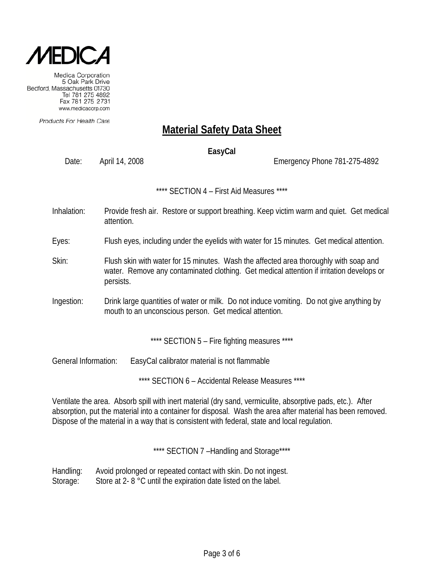

Products For Health Care

# **Material Safety Data Sheet**

#### **EasyCal**

Date: April 14, 2008 Channel 2008 Emergency Phone 781-275-4892

\*\*\*\* SECTION 4 – First Aid Measures \*\*\*\*

- Inhalation: Provide fresh air. Restore or support breathing. Keep victim warm and quiet. Get medical attention.
- Eyes: Flush eyes, including under the eyelids with water for 15 minutes. Get medical attention.
- Skin: Flush skin with water for 15 minutes. Wash the affected area thoroughly with soap and water. Remove any contaminated clothing. Get medical attention if irritation develops or persists.
- Ingestion: Drink large quantities of water or milk. Do not induce vomiting. Do not give anything by mouth to an unconscious person. Get medical attention.

\*\*\*\* SECTION 5 - Fire fighting measures \*\*\*\*

General Information: EasyCal calibrator material is not flammable

\*\*\*\* SECTION 6 – Accidental Release Measures \*\*\*\*

Ventilate the area. Absorb spill with inert material (dry sand, vermiculite, absorptive pads, etc.). After absorption, put the material into a container for disposal. Wash the area after material has been removed. Dispose of the material in a way that is consistent with federal, state and local regulation.

\*\*\*\* SECTION 7-Handling and Storage\*\*\*\*

Handling: Avoid prolonged or repeated contact with skin. Do not ingest. Storage: Store at 2- 8 °C until the expiration date listed on the label.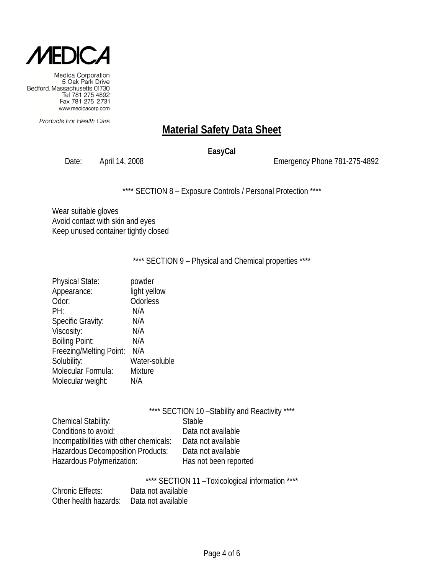

Products For Health Care

# **Material Safety Data Sheet**

#### **EasyCal**

Date: April 14, 2008 Emergency Phone 781-275-4892

\*\*\*\* SECTION 8 - Exposure Controls / Personal Protection \*\*\*\*

Wear suitable gloves Avoid contact with skin and eyes Keep unused container tightly closed

\*\*\*\* SECTION 9 - Physical and Chemical properties \*\*\*\*

| <b>Physical State:</b>   | powder         |
|--------------------------|----------------|
| Appearance:              | light yellow   |
| Odor:                    | Odorless       |
| PH:                      | N/A            |
| <b>Specific Gravity:</b> | N/A            |
| Viscosity:               | N/A            |
| <b>Boiling Point:</b>    | N/A            |
| Freezing/Melting Point:  | N/A            |
| Solubility:              | Water-soluble  |
| Molecular Formula:       | <b>Mixture</b> |
| Molecular weight:        | N/A            |
|                          |                |

|                            | **** SECTION 10 - Stability and Reactivity **** |
|----------------------------|-------------------------------------------------|
| <b>Chemical Stability:</b> | Stable                                          |
| Conditions to avoid:       | - Alakaya not ayailahla                         |

| Conditions to avoid:                     | Data not available    |
|------------------------------------------|-----------------------|
| Incompatibilities with other chemicals:  | Data not available    |
| <b>Hazardous Decomposition Products:</b> | Data not available    |
| Hazardous Polymerization:                | Has not been reported |

ata not available ata not available ata not available

\*\*\*\* SECTION 11 –Toxicological information \*\*\*\*

| <b>Chronic Effects:</b> | Data not available |
|-------------------------|--------------------|
| Other health hazards:   | Data not available |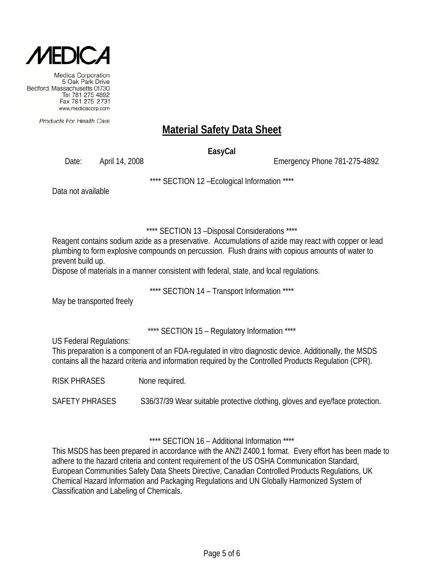

Products For Health Care

# **Material Safety Data Sheet**

**EasyCal**

Date: April 14, 2008 Channel 2008 Emergency Phone 781-275-4892

\*\*\*\* SECTION 12 –Ecological Information \*\*\*\*

Data not available

\*\*\*\* SECTION 13 –Disposal Considerations \*\*\*\*

Reagent contains sodium azide as a preservative. Accumulations of azide may react with copper or lead plumbing to form explosive compounds on percussion. Flush drains with copious amounts of water to prevent build up.

Dispose of materials in a manner consistent with federal, state, and local regulations.

\*\*\*\* SECTION 14 – Transport Information \*\*\*\*

May be transported freely

\*\*\*\* SECTION 15 – Regulatory Information \*\*\*\*

US Federal Regulations:

This preparation is a component of an FDA-regulated in vitro diagnostic device. Additionally, the MSDS contains all the hazard criteria and information required by the Controlled Products Regulation (CPR).

RISK PHRASES None required.

SAFETY PHRASES S36/37/39 Wear suitable protective clothing, gloves and eye/face protection.

\*\*\*\* SECTION 16 – Additional Information \*\*\*\*

This MSDS has been prepared in accordance with the ANZI Z400.1 format. Every effort has been made to adhere to the hazard criteria and content requirement of the US OSHA Communication Standard, European Communities Safety Data Sheets Directive, Canadian Controlled Products Regulations, UK Chemical Hazard Information and Packaging Regulations and UN Globally Harmonized System of Classification and Labeling of Chemicals.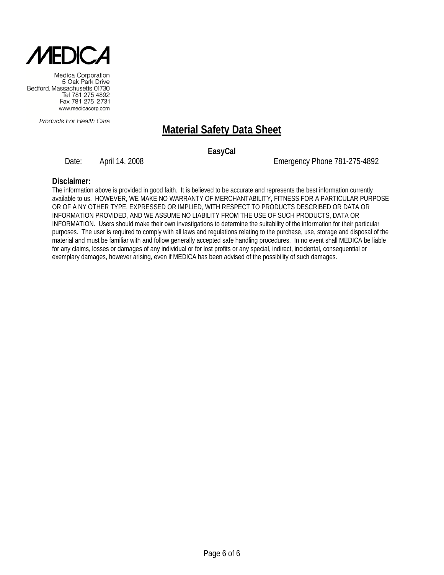

Products For Health Care

# **Material Safety Data Sheet**

**EasyCal**

Date: April 14, 2008 Channel 2008 Emergency Phone 781-275-4892

#### **Disclaimer:**

The information above is provided in good faith. It is believed to be accurate and represents the best information currently available to us. HOWEVER, WE MAKE NO WARRANTY OF MERCHANTABILITY, FITNESS FOR A PARTICULAR PURPOSE OR OF A NY OTHER TYPE, EXPRESSED OR IMPLIED, WITH RESPECT TO PRODUCTS DESCRIBED OR DATA OR INFORMATION PROVIDED, AND WE ASSUME NO LIABILITY FROM THE USE OF SUCH PRODUCTS, DATA OR INFORMATION. Users should make their own investigations to determine the suitability of the information for their particular purposes. The user is required to comply with all laws and regulations relating to the purchase, use, storage and disposal of the material and must be familiar with and follow generally accepted safe handling procedures. In no event shall MEDICA be liable for any claims, losses or damages of any individual or for lost profits or any special, indirect, incidental, consequential or exemplary damages, however arising, even if MEDICA has been advised of the possibility of such damages.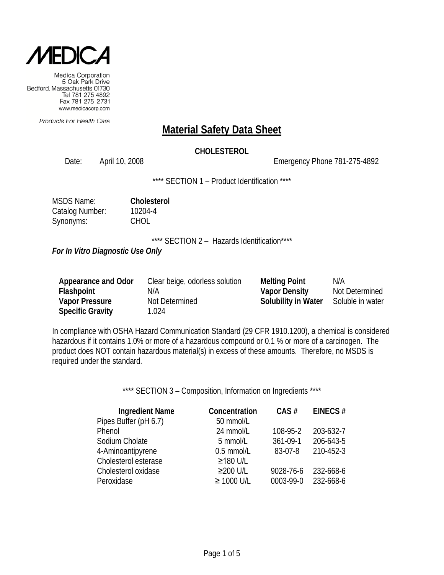

Products For Health Care

#### **Material Safety Data Sheet**

#### **CHOLESTEROL**

Date: April 10, 2008 Emergency Phone 781-275-4892

\*\*\*\* SECTION 1 - Product Identification \*\*\*\*

| <b>MSDS Name:</b> | Cholesterol |
|-------------------|-------------|
| Catalog Number:   | 10204-4     |
| Synonyms:         | <b>CHOL</b> |

\*\*\*\* SECTION 2 - Hazards Identification\*\*\*\*

*For In Vitro Diagnostic Use Only*

| Appearance and Odor     | Clear beige, odorless solution | <b>Melting Point</b>       | N/A              |
|-------------------------|--------------------------------|----------------------------|------------------|
| Flashpoint              | N/A                            | <b>Vapor Density</b>       | Not Determined   |
| <b>Vapor Pressure</b>   | Not Determined                 | <b>Solubility in Water</b> | Soluble in water |
| <b>Specific Gravity</b> | 1.024                          |                            |                  |

In compliance with OSHA Hazard Communication Standard (29 CFR 1910.1200), a chemical is considered hazardous if it contains 1.0% or more of a hazardous compound or 0.1 % or more of a carcinogen. The product does NOT contain hazardous material(s) in excess of these amounts. Therefore, no MSDS is required under the standard.

\*\*\*\* SECTION 3 - Composition, Information on Ingredients \*\*\*\*

| <b>Ingredient Name</b> | Concentration   | CAS#      | EINECS#   |
|------------------------|-----------------|-----------|-----------|
| Pipes Buffer (pH 6.7)  | 50 mmol/L       |           |           |
| Phenol                 | 24 mmol/L       | 108-95-2  | 203-632-7 |
| Sodium Cholate         | 5 mmol/L        | 361-09-1  | 206-643-5 |
| 4-Aminoantipyrene      | 0.5 mmol/L      | 83-07-8   | 210-452-3 |
| Cholesterol esterase   | ≥180 U/L        |           |           |
| Cholesterol oxidase    | ≥200 U/L        | 9028-76-6 | 232-668-6 |
| Peroxidase             | $\geq 1000$ U/L | 0003-99-0 | 232-668-6 |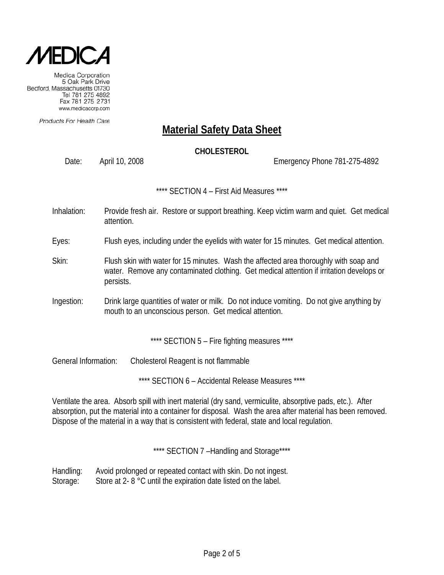

Products For Health Care

### **Material Safety Data Sheet**

#### **CHOLESTEROL**

Date: April 10, 2008 Emergency Phone 781-275-4892

\*\*\*\* SECTION 4 – First Aid Measures \*\*\*\*

Inhalation: Provide fresh air. Restore or support breathing. Keep victim warm and quiet. Get medical attention.

Eyes: Flush eyes, including under the eyelids with water for 15 minutes. Get medical attention.

- Skin: Flush skin with water for 15 minutes. Wash the affected area thoroughly with soap and water. Remove any contaminated clothing. Get medical attention if irritation develops or persists.
- Ingestion: Drink large quantities of water or milk. Do not induce vomiting. Do not give anything by mouth to an unconscious person. Get medical attention.

\*\*\*\* SECTION 5 - Fire fighting measures \*\*\*\*

General Information: Cholesterol Reagent is not flammable

\*\*\*\* SECTION 6 – Accidental Release Measures \*\*\*\*

Ventilate the area. Absorb spill with inert material (dry sand, vermiculite, absorptive pads, etc.). After absorption, put the material into a container for disposal. Wash the area after material has been removed. Dispose of the material in a way that is consistent with federal, state and local regulation.

\*\*\*\* SECTION 7-Handling and Storage\*\*\*\*

Handling: Avoid prolonged or repeated contact with skin. Do not ingest. Storage: Store at 2- 8 °C until the expiration date listed on the label.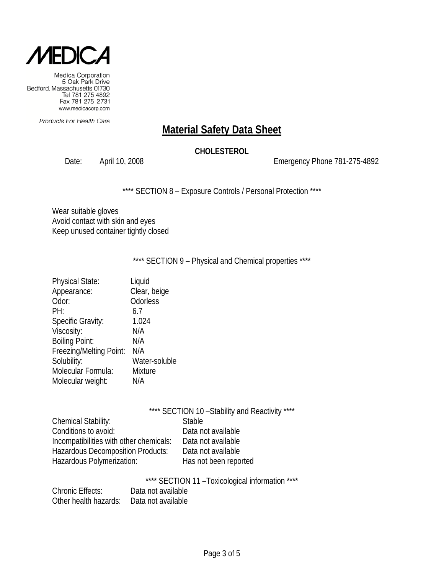

Products For Health Care

# **Material Safety Data Sheet**

#### **CHOLESTEROL**

Date: April 10, 2008 2008 2009 Emergency Phone 781-275-4892

\*\*\*\* SECTION 8 - Exposure Controls / Personal Protection \*\*\*\*

Wear suitable gloves Avoid contact with skin and eyes Keep unused container tightly closed

\*\*\*\* SECTION 9 - Physical and Chemical properties \*\*\*\*

| <b>Physical State:</b>   | Liquid         |
|--------------------------|----------------|
| Appearance:              | Clear, beige   |
| Odor:                    | Odorless       |
| PH:                      | 6.7            |
| <b>Specific Gravity:</b> | 1.024          |
| Viscosity:               | N/A            |
| <b>Boiling Point:</b>    | N/A            |
| Freezing/Melting Point:  | N/A            |
| Solubility:              | Water-soluble  |
| Molecular Formula:       | <b>Mixture</b> |
| Molecular weight:        | N/A            |
|                          |                |

|                                          | **** SECTION 10 - Stability and Reactivity **** |
|------------------------------------------|-------------------------------------------------|
| Chemical Stability:                      | <b>Stable</b>                                   |
| Conditions to avoid:                     | Data not available                              |
| Incompatibilities with other chemicals:  | Data not available                              |
| <b>Hazardous Decomposition Products:</b> | Data not available                              |
| Hazardous Polymerization:                | Has not been reported                           |
|                                          |                                                 |

\*\*\*\* SECTION 11 –Toxicological information \*\*\*\*

| <b>Chronic Effects:</b> | Data not available |
|-------------------------|--------------------|
| Other health hazards:   | Data not available |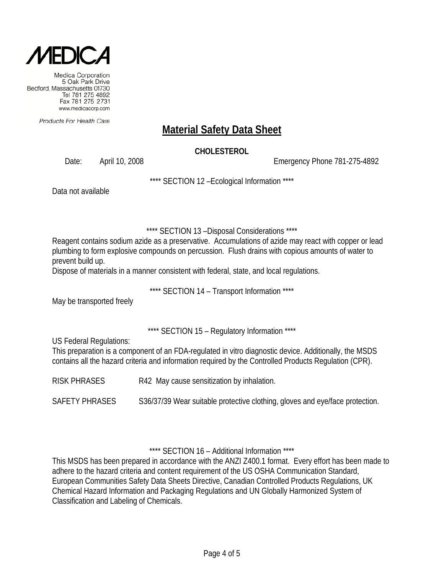

Products For Health Care

# **Material Safety Data Sheet**

#### **CHOLESTEROL**

Date: April 10, 2008 Emergency Phone 781-275-4892

\*\*\*\* SECTION 12 –Ecological Information \*\*\*\*

Data not available

\*\*\*\* SECTION 13 –Disposal Considerations \*\*\*\*

Reagent contains sodium azide as a preservative. Accumulations of azide may react with copper or lead plumbing to form explosive compounds on percussion. Flush drains with copious amounts of water to prevent build up.

Dispose of materials in a manner consistent with federal, state, and local regulations.

\*\*\*\* SECTION 14 – Transport Information \*\*\*\*

May be transported freely

\*\*\*\* SECTION 15 – Regulatory Information \*\*\*\*

US Federal Regulations:

This preparation is a component of an FDA-regulated in vitro diagnostic device. Additionally, the MSDS contains all the hazard criteria and information required by the Controlled Products Regulation (CPR).

RISK PHRASES R42 May cause sensitization by inhalation.

SAFETY PHRASES S36/37/39 Wear suitable protective clothing, gloves and eye/face protection.

\*\*\*\* SECTION 16 – Additional Information \*\*\*\*

This MSDS has been prepared in accordance with the ANZI Z400.1 format. Every effort has been made to adhere to the hazard criteria and content requirement of the US OSHA Communication Standard, European Communities Safety Data Sheets Directive, Canadian Controlled Products Regulations, UK Chemical Hazard Information and Packaging Regulations and UN Globally Harmonized System of Classification and Labeling of Chemicals.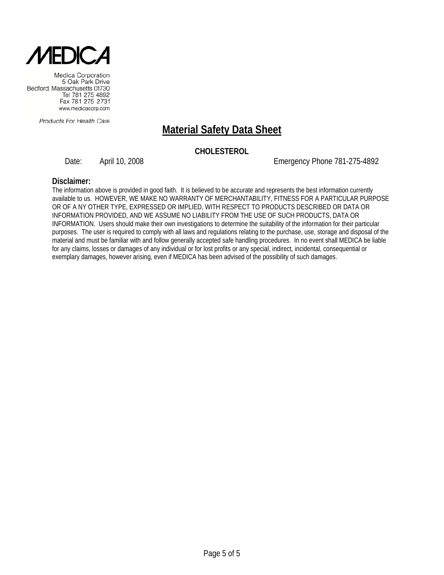

Products For Health Care

# **Material Safety Data Sheet**

#### **CHOLESTEROL**

Date: April 10, 2008 Emergency Phone 781-275-4892

**Disclaimer:** The information above is provided in good faith. It is believed to be accurate and represents the best information currently available to us. HOWEVER, WE MAKE NO WARRANTY OF MERCHANTABILITY, FITNESS FOR A PARTICULAR PURPOSE OR OF A NY OTHER TYPE, EXPRESSED OR IMPLIED, WITH RESPECT TO PRODUCTS DESCRIBED OR DATA OR INFORMATION PROVIDED, AND WE ASSUME NO LIABILITY FROM THE USE OF SUCH PRODUCTS, DATA OR INFORMATION. Users should make their own investigations to determine the suitability of the information for their particular purposes. The user is required to comply with all laws and regulations relating to the purchase, use, storage and disposal of the material and must be familiar with and follow generally accepted safe handling procedures. In no event shall MEDICA be liable for any claims, losses or damages of any individual or for lost profits or any special, indirect, incidental, consequential or exemplary damages, however arising, even if MEDICA has been advised of the possibility of such damages.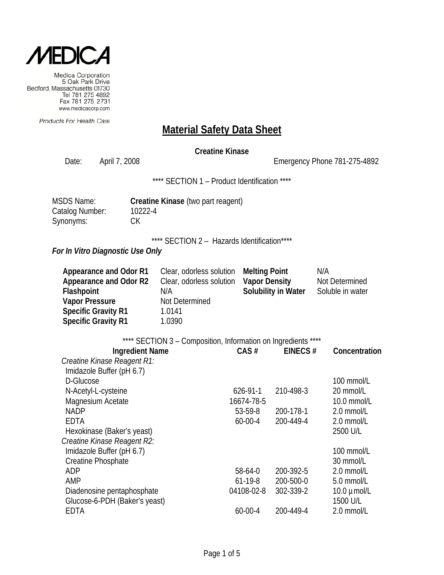

Products For Health Care

#### **Material Safety Data Sheet**

#### **Creatine Kinase**

Date: April 7, 2008 2008 2009 Emergency Phone 781-275-4892 \*\*\*\* SECTION 1 - Product Identification \*\*\*\* MSDS Name: **Creatine Kinase** (two part reagent) Catalog Number: 10222-4 Synonyms: CK \*\*\*\* SECTION 2 - Hazards Identification\*\*\*\* *For In Vitro Diagnostic Use Only* **Appearance and Odor R1** Clear, odorless solution **Melting Point** N/A **Appearance and Odor R2** Clear, odorless solution **Vapor Density** Not Determined **Flashpoint N/A Solubility in Water** Soluble in water **Vapor Pressure** Not Determined **Specific Gravity R1** 1.0141 **Specific Gravity R1** 1.0390 \*\*\*\* SECTION 3 - Composition, Information on Ingredients \*\*\*\* **Ingredient Name CAS # EINECS # Concentration** *Creatine Kinase Reagent R1:* Imidazole Buffer (pH 6.7) D-Glucose 100 mmol/L N-Acetyl-L-cysteine 626-91-1 210-498-3 20 mmol/L Magnesium Acetate 16674-78-5 16674-78-5 10.0 mmol/L NADP 53-59-8 200-178-1 2.0 mmol/L EDTA 60-00-4 200-449-4 2.0 mmol/L Hexokinase (Baker's yeast) 2500 U/L *Creatine Kinase Reagent R2:* Imidazole Buffer (pH 6.7) 100 mmol/L Creatine Phosphate 30 mmol/L ADP 68-64-0 200-392-5 2.0 mmol/L AMP 61-19-8 200-500-0 5.0 mmol/L Diadenosine pentaphosphate 04108-02-8 302-339-2 10.0 umol/L

Glucose-6-PDH (Baker's yeast) 1500 U/L EDTA 60-00-4 200-449-4 2.0 mmol/L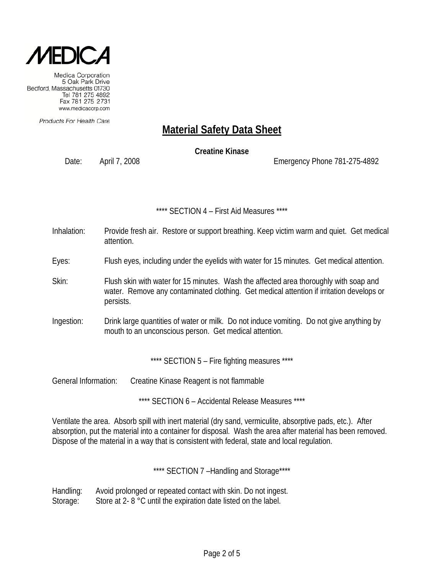

Products For Health Care

# **Material Safety Data Sheet**

**Creatine Kinase**

Date: April 7, 2008 Emergency Phone 781-275-4892

#### \*\*\*\* SECTION 4 – First Aid Measures \*\*\*\*

- Inhalation: Provide fresh air. Restore or support breathing. Keep victim warm and quiet. Get medical attention.
- Eyes: Flush eyes, including under the eyelids with water for 15 minutes. Get medical attention.
- Skin: Flush skin with water for 15 minutes. Wash the affected area thoroughly with soap and water. Remove any contaminated clothing. Get medical attention if irritation develops or persists.
- Ingestion: Drink large quantities of water or milk. Do not induce vomiting. Do not give anything by mouth to an unconscious person. Get medical attention.

\*\*\*\* SECTION 5 - Fire fighting measures \*\*\*\*

General Information: Creatine Kinase Reagent is not flammable

\*\*\*\* SECTION 6 – Accidental Release Measures \*\*\*\*

Ventilate the area. Absorb spill with inert material (dry sand, vermiculite, absorptive pads, etc.). After absorption, put the material into a container for disposal. Wash the area after material has been removed. Dispose of the material in a way that is consistent with federal, state and local regulation.

\*\*\*\* SECTION 7 -Handling and Storage\*\*\*\*

Handling: Avoid prolonged or repeated contact with skin. Do not ingest. Storage: Store at 2- 8 °C until the expiration date listed on the label.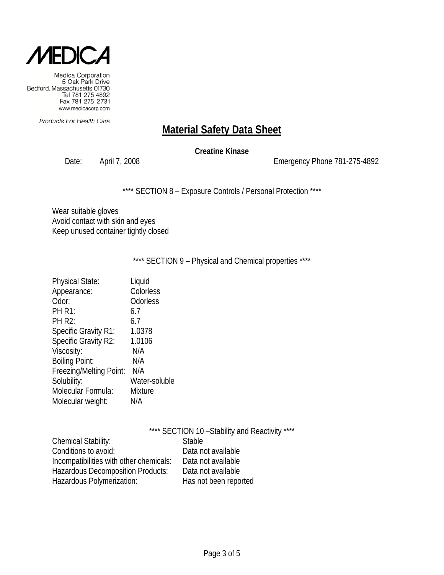

Products For Health Care

# **Material Safety Data Sheet**

**Creatine Kinase**

Date: April 7, 2008 2008 2009 Emergency Phone 781-275-4892

\*\*\*\* SECTION 8 - Exposure Controls / Personal Protection \*\*\*\*

Wear suitable gloves Avoid contact with skin and eyes Keep unused container tightly closed

\*\*\*\* SECTION 9 - Physical and Chemical properties \*\*\*\*

| <b>Physical State:</b>      | Liquid        |
|-----------------------------|---------------|
| Appearance:                 | Colorless     |
| Odor:                       | Odorless      |
| <b>PH R1:</b>               | 6.7           |
| <b>PH R2:</b>               | 6.7           |
| <b>Specific Gravity R1:</b> | 1.0378        |
| Specific Gravity R2:        | 1.0106        |
| Viscosity:                  | N/A           |
| <b>Boiling Point:</b>       | N/A           |
| Freezing/Melting Point:     | N/A           |
| Solubility:                 | Water-soluble |
| Molecular Formula:          | Mixture       |
| Molecular weight:           | N/A           |

|                                         | **** SECTION 10 - Stability and Reactivity **** |
|-----------------------------------------|-------------------------------------------------|
| <b>Chemical Stability:</b>              | <b>Stable</b>                                   |
| Conditions to avoid:                    | Data not available                              |
| Incompatibilities with other chemicals: | Data not available                              |
| Hazardous Decomposition Products:       | Data not available                              |
| Hazardous Polymerization:               | Has not been reported                           |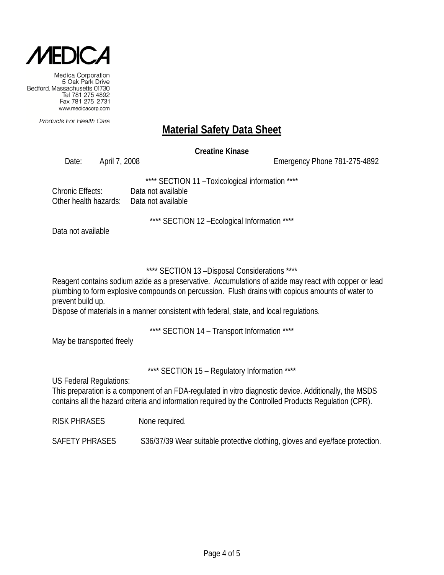

Products For Health Care

### **Material Safety Data Sheet**

**Creatine Kinase**

Date: April 7, 2008 Emergency Phone 781-275-4892

\*\*\*\* SECTION 11 –Toxicological information \*\*\*\*

Chronic Effects: Data not available Other health hazards: Data not available

\*\*\*\* SECTION 12 –Ecological Information \*\*\*\*

Data not available

\*\*\*\* SECTION 13 –Disposal Considerations \*\*\*\*

Reagent contains sodium azide as a preservative. Accumulations of azide may react with copper or lead plumbing to form explosive compounds on percussion. Flush drains with copious amounts of water to prevent build up.

Dispose of materials in a manner consistent with federal, state, and local regulations.

\*\*\*\* SECTION 14 – Transport Information \*\*\*\*

May be transported freely

\*\*\*\* SECTION 15 – Regulatory Information \*\*\*\*

US Federal Regulations:

This preparation is a component of an FDA-regulated in vitro diagnostic device. Additionally, the MSDS contains all the hazard criteria and information required by the Controlled Products Regulation (CPR).

RISK PHRASES None required.

SAFETY PHRASES S36/37/39 Wear suitable protective clothing, gloves and eye/face protection.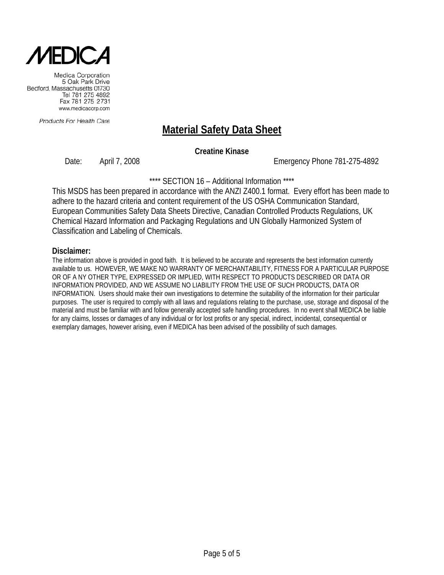

Products For Health Care

# **Material Safety Data Sheet**

**Creatine Kinase**

Date: April 7, 2008 Emergency Phone 781-275-4892

\*\*\*\* SECTION 16 – Additional Information \*\*\*\*

This MSDS has been prepared in accordance with the ANZI Z400.1 format. Every effort has been made to adhere to the hazard criteria and content requirement of the US OSHA Communication Standard, European Communities Safety Data Sheets Directive, Canadian Controlled Products Regulations, UK Chemical Hazard Information and Packaging Regulations and UN Globally Harmonized System of Classification and Labeling of Chemicals.

#### **Disclaimer:**

The information above is provided in good faith. It is believed to be accurate and represents the best information currently available to us. HOWEVER, WE MAKE NO WARRANTY OF MERCHANTABILITY, FITNESS FOR A PARTICULAR PURPOSE OR OF A NY OTHER TYPE, EXPRESSED OR IMPLIED, WITH RESPECT TO PRODUCTS DESCRIBED OR DATA OR INFORMATION PROVIDED, AND WE ASSUME NO LIABILITY FROM THE USE OF SUCH PRODUCTS, DATA OR INFORMATION. Users should make their own investigations to determine the suitability of the information for their particular purposes. The user is required to comply with all laws and regulations relating to the purchase, use, storage and disposal of the material and must be familiar with and follow generally accepted safe handling procedures. In no event shall MEDICA be liable for any claims, losses or damages of any individual or for lost profits or any special, indirect, incidental, consequential or exemplary damages, however arising, even if MEDICA has been advised of the possibility of such damages.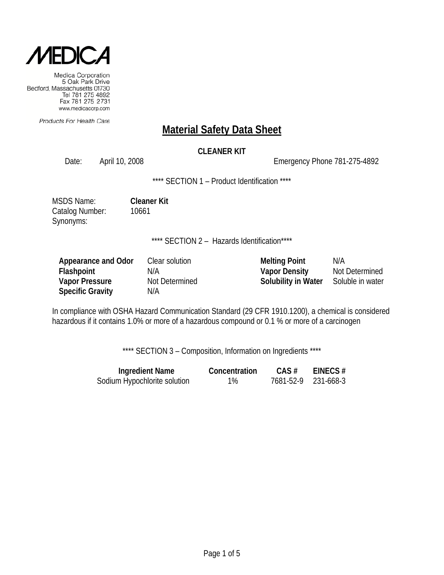

Products For Health Care

### **Material Safety Data Sheet**

#### **CLEANER KIT**

Date: April 10, 2008 Channel 2008 Emergency Phone 781-275-4892

\*\*\*\* SECTION 1 - Product Identification \*\*\*\*

MSDS Name: **Cleaner Kit** Catalog Number: 10661 Synonyms:

\*\*\*\* SECTION 2 - Hazards Identification\*\*\*\*

| Appearance and Odor     | Clear solution | <b>Melting Point</b>       | N/A              |
|-------------------------|----------------|----------------------------|------------------|
| <b>Flashpoint</b>       | N/A            | <b>Vapor Density</b>       | Not Determined   |
| <b>Vapor Pressure</b>   | Not Determined | <b>Solubility in Water</b> | Soluble in water |
| <b>Specific Gravity</b> | N/A            |                            |                  |

In compliance with OSHA Hazard Communication Standard (29 CFR 1910.1200), a chemical is considered hazardous if it contains 1.0% or more of a hazardous compound or 0.1 % or more of a carcinogen

\*\*\*\* SECTION 3 - Composition, Information on Ingredients \*\*\*\*

| <b>Ingredient Name</b>       | Concentration | $CAS \#$ | EINECS $#$          |
|------------------------------|---------------|----------|---------------------|
| Sodium Hypochlorite solution | $1\%$         |          | 7681-52-9 231-668-3 |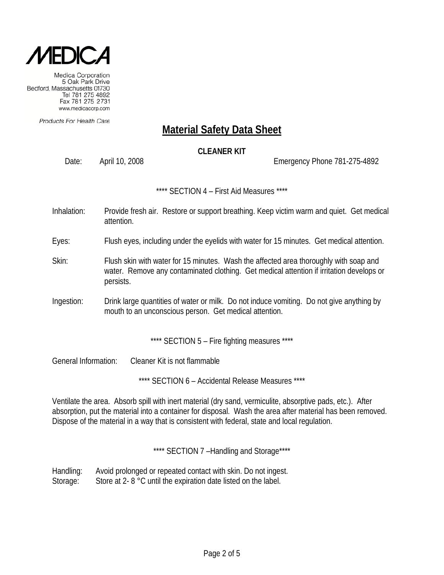

Products For Health Care

# **Material Safety Data Sheet**

#### **CLEANER KIT**

Date: April 10, 2008 Emergency Phone 781-275-4892

\*\*\*\* SECTION 4 – First Aid Measures \*\*\*\*

Inhalation: Provide fresh air. Restore or support breathing. Keep victim warm and quiet. Get medical attention.

Eyes: Flush eyes, including under the eyelids with water for 15 minutes. Get medical attention.

- Skin: Flush skin with water for 15 minutes. Wash the affected area thoroughly with soap and water. Remove any contaminated clothing. Get medical attention if irritation develops or persists.
- Ingestion: Drink large quantities of water or milk. Do not induce vomiting. Do not give anything by mouth to an unconscious person. Get medical attention.

\*\*\*\* SECTION 5 - Fire fighting measures \*\*\*\*

General Information: Cleaner Kit is not flammable

\*\*\*\* SECTION 6 - Accidental Release Measures \*\*\*\*

Ventilate the area. Absorb spill with inert material (dry sand, vermiculite, absorptive pads, etc.). After absorption, put the material into a container for disposal. Wash the area after material has been removed. Dispose of the material in a way that is consistent with federal, state and local regulation.

\*\*\*\* SECTION 7-Handling and Storage\*\*\*\*

Handling: Avoid prolonged or repeated contact with skin. Do not ingest. Storage: Store at 2- 8 °C until the expiration date listed on the label.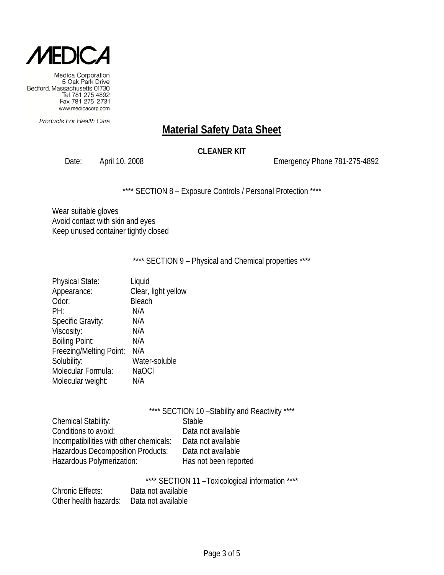

Products For Health Care

# **Material Safety Data Sheet**

#### **CLEANER KIT**

Date: April 10, 2008 2008 2009 Emergency Phone 781-275-4892

\*\*\*\* SECTION 8 - Exposure Controls / Personal Protection \*\*\*\*

Wear suitable gloves Avoid contact with skin and eyes Keep unused container tightly closed

\*\*\*\* SECTION 9 - Physical and Chemical properties \*\*\*\*

| <b>Physical State:</b>  | Liquid              |
|-------------------------|---------------------|
| Appearance:             | Clear, light yellow |
| Odor:                   | Bleach              |
| PH:                     | N/A                 |
| Specific Gravity:       | N/A                 |
| Viscosity:              | N/A                 |
| <b>Boiling Point:</b>   | N/A                 |
| Freezing/Melting Point: | N/A                 |
| Solubility:             | Water-soluble       |
| Molecular Formula:      | <b>NaOCI</b>        |
| Molecular weight:       | N/A                 |
|                         |                     |

|                                         | **** SECTION 10 - Stability and Reactivity **** |  |
|-----------------------------------------|-------------------------------------------------|--|
| Chemical Stability:                     | <b>Stable</b>                                   |  |
| Conditions to avoid:                    | Data not available                              |  |
| Incompatibilities with other chemicals: | Data not available                              |  |
| Hazardous Decomposition Products:       | Data not available                              |  |
| Hazardous Polymerization:               | Has not been reported                           |  |
|                                         |                                                 |  |

\*\*\*\* SECTION 11 –Toxicological information \*\*\*\*

| <b>Chronic Effects:</b> | Data not available |
|-------------------------|--------------------|
| Other health hazards:   | Data not available |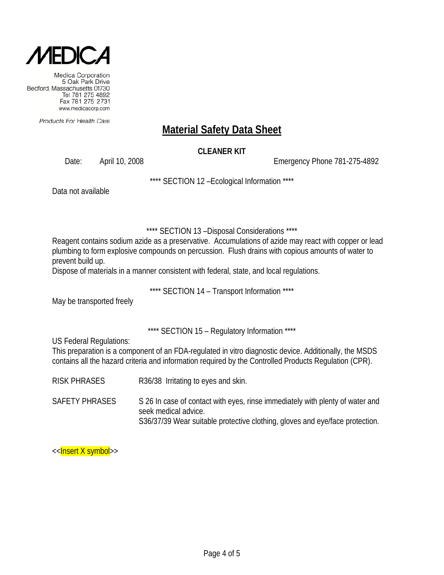

Products For Health Care

# **Material Safety Data Sheet**

#### **CLEANER KIT**

Date: April 10, 2008 Channel Control Control Control Control Control Control Control Control Control Control Control Control Control Control Control Control Control Control Control Control Control Control Control Control C

\*\*\*\* SECTION 12 –Ecological Information \*\*\*\*

Data not available

\*\*\*\* SECTION 13 –Disposal Considerations \*\*\*\*

Reagent contains sodium azide as a preservative. Accumulations of azide may react with copper or lead plumbing to form explosive compounds on percussion. Flush drains with copious amounts of water to prevent build up.

Dispose of materials in a manner consistent with federal, state, and local regulations.

\*\*\*\* SECTION 14 – Transport Information \*\*\*\*

May be transported freely

\*\*\*\* SECTION 15 – Regulatory Information \*\*\*\*

US Federal Regulations:

This preparation is a component of an FDA-regulated in vitro diagnostic device. Additionally, the MSDS contains all the hazard criteria and information required by the Controlled Products Regulation (CPR).

RISK PHRASES R36/38 Irritating to eyes and skin.

SAFETY PHRASES S 26 In case of contact with eyes, rinse immediately with plenty of water and seek medical advice. S36/37/39 Wear suitable protective clothing, gloves and eye/face protection.

<<**Insert X symbol**>>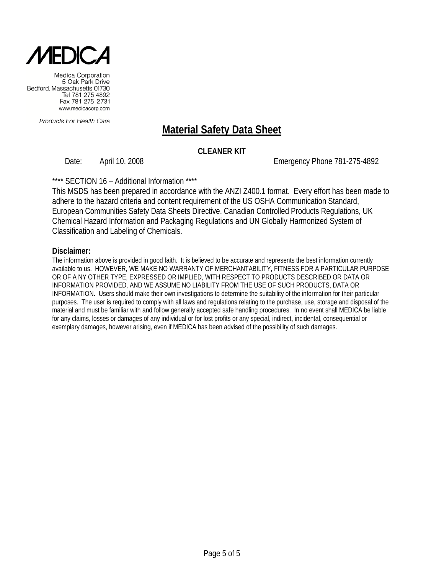

Products For Health Care

# **Material Safety Data Sheet**

#### **CLEANER KIT**

Date: April 10, 2008 Emergency Phone 781-275-4892

\*\*\*\* SECTION 16 – Additional Information \*\*\*\*

This MSDS has been prepared in accordance with the ANZI Z400.1 format. Every effort has been made to adhere to the hazard criteria and content requirement of the US OSHA Communication Standard, European Communities Safety Data Sheets Directive, Canadian Controlled Products Regulations, UK Chemical Hazard Information and Packaging Regulations and UN Globally Harmonized System of Classification and Labeling of Chemicals.

#### **Disclaimer:**

The information above is provided in good faith. It is believed to be accurate and represents the best information currently available to us. HOWEVER, WE MAKE NO WARRANTY OF MERCHANTABILITY, FITNESS FOR A PARTICULAR PURPOSE OR OF A NY OTHER TYPE, EXPRESSED OR IMPLIED, WITH RESPECT TO PRODUCTS DESCRIBED OR DATA OR INFORMATION PROVIDED, AND WE ASSUME NO LIABILITY FROM THE USE OF SUCH PRODUCTS, DATA OR INFORMATION. Users should make their own investigations to determine the suitability of the information for their particular purposes. The user is required to comply with all laws and regulations relating to the purchase, use, storage and disposal of the material and must be familiar with and follow generally accepted safe handling procedures. In no event shall MEDICA be liable for any claims, losses or damages of any individual or for lost profits or any special, indirect, incidental, consequential or exemplary damages, however arising, even if MEDICA has been advised of the possibility of such damages.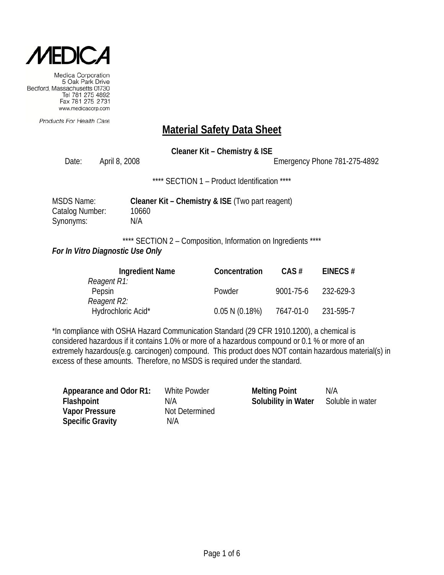

Products For Health Care

# **Material Safety Data Sheet**

**Cleaner Kit – Chemistry & ISE**

Date: April 8, 2008 2008 2008 Emergency Phone 781-275-4892

\*\*\*\* SECTION 1 – Product Identification \*\*\*\*

| MSDS Name:      | Cleaner Kit - Chemistry & ISE (Two part reagent) |
|-----------------|--------------------------------------------------|
| Catalog Number: | 10660                                            |
| Synonyms:       | N/A                                              |

\*\*\*\* SECTION 2 - Composition, Information on Ingredients \*\*\*\*

#### *For In Vitro Diagnostic Use Only*

| <b>Ingredient Name</b> | Concentration  | $CAS \#$  | EINECS#   |
|------------------------|----------------|-----------|-----------|
| Reagent R1:            |                |           |           |
| Pepsin                 | Powder         | 9001-75-6 | 232-629-3 |
| Reagent R2:            |                |           |           |
| Hydrochloric Acid*     | 0.05 N (0.18%) | 7647-01-0 | 231-595-7 |

\*In compliance with OSHA Hazard Communication Standard (29 CFR 1910.1200), a chemical is considered hazardous if it contains 1.0% or more of a hazardous compound or 0.1 % or more of an extremely hazardous(e.g. carcinogen) compound. This product does NOT contain hazardous material(s) in excess of these amounts. Therefore, no MSDS is required under the standard.

| Appearance and Odor R1:<br><b>Flashpoint</b><br><b>Vapor Pressure</b> | White Powder<br>N/A<br>Not Determined | <b>Melting Point</b><br>Solubility in Water | N/A<br>Soluble in water |
|-----------------------------------------------------------------------|---------------------------------------|---------------------------------------------|-------------------------|
| <b>Specific Gravity</b>                                               | N/A                                   |                                             |                         |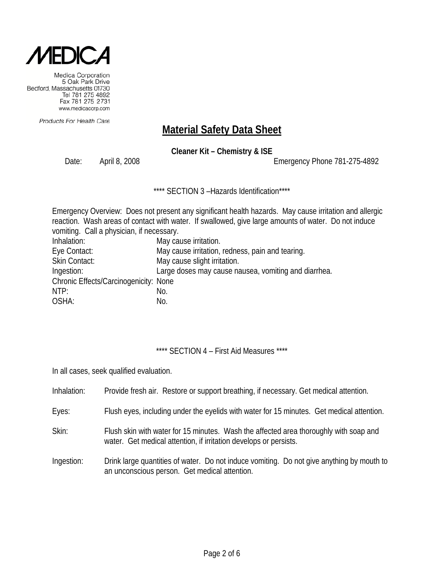

Products For Health Care

# **Material Safety Data Sheet**

**Cleaner Kit – Chemistry & ISE**

Date: April 8, 2008 Emergency Phone 781-275-4892

\*\*\*\* SECTION 3-Hazards Identification\*\*\*\*

|                                           | Emergency Overview: Does not present any significant health hazards. May cause irritation and allergic |  |  |  |
|-------------------------------------------|--------------------------------------------------------------------------------------------------------|--|--|--|
|                                           | reaction. Wash areas of contact with water. If swallowed, give large amounts of water. Do not induce   |  |  |  |
| vomiting. Call a physician, if necessary. |                                                                                                        |  |  |  |
| Inhalation:                               | May cause irritation.                                                                                  |  |  |  |
| Eye Contact:                              | May cause irritation, redness, pain and tearing.                                                       |  |  |  |
| <b>Skin Contact:</b>                      | May cause slight irritation.                                                                           |  |  |  |
| Ingestion:                                | Large doses may cause nausea, vomiting and diarrhea.                                                   |  |  |  |
| Chronic Effects/Carcinogenicity: None     |                                                                                                        |  |  |  |
| NTP:                                      | No.                                                                                                    |  |  |  |
| OSHA:                                     | No.                                                                                                    |  |  |  |

\*\*\*\* SECTION 4 - First Aid Measures \*\*\*\*

In all cases, seek qualified evaluation.

| Inhalation: | Provide fresh air. Restore or support breathing, if necessary. Get medical attention.                                                                      |
|-------------|------------------------------------------------------------------------------------------------------------------------------------------------------------|
| Eyes:       | Flush eyes, including under the eyelids with water for 15 minutes. Get medical attention.                                                                  |
| Skin:       | Flush skin with water for 15 minutes. Wash the affected area thoroughly with soap and<br>water. Get medical attention, if irritation develops or persists. |
| Ingestion:  | Drink large quantities of water. Do not induce vomiting. Do not give anything by mouth to<br>an unconscious person. Get medical attention.                 |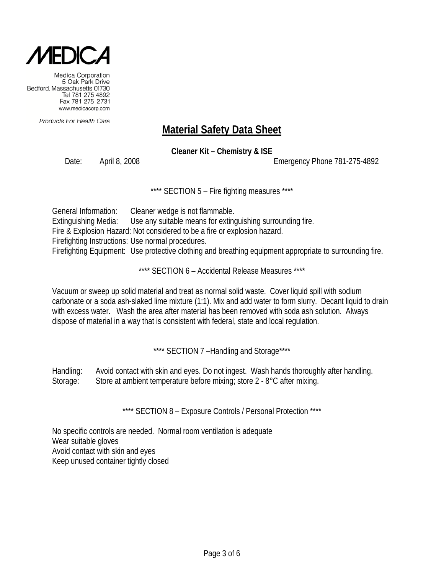

Products For Health Care

# **Material Safety Data Sheet**

**Cleaner Kit – Chemistry & ISE**

Date: April 8, 2008 Emergency Phone 781-275-4892

\*\*\*\* SECTION 5 - Fire fighting measures \*\*\*\*

General Information: Cleaner wedge is not flammable. Extinguishing Media: Use any suitable means for extinguishing surrounding fire. Fire & Explosion Hazard: Not considered to be a fire or explosion hazard. Firefighting Instructions: Use normal procedures. Firefighting Equipment: Use protective clothing and breathing equipment appropriate to surrounding fire.

\*\*\*\* SECTION 6 - Accidental Release Measures \*\*\*\*

Vacuum or sweep up solid material and treat as normal solid waste. Cover liquid spill with sodium carbonate or a soda ash-slaked lime mixture (1:1). Mix and add water to form slurry. Decant liquid to drain with excess water. Wash the area after material has been removed with soda ash solution. Always dispose of material in a way that is consistent with federal, state and local regulation.

\*\*\*\* SECTION 7-Handling and Storage\*\*\*\*

Handling: Avoid contact with skin and eyes. Do not ingest. Wash hands thoroughly after handling. Storage: Store at ambient temperature before mixing; store 2 - 8°C after mixing.

\*\*\*\* SECTION 8 – Exposure Controls / Personal Protection \*\*\*\*

No specific controls are needed. Normal room ventilation is adequate Wear suitable gloves Avoid contact with skin and eyes Keep unused container tightly closed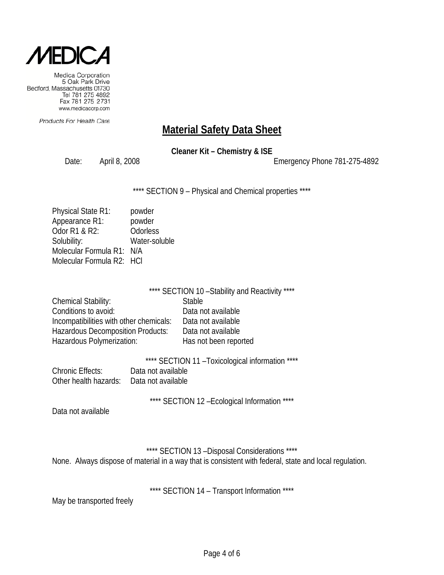

Products For Health Care

### **Material Safety Data Sheet**

**Cleaner Kit – Chemistry & ISE**

Date: April 8, 2008 2008 2008 2010 Emergency Phone 781-275-4892

\*\*\*\* SECTION 9 - Physical and Chemical properties \*\*\*\*

| powder                    |
|---------------------------|
| powder                    |
| Odorless                  |
| Water-soluble             |
| Molecular Formula R1: N/A |
| Molecular Formula R2: HCI |
|                           |

|                                          | **** SECTION 10 - Stability and Reactivity **** |
|------------------------------------------|-------------------------------------------------|
| <b>Chemical Stability:</b>               | <b>Stable</b>                                   |
| Conditions to avoid:                     | Data not available                              |
| Incompatibilities with other chemicals:  | Data not available                              |
| <b>Hazardous Decomposition Products:</b> | Data not available                              |
| Hazardous Polymerization:                | Has not been reported                           |

\*\*\*\* SECTION 11 –Toxicological information \*\*\*\* Chronic Effects: Data not available Other health hazards: Data not available

\*\*\*\* SECTION 12 - Ecological Information \*\*\*\*

Data not available

\*\*\*\* SECTION 13 –Disposal Considerations \*\*\*\* None. Always dispose of material in a way that is consistent with federal, state and local regulation.

\*\*\*\* SECTION 14 - Transport Information \*\*\*\*

May be transported freely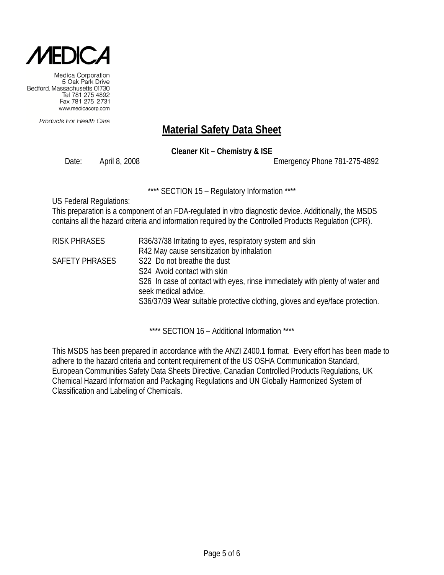

Products For Health Care

# **Material Safety Data Sheet**

**Cleaner Kit – Chemistry & ISE**

Date: April 8, 2008 Emergency Phone 781-275-4892

\*\*\*\* SECTION 15 – Regulatory Information \*\*\*\*

US Federal Regulations:

This preparation is a component of an FDA-regulated in vitro diagnostic device. Additionally, the MSDS contains all the hazard criteria and information required by the Controlled Products Regulation (CPR).

| <b>RISK PHRASES</b>   | R36/37/38 Irritating to eyes, respiratory system and skin                                            |
|-----------------------|------------------------------------------------------------------------------------------------------|
|                       | R42 May cause sensitization by inhalation                                                            |
| <b>SAFETY PHRASES</b> | S22 Do not breathe the dust                                                                          |
|                       | S <sub>24</sub> Avoid contact with skin                                                              |
|                       | S26 In case of contact with eyes, rinse immediately with plenty of water and<br>seek medical advice. |
|                       | S36/37/39 Wear suitable protective clothing, gloves and eye/face protection.                         |
|                       |                                                                                                      |

\*\*\*\* SECTION 16 – Additional Information \*\*\*\*

This MSDS has been prepared in accordance with the ANZI Z400.1 format. Every effort has been made to adhere to the hazard criteria and content requirement of the US OSHA Communication Standard, European Communities Safety Data Sheets Directive, Canadian Controlled Products Regulations, UK Chemical Hazard Information and Packaging Regulations and UN Globally Harmonized System of Classification and Labeling of Chemicals.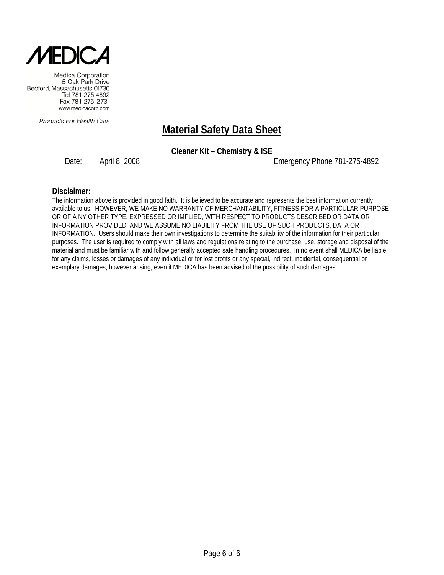

Products For Health Care

### **Material Safety Data Sheet**

**Cleaner Kit – Chemistry & ISE**

Date: April 8, 2008 2008 2008 Emergency Phone 781-275-4892

#### **Disclaimer:**

The information above is provided in good faith. It is believed to be accurate and represents the best information currently available to us. HOWEVER, WE MAKE NO WARRANTY OF MERCHANTABILITY, FITNESS FOR A PARTICULAR PURPOSE OR OF A NY OTHER TYPE, EXPRESSED OR IMPLIED, WITH RESPECT TO PRODUCTS DESCRIBED OR DATA OR INFORMATION PROVIDED, AND WE ASSUME NO LIABILITY FROM THE USE OF SUCH PRODUCTS, DATA OR INFORMATION. Users should make their own investigations to determine the suitability of the information for their particular purposes. The user is required to comply with all laws and regulations relating to the purchase, use, storage and disposal of the material and must be familiar with and follow generally accepted safe handling procedures. In no event shall MEDICA be liable for any claims, losses or damages of any individual or for lost profits or any special, indirect, incidental, consequential or exemplary damages, however arising, even if MEDICA has been advised of the possibility of such damages.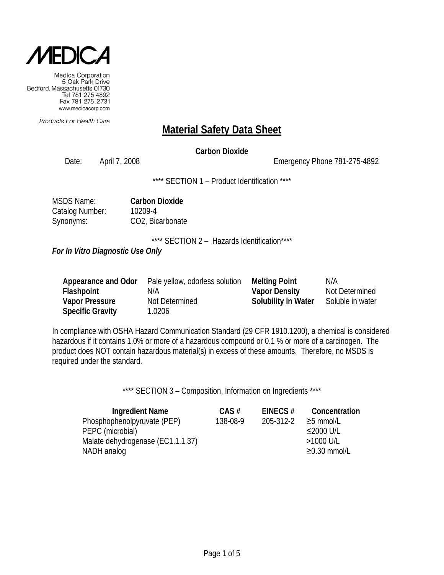

Products For Health Care

### **Material Safety Data Sheet**

#### **Carbon Dioxide**

Date: April 7, 2008 Emergency Phone 781-275-4892

\*\*\*\* SECTION 1 – Product Identification \*\*\*\*

| <b>MSDS Name:</b> | <b>Carbon Dioxide</b> |
|-------------------|-----------------------|
| Catalog Number:   | 10209-4               |
| Synonyms:         | CO2, Bicarbonate      |

\*\*\*\* SECTION 2 - Hazards Identification\*\*\*\*

*For In Vitro Diagnostic Use Only*

| Appearance and Odor     | Pale yellow, odorless solution | <b>Melting Point</b> | N/A              |
|-------------------------|--------------------------------|----------------------|------------------|
| <b>Flashpoint</b>       | N/A                            | <b>Vapor Density</b> | Not Determined   |
| <b>Vapor Pressure</b>   | Not Determined                 | Solubility in Water  | Soluble in water |
| <b>Specific Gravity</b> | 1.0206                         |                      |                  |

In compliance with OSHA Hazard Communication Standard (29 CFR 1910.1200), a chemical is considered hazardous if it contains 1.0% or more of a hazardous compound or 0.1 % or more of a carcinogen. The product does NOT contain hazardous material(s) in excess of these amounts. Therefore, no MSDS is required under the standard.

\*\*\*\* SECTION 3 - Composition, Information on Ingredients \*\*\*\*

| <b>Ingredient Name</b>            | $CAS \#$ | EINECS#   | Concentration      |
|-----------------------------------|----------|-----------|--------------------|
| Phosphophenolpyruvate (PEP)       | 138-08-9 | 205-312-2 | $\geq$ 5 mmol/L    |
| PEPC (microbial)                  |          |           | ≤2000 U/L          |
| Malate dehydrogenase (EC1.1.1.37) |          |           | $>1000$ U/L        |
| NADH analog                       |          |           | $\geq$ 0.30 mmol/L |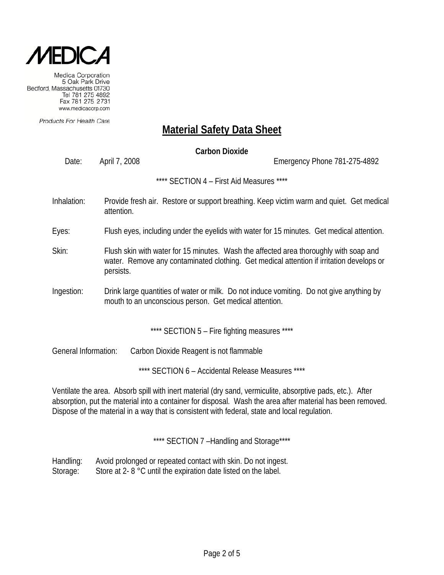

Products For Health Care

### **Material Safety Data Sheet**

**Carbon Dioxide** Date: April 7, 2008 Emergency Phone 781-275-4892 \*\*\*\* SECTION 4 – First Aid Measures \*\*\*\* Inhalation: Provide fresh air. Restore or support breathing. Keep victim warm and quiet. Get medical attention. Eyes: Flush eyes, including under the eyelids with water for 15 minutes. Get medical attention. Skin: Flush skin with water for 15 minutes. Wash the affected area thoroughly with soap and water. Remove any contaminated clothing. Get medical attention if irritation develops or persists. Ingestion: Drink large quantities of water or milk. Do not induce vomiting. Do not give anything by mouth to an unconscious person. Get medical attention. \*\*\*\* SECTION 5 – Fire fighting measures \*\*\*\*

General Information: Carbon Dioxide Reagent is not flammable

\*\*\*\* SECTION 6 – Accidental Release Measures \*\*\*\*

Ventilate the area. Absorb spill with inert material (dry sand, vermiculite, absorptive pads, etc.). After absorption, put the material into a container for disposal. Wash the area after material has been removed. Dispose of the material in a way that is consistent with federal, state and local regulation.

\*\*\*\* SECTION 7 -Handling and Storage\*\*\*\*

Handling: Avoid prolonged or repeated contact with skin. Do not ingest. Storage: Store at 2- 8 °C until the expiration date listed on the label.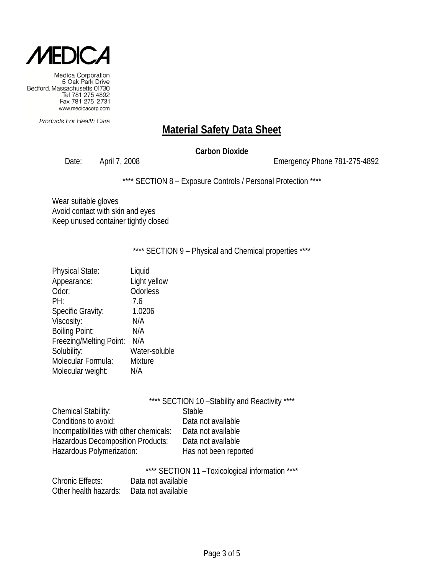

Products For Health Care

### **Material Safety Data Sheet**

#### **Carbon Dioxide**

Date: April 7, 2008 2008 2009 2010 Emergency Phone 781-275-4892

\*\*\*\* SECTION 8 - Exposure Controls / Personal Protection \*\*\*\*

Wear suitable gloves Avoid contact with skin and eyes Keep unused container tightly closed

\*\*\*\* SECTION 9 - Physical and Chemical properties \*\*\*\*

| <b>Physical State:</b>   | Liquid        |
|--------------------------|---------------|
| Appearance:              | Light yellow  |
| Odor:                    | Odorless      |
| PH:                      | 7.6           |
| <b>Specific Gravity:</b> | 1.0206        |
| Viscosity:               | N/A           |
| <b>Boiling Point:</b>    | N/A           |
| Freezing/Melting Point:  | N/A           |
| Solubility:              | Water-soluble |
| Molecular Formula:       | Mixture       |
| Molecular weight:        | N/A           |

|                                          | **** SECTION 10 - Stability and Reactivity **** |
|------------------------------------------|-------------------------------------------------|
| Chemical Stability:                      | <b>Stable</b>                                   |
| Conditions to avoid:                     | Data not available                              |
| Incompatibilities with other chemicals:  | Data not available                              |
| <b>Hazardous Decomposition Products:</b> | Data not available                              |
| Hazardous Polymerization:                | Has not been reported                           |

\*\*\*\* SECTION 11 –Toxicological information \*\*\*\*

| <b>Chronic Effects:</b>                  | Data not available |
|------------------------------------------|--------------------|
| Other health hazards: Data not available |                    |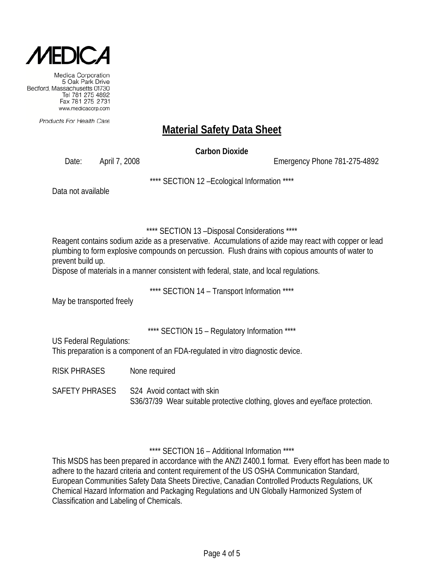

Products For Health Care

# **Material Safety Data Sheet**

**Carbon Dioxide**

Date: April 7, 2008 Emergency Phone 781-275-4892

\*\*\*\* SECTION 12 –Ecological Information \*\*\*\*

Data not available

\*\*\*\* SECTION 13 –Disposal Considerations \*\*\*\*

Reagent contains sodium azide as a preservative. Accumulations of azide may react with copper or lead plumbing to form explosive compounds on percussion. Flush drains with copious amounts of water to prevent build up.

Dispose of materials in a manner consistent with federal, state, and local regulations.

\*\*\*\* SECTION 14 – Transport Information \*\*\*\*

May be transported freely

\*\*\*\* SECTION 15 – Regulatory Information \*\*\*\*

US Federal Regulations:

This preparation is a component of an FDA-regulated in vitro diagnostic device.

RISK PHRASES None required

SAFETY PHRASES S24 Avoid contact with skin S36/37/39 Wear suitable protective clothing, gloves and eye/face protection.

\*\*\*\* SECTION 16 – Additional Information \*\*\*\*

This MSDS has been prepared in accordance with the ANZI Z400.1 format. Every effort has been made to adhere to the hazard criteria and content requirement of the US OSHA Communication Standard, European Communities Safety Data Sheets Directive, Canadian Controlled Products Regulations, UK Chemical Hazard Information and Packaging Regulations and UN Globally Harmonized System of Classification and Labeling of Chemicals.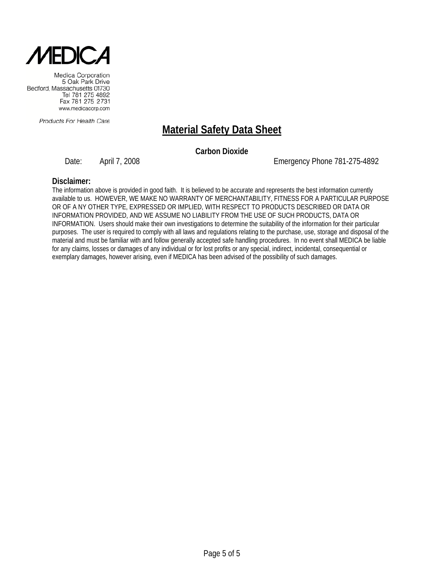

Products For Health Care

# **Material Safety Data Sheet**

**Carbon Dioxide**

Date: April 7, 2008 Emergency Phone 781-275-4892

#### **Disclaimer:**

The information above is provided in good faith. It is believed to be accurate and represents the best information currently available to us. HOWEVER, WE MAKE NO WARRANTY OF MERCHANTABILITY, FITNESS FOR A PARTICULAR PURPOSE OR OF A NY OTHER TYPE, EXPRESSED OR IMPLIED, WITH RESPECT TO PRODUCTS DESCRIBED OR DATA OR INFORMATION PROVIDED, AND WE ASSUME NO LIABILITY FROM THE USE OF SUCH PRODUCTS, DATA OR INFORMATION. Users should make their own investigations to determine the suitability of the information for their particular purposes. The user is required to comply with all laws and regulations relating to the purchase, use, storage and disposal of the material and must be familiar with and follow generally accepted safe handling procedures. In no event shall MEDICA be liable for any claims, losses or damages of any individual or for lost profits or any special, indirect, incidental, consequential or exemplary damages, however arising, even if MEDICA has been advised of the possibility of such damages.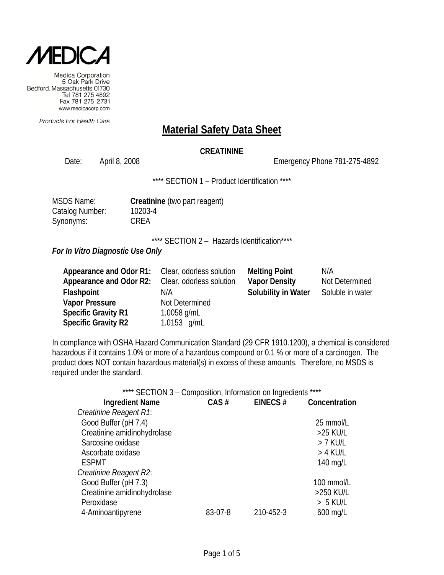

Products For Health Care

#### **Material Safety Data Sheet**

#### **CREATININE**

Date: April 8, 2008 Channel Controller Emergency Phone 781-275-4892

\*\*\*\* SECTION 1 - Product Identification \*\*\*\*

| <b>MSDS Name:</b> |
|-------------------|
| Catalog Number:   |
| Synonyms:         |

**Creatinine** (two part reagent) 10203-4 CREA

\*\*\*\* SECTION 2 - Hazards Identification\*\*\*\*

*For In Vitro Diagnostic Use Only*

| Appearance and Odor R1:    | Clear, odorless solution | <b>Melting Point</b>       | N/A              |
|----------------------------|--------------------------|----------------------------|------------------|
| Appearance and Odor R2:    | Clear, odorless solution | <b>Vapor Density</b>       | Not Determined   |
| Flashpoint                 | N/A                      | <b>Solubility in Water</b> | Soluble in water |
| <b>Vapor Pressure</b>      | Not Determined           |                            |                  |
| <b>Specific Gravity R1</b> | 1.0058 $g/mL$            |                            |                  |
| <b>Specific Gravity R2</b> | 1.0153 $g/mL$            |                            |                  |

In compliance with OSHA Hazard Communication Standard (29 CFR 1910.1200), a chemical is considered hazardous if it contains 1.0% or more of a hazardous compound or 0.1 % or more of a carcinogen. The product does NOT contain hazardous material(s) in excess of these amounts. Therefore, no MSDS is required under the standard.

|                             | **** SECTION 3 - Composition, Information on Ingredients **** |           |               |
|-----------------------------|---------------------------------------------------------------|-----------|---------------|
| <b>Ingredient Name</b>      | CAS#                                                          | EINECS#   | Concentration |
| Creatinine Reagent R1:      |                                                               |           |               |
| Good Buffer (pH 7.4)        |                                                               |           | 25 mmol/L     |
| Creatinine amidinohydrolase |                                                               |           | >25 KU/L      |
| Sarcosine oxidase           |                                                               |           | $> 7$ KU/L    |
| Ascorbate oxidase           |                                                               |           | > 4 KU/L      |
| <b>ESPMT</b>                |                                                               |           | 140 mg/L      |
| Creatinine Reagent R2:      |                                                               |           |               |
| Good Buffer (pH 7.3)        |                                                               |           | 100 mmol/L    |
| Creatinine amidinohydrolase |                                                               |           | >250 KU/L     |
| Peroxidase                  |                                                               |           | $> 5$ KU/L    |
| 4-Aminoantipyrene           | 83-07-8                                                       | 210-452-3 | $600$ mg/L    |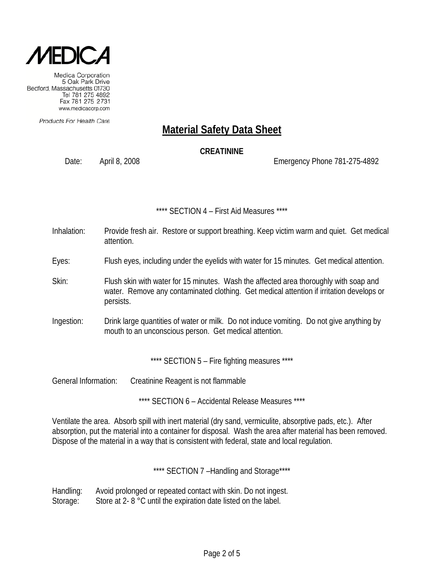

Products For Health Care

# **Material Safety Data Sheet**

#### **CREATININE**

Date: April 8, 2008 Emergency Phone 781-275-4892

#### \*\*\*\* SECTION 4 – First Aid Measures \*\*\*\*

- Inhalation: Provide fresh air. Restore or support breathing. Keep victim warm and quiet. Get medical attention.
- Eyes: Flush eyes, including under the eyelids with water for 15 minutes. Get medical attention.
- Skin: Flush skin with water for 15 minutes. Wash the affected area thoroughly with soap and water. Remove any contaminated clothing. Get medical attention if irritation develops or persists.
- Ingestion: Drink large quantities of water or milk. Do not induce vomiting. Do not give anything by mouth to an unconscious person. Get medical attention.

\*\*\*\* SECTION 5 - Fire fighting measures \*\*\*\*

General Information: Creatinine Reagent is not flammable

\*\*\*\* SECTION 6 – Accidental Release Measures \*\*\*\*

Ventilate the area. Absorb spill with inert material (dry sand, vermiculite, absorptive pads, etc.). After absorption, put the material into a container for disposal. Wash the area after material has been removed. Dispose of the material in a way that is consistent with federal, state and local regulation.

\*\*\*\* SECTION 7 -Handling and Storage\*\*\*\*

Handling: Avoid prolonged or repeated contact with skin. Do not ingest. Storage: Store at 2- 8 °C until the expiration date listed on the label.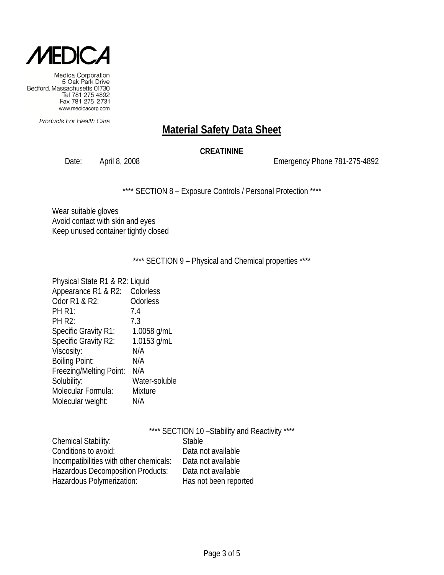

Products For Health Care

# **Material Safety Data Sheet**

#### **CREATININE**

Date: April 8, 2008 2008 2008 Emergency Phone 781-275-4892

\*\*\*\* SECTION 8 - Exposure Controls / Personal Protection \*\*\*\*

Wear suitable gloves Avoid contact with skin and eyes Keep unused container tightly closed

\*\*\*\* SECTION 9 - Physical and Chemical properties \*\*\*\*

| Physical State R1 & R2: Liquid |                |
|--------------------------------|----------------|
| Appearance R1 & R2:            | Colorless      |
| Odor R1 & R2:                  | Odorless       |
| <b>PH R1:</b>                  | 7.4            |
| <b>PH R2:</b>                  | 7.3            |
| <b>Specific Gravity R1:</b>    | 1.0058 g/mL    |
| Specific Gravity R2:           | 1.0153 g/mL    |
| Viscosity:                     | N/A            |
| <b>Boiling Point:</b>          | N/A            |
| Freezing/Melting Point:        | N/A            |
| Solubility:                    | Water-soluble  |
| Molecular Formula:             | <b>Mixture</b> |
| Molecular weight:              | N/A            |
|                                |                |

|                                         | **** SECTION 10 - Stability and Reactivity **** |
|-----------------------------------------|-------------------------------------------------|
| Chemical Stability:                     | <b>Stable</b>                                   |
| Conditions to avoid:                    | Data not available                              |
| Incompatibilities with other chemicals: | Data not available                              |
| Hazardous Decomposition Products:       | Data not available                              |
| Hazardous Polymerization:               | Has not been reported                           |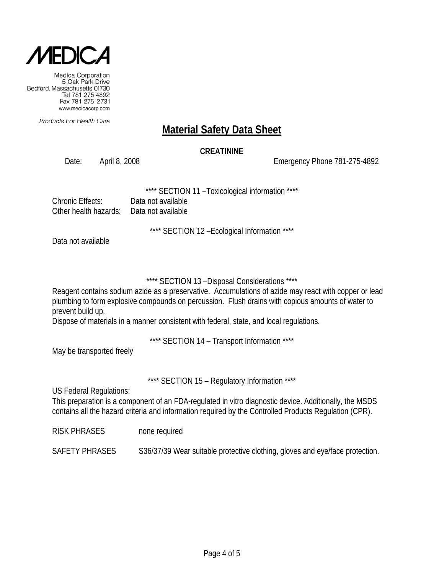

Products For Health Care

# **Material Safety Data Sheet**

#### **CREATININE**

Date: April 8, 2008 Emergency Phone 781-275-4892

SECTION 11 - Toxicological information \*\*\*\*

| Chronic Effects:                          | Data not available |
|-------------------------------------------|--------------------|
| Other health hazards:  Data not available |                    |

\*\*\*\* SECTION 12 –Ecological Information \*\*\*\*

Data not available

\*\*\*\* SECTION 13 –Disposal Considerations \*\*\*\*

Reagent contains sodium azide as a preservative. Accumulations of azide may react with copper or lead plumbing to form explosive compounds on percussion. Flush drains with copious amounts of water to prevent build up.

Dispose of materials in a manner consistent with federal, state, and local regulations.

\*\*\*\* SECTION 14 – Transport Information \*\*\*\*

May be transported freely

\*\*\*\* SECTION 15 - Regulatory Information \*\*\*\*

US Federal Regulations:

This preparation is a component of an FDA-regulated in vitro diagnostic device. Additionally, the MSDS contains all the hazard criteria and information required by the Controlled Products Regulation (CPR).

RISK PHRASES none required

SAFETY PHRASES S36/37/39 Wear suitable protective clothing, gloves and eye/face protection.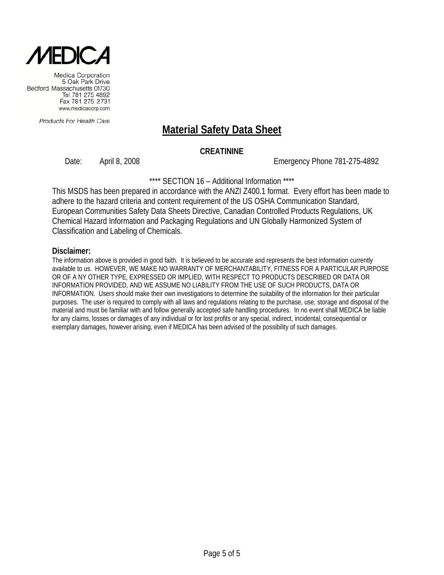

Products For Health Care

# **Material Safety Data Sheet**

#### **CREATININE**

Date: April 8, 2008 Emergency Phone 781-275-4892

\*\*\*\* SECTION 16 - Additional Information \*\*\*\*

This MSDS has been prepared in accordance with the ANZI Z400.1 format. Every effort has been made to adhere to the hazard criteria and content requirement of the US OSHA Communication Standard, European Communities Safety Data Sheets Directive, Canadian Controlled Products Regulations, UK Chemical Hazard Information and Packaging Regulations and UN Globally Harmonized System of Classification and Labeling of Chemicals.

#### **Disclaimer:**

The information above is provided in good faith. It is believed to be accurate and represents the best information currently available to us. HOWEVER, WE MAKE NO WARRANTY OF MERCHANTABILITY, FITNESS FOR A PARTICULAR PURPOSE OR OF A NY OTHER TYPE, EXPRESSED OR IMPLIED, WITH RESPECT TO PRODUCTS DESCRIBED OR DATA OR INFORMATION PROVIDED, AND WE ASSUME NO LIABILITY FROM THE USE OF SUCH PRODUCTS, DATA OR INFORMATION. Users should make their own investigations to determine the suitability of the information for their particular purposes. The user is required to comply with all laws and regulations relating to the purchase, use, storage and disposal of the material and must be familiar with and follow generally accepted safe handling procedures. In no event shall MEDICA be liable for any claims, losses or damages of any individual or for lost profits or any special, indirect, incidental, consequential or exemplary damages, however arising, even if MEDICA has been advised of the possibility of such damages.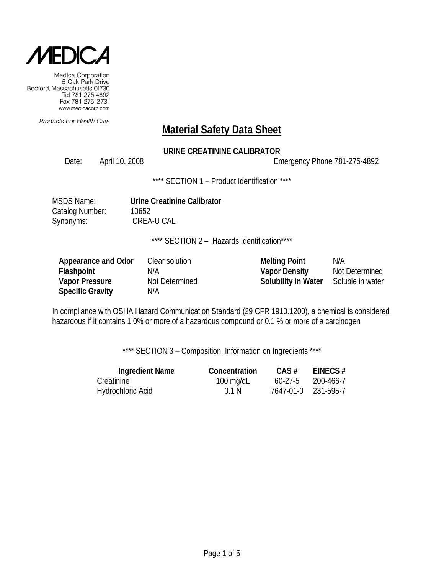

Products For Health Care

### **Material Safety Data Sheet**

### **URINE CREATININE CALIBRATOR**

Date: April 10, 2008 Channel 2008 Emergency Phone 781-275-4892

\*\*\*\* SECTION 1 - Product Identification \*\*\*\*

MSDS Name: **Urine Creatinine Calibrator** Catalog Number: 10652 Synonyms: CREA-U CAL

\*\*\*\* SECTION 2 - Hazards Identification\*\*\*\*

| Appearance and Odor     | Clear solution | <b>Melting Point</b>       | N/A              |
|-------------------------|----------------|----------------------------|------------------|
| <b>Flashpoint</b>       | N/A            | <b>Vapor Density</b>       | Not Determined   |
| <b>Vapor Pressure</b>   | Not Determined | <b>Solubility in Water</b> | Soluble in water |
| <b>Specific Gravity</b> | N/A            |                            |                  |

In compliance with OSHA Hazard Communication Standard (29 CFR 1910.1200), a chemical is considered hazardous if it contains 1.0% or more of a hazardous compound or 0.1 % or more of a carcinogen

\*\*\*\* SECTION 3 - Composition, Information on Ingredients \*\*\*\*

| <b>Ingredient Name</b> | Concentration       | $CAS \#$  | EINECS $#$          |
|------------------------|---------------------|-----------|---------------------|
| Creatinine             | $100 \text{ mg/dL}$ | $60-27-5$ | 200-466-7           |
| Hydrochloric Acid      | 0.1 N               |           | 7647-01-0 231-595-7 |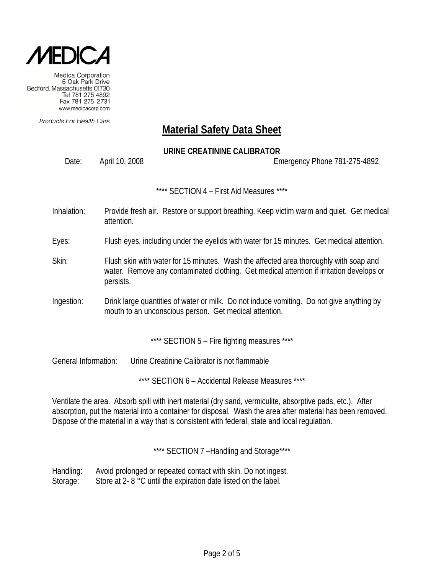

Products For Health Care

## **Material Safety Data Sheet**

### **URINE CREATININE CALIBRATOR**

Date: April 10, 2008 Emergency Phone 781-275-4892

\*\*\*\* SECTION 4 – First Aid Measures \*\*\*\*

- Inhalation: Provide fresh air. Restore or support breathing. Keep victim warm and quiet. Get medical attention.
- Eyes: Flush eyes, including under the eyelids with water for 15 minutes. Get medical attention.
- Skin: Flush skin with water for 15 minutes. Wash the affected area thoroughly with soap and water. Remove any contaminated clothing. Get medical attention if irritation develops or persists.
- Ingestion: Drink large quantities of water or milk. Do not induce vomiting. Do not give anything by mouth to an unconscious person. Get medical attention.

\*\*\*\* SECTION 5 - Fire fighting measures \*\*\*\*

General Information: Urine Creatinine Calibrator is not flammable

\*\*\*\* SECTION 6 - Accidental Release Measures \*\*\*\*

Ventilate the area. Absorb spill with inert material (dry sand, vermiculite, absorptive pads, etc.). After absorption, put the material into a container for disposal. Wash the area after material has been removed. Dispose of the material in a way that is consistent with federal, state and local regulation.

\*\*\*\* SECTION 7-Handling and Storage\*\*\*\*

Handling: Avoid prolonged or repeated contact with skin. Do not ingest. Storage: Store at 2- 8 °C until the expiration date listed on the label.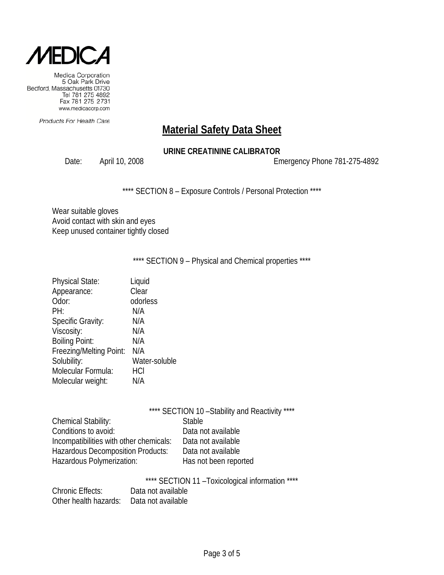

Products For Health Care

# **Material Safety Data Sheet**

### **URINE CREATININE CALIBRATOR**

Date: April 10, 2008 2008 2009 Emergency Phone 781-275-4892

\*\*\*\* SECTION 8 - Exposure Controls / Personal Protection \*\*\*\*

Wear suitable gloves Avoid contact with skin and eyes Keep unused container tightly closed

\*\*\*\* SECTION 9 - Physical and Chemical properties \*\*\*\*

| <b>Physical State:</b>   | Liquid        |
|--------------------------|---------------|
| Appearance:              | Clear         |
| Odor:                    | odorless      |
| PH:                      | N/A           |
| <b>Specific Gravity:</b> | N/A           |
| Viscosity:               | N/A           |
| <b>Boiling Point:</b>    | N/A           |
| Freezing/Melting Point:  | N/A           |
| Solubility:              | Water-soluble |
| Molecular Formula:       | HCI           |
| Molecular weight:        | N/A           |
|                          |               |

|                                          | **** SECTION 10 - Stability and Reactivity **** |
|------------------------------------------|-------------------------------------------------|
| Chemical Stability:                      | <b>Stable</b>                                   |
| Conditions to avoid:                     | Data not available                              |
| Incompatibilities with other chemicals:  | Data not available                              |
| <b>Hazardous Decomposition Products:</b> | Data not available                              |
| Hazardous Polymerization:                | Has not been reported                           |

\*\*\*\* SECTION 11 –Toxicological information \*\*\*\*

| <b>Chronic Effects:</b> | Data not available |
|-------------------------|--------------------|
| Other health hazards:   | Data not available |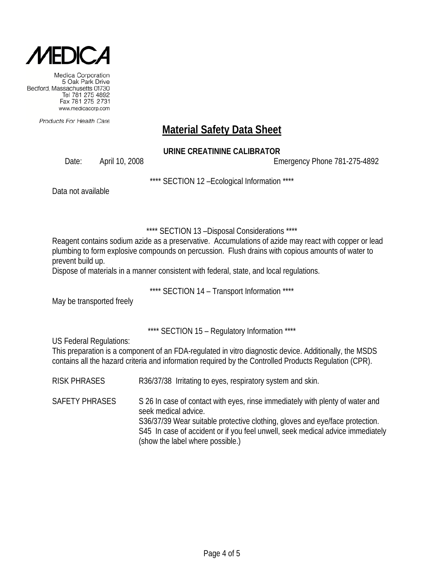

Products For Health Care

# **Material Safety Data Sheet**

### **URINE CREATININE CALIBRATOR**

Date: April 10, 2008 Emergency Phone 781-275-4892

\*\*\*\* SECTION 12 –Ecological Information \*\*\*\*

Data not available

\*\*\*\* SECTION 13 –Disposal Considerations \*\*\*\*

Reagent contains sodium azide as a preservative. Accumulations of azide may react with copper or lead plumbing to form explosive compounds on percussion. Flush drains with copious amounts of water to prevent build up.

Dispose of materials in a manner consistent with federal, state, and local regulations.

\*\*\*\* SECTION 14 – Transport Information \*\*\*\*

May be transported freely

\*\*\*\* SECTION 15 – Regulatory Information \*\*\*\*

US Federal Regulations:

This preparation is a component of an FDA-regulated in vitro diagnostic device. Additionally, the MSDS contains all the hazard criteria and information required by the Controlled Products Regulation (CPR).

RISK PHRASES R36/37/38 Irritating to eyes, respiratory system and skin.

SAFETY PHRASES S 26 In case of contact with eyes, rinse immediately with plenty of water and seek medical advice. S36/37/39 Wear suitable protective clothing, gloves and eye/face protection. S45 In case of accident or if you feel unwell, seek medical advice immediately (show the label where possible.)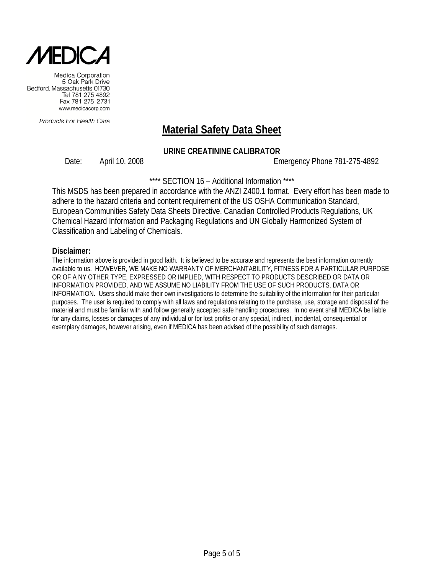

Products For Health Care

# **Material Safety Data Sheet**

### **URINE CREATININE CALIBRATOR**

Date: April 10, 2008 Emergency Phone 781-275-4892

\*\*\*\* SECTION 16 – Additional Information \*\*\*\*

This MSDS has been prepared in accordance with the ANZI Z400.1 format. Every effort has been made to adhere to the hazard criteria and content requirement of the US OSHA Communication Standard, European Communities Safety Data Sheets Directive, Canadian Controlled Products Regulations, UK Chemical Hazard Information and Packaging Regulations and UN Globally Harmonized System of Classification and Labeling of Chemicals.

#### **Disclaimer:**

The information above is provided in good faith. It is believed to be accurate and represents the best information currently available to us. HOWEVER, WE MAKE NO WARRANTY OF MERCHANTABILITY, FITNESS FOR A PARTICULAR PURPOSE OR OF A NY OTHER TYPE, EXPRESSED OR IMPLIED, WITH RESPECT TO PRODUCTS DESCRIBED OR DATA OR INFORMATION PROVIDED, AND WE ASSUME NO LIABILITY FROM THE USE OF SUCH PRODUCTS, DATA OR INFORMATION. Users should make their own investigations to determine the suitability of the information for their particular purposes. The user is required to comply with all laws and regulations relating to the purchase, use, storage and disposal of the material and must be familiar with and follow generally accepted safe handling procedures. In no event shall MEDICA be liable for any claims, losses or damages of any individual or for lost profits or any special, indirect, incidental, consequential or exemplary damages, however arising, even if MEDICA has been advised of the possibility of such damages.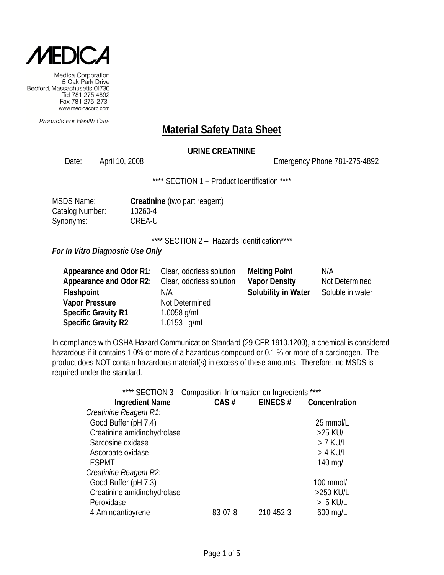

Products For Health Care

### **Material Safety Data Sheet**

### **URINE CREATININE**

Date: April 10, 2008 Channel 2008 Emergency Phone 781-275-4892

\*\*\*\* SECTION 1 - Product Identification \*\*\*\*

| <b>MSDS Name:</b> |
|-------------------|
| Catalog Number:   |
| Synonyms:         |

**Creatinine** (two part reagent) 10260-4 CREA-U

\*\*\*\* SECTION 2 - Hazards Identification\*\*\*\*

*For In Vitro Diagnostic Use Only*

| Appearance and Odor R1:    | Clear, odorless solution | <b>Melting Point</b>       | N/A              |
|----------------------------|--------------------------|----------------------------|------------------|
| Appearance and Odor R2:    | Clear, odorless solution | <b>Vapor Density</b>       | Not Determined   |
| Flashpoint                 | N/A                      | <b>Solubility in Water</b> | Soluble in water |
| <b>Vapor Pressure</b>      | Not Determined           |                            |                  |
| <b>Specific Gravity R1</b> | 1.0058 $g/mL$            |                            |                  |
| <b>Specific Gravity R2</b> | 1.0153 $g/mL$            |                            |                  |

In compliance with OSHA Hazard Communication Standard (29 CFR 1910.1200), a chemical is considered hazardous if it contains 1.0% or more of a hazardous compound or 0.1 % or more of a carcinogen. The product does NOT contain hazardous material(s) in excess of these amounts. Therefore, no MSDS is required under the standard.

| **** SECTION 3 - Composition, Information on Ingredients **** |          |           |               |
|---------------------------------------------------------------|----------|-----------|---------------|
| <b>Ingredient Name</b>                                        | $CAS \#$ | EINECS#   | Concentration |
| Creatinine Reagent R1:                                        |          |           |               |
| Good Buffer (pH 7.4)                                          |          |           | 25 mmol/L     |
| Creatinine amidinohydrolase                                   |          |           | >25 KU/L      |
| Sarcosine oxidase                                             |          |           | > 7 KU/L      |
| Ascorbate oxidase                                             |          |           | > 4 KU/L      |
| <b>ESPMT</b>                                                  |          |           | 140 mg/L      |
| Creatinine Reagent R2:                                        |          |           |               |
| Good Buffer (pH 7.3)                                          |          |           | 100 mmol/L    |
| Creatinine amidinohydrolase                                   |          |           | >250 KU/L     |
| Peroxidase                                                    |          |           | $> 5$ KU/L    |
| 4-Aminoantipyrene                                             | 83-07-8  | 210-452-3 | $600$ mg/L    |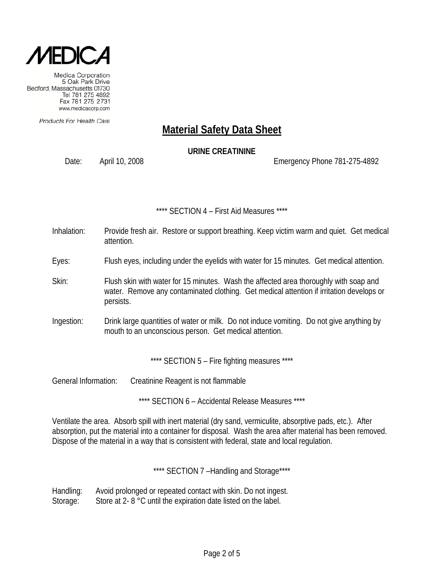

Products For Health Care

### **Material Safety Data Sheet**

**URINE CREATININE**

Date: April 10, 2008 Emergency Phone 781-275-4892

\*\*\*\* SECTION 4 – First Aid Measures \*\*\*\*

- Inhalation: Provide fresh air. Restore or support breathing. Keep victim warm and quiet. Get medical attention.
- Eyes: Flush eyes, including under the eyelids with water for 15 minutes. Get medical attention.
- Skin: Flush skin with water for 15 minutes. Wash the affected area thoroughly with soap and water. Remove any contaminated clothing. Get medical attention if irritation develops or persists.
- Ingestion: Drink large quantities of water or milk. Do not induce vomiting. Do not give anything by mouth to an unconscious person. Get medical attention.

\*\*\*\* SECTION 5 - Fire fighting measures \*\*\*\*

General Information: Creatinine Reagent is not flammable

\*\*\*\* SECTION 6 – Accidental Release Measures \*\*\*\*

Ventilate the area. Absorb spill with inert material (dry sand, vermiculite, absorptive pads, etc.). After absorption, put the material into a container for disposal. Wash the area after material has been removed. Dispose of the material in a way that is consistent with federal, state and local regulation.

\*\*\*\* SECTION 7 -Handling and Storage\*\*\*\*

Handling: Avoid prolonged or repeated contact with skin. Do not ingest. Storage: Store at 2- 8 °C until the expiration date listed on the label.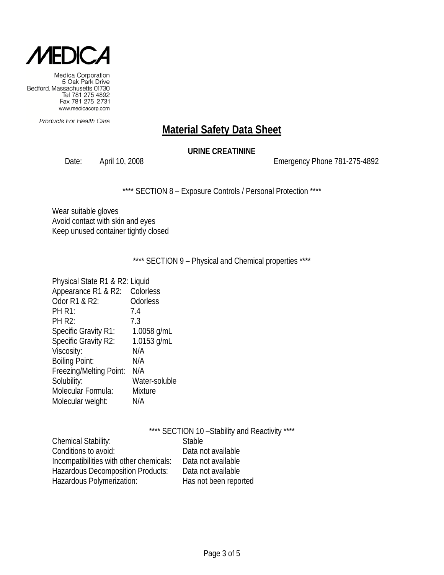

Products For Health Care

# **Material Safety Data Sheet**

### **URINE CREATININE**

Date: April 10, 2008 2008 2009 Emergency Phone 781-275-4892

\*\*\*\* SECTION 8 - Exposure Controls / Personal Protection \*\*\*\*

Wear suitable gloves Avoid contact with skin and eyes Keep unused container tightly closed

\*\*\*\* SECTION 9 - Physical and Chemical properties \*\*\*\*

| Physical State R1 & R2: Liquid |                 |
|--------------------------------|-----------------|
| Appearance R1 & R2:            | Colorless       |
| Odor R1 & R2:                  | <b>Odorless</b> |
| <b>PH R1:</b>                  | 7.4             |
| <b>PH R2:</b>                  | 7.3             |
| <b>Specific Gravity R1:</b>    | 1.0058 g/mL     |
| Specific Gravity R2:           | 1.0153 g/mL     |
| Viscosity:                     | N/A             |
| <b>Boiling Point:</b>          | N/A             |
| Freezing/Melting Point:        | N/A             |
| Solubility:                    | Water-soluble   |
| Molecular Formula:             | <b>Mixture</b>  |
| Molecular weight:              | N/A             |
|                                |                 |

|                                         | **** SECTION 10 - Stability and Reactivity **** |
|-----------------------------------------|-------------------------------------------------|
| Chemical Stability:                     | <b>Stable</b>                                   |
| Conditions to avoid:                    | Data not available                              |
| Incompatibilities with other chemicals: | Data not available                              |
| Hazardous Decomposition Products:       | Data not available                              |
| Hazardous Polymerization:               | Has not been reported                           |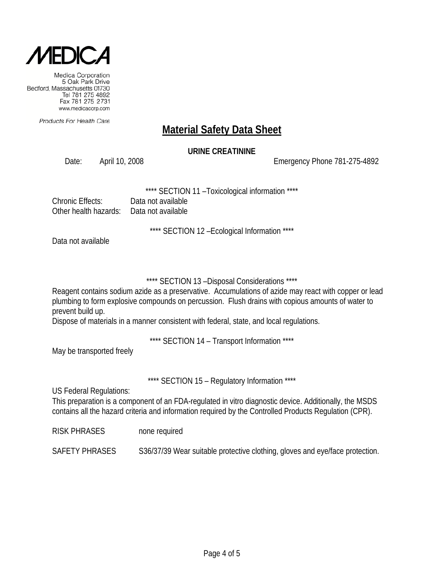

Products For Health Care

## **Material Safety Data Sheet**

### **URINE CREATININE**

Date: April 10, 2008 Emergency Phone 781-275-4892

SECTION 11 - Toxicological information \*\*\*\*

| <b>Chronic Effects:</b> | Data not available |
|-------------------------|--------------------|
| Other health hazards:   | Data not available |

\*\*\*\* SECTION 12 –Ecological Information \*\*\*\*

Data not available

### \*\*\*\* SECTION 13 –Disposal Considerations \*\*\*\*

Reagent contains sodium azide as a preservative. Accumulations of azide may react with copper or lead plumbing to form explosive compounds on percussion. Flush drains with copious amounts of water to prevent build up.

Dispose of materials in a manner consistent with federal, state, and local regulations.

\*\*\*\* SECTION 14 – Transport Information \*\*\*\*

May be transported freely

\*\*\*\* SECTION 15 - Regulatory Information \*\*\*\*

US Federal Regulations:

This preparation is a component of an FDA-regulated in vitro diagnostic device. Additionally, the MSDS contains all the hazard criteria and information required by the Controlled Products Regulation (CPR).

RISK PHRASES none required

SAFETY PHRASES S36/37/39 Wear suitable protective clothing, gloves and eye/face protection.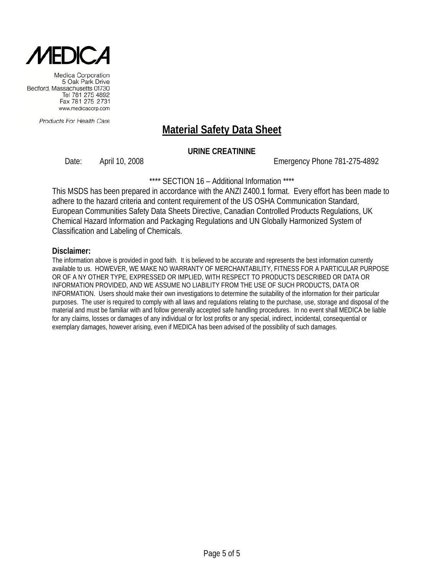

Products For Health Care

# **Material Safety Data Sheet**

### **URINE CREATININE**

Date: April 10, 2008 Emergency Phone 781-275-4892

\*\*\*\* SECTION 16 – Additional Information \*\*\*\*

This MSDS has been prepared in accordance with the ANZI Z400.1 format. Every effort has been made to adhere to the hazard criteria and content requirement of the US OSHA Communication Standard, European Communities Safety Data Sheets Directive, Canadian Controlled Products Regulations, UK Chemical Hazard Information and Packaging Regulations and UN Globally Harmonized System of Classification and Labeling of Chemicals.

#### **Disclaimer:**

The information above is provided in good faith. It is believed to be accurate and represents the best information currently available to us. HOWEVER, WE MAKE NO WARRANTY OF MERCHANTABILITY, FITNESS FOR A PARTICULAR PURPOSE OR OF A NY OTHER TYPE, EXPRESSED OR IMPLIED, WITH RESPECT TO PRODUCTS DESCRIBED OR DATA OR INFORMATION PROVIDED, AND WE ASSUME NO LIABILITY FROM THE USE OF SUCH PRODUCTS, DATA OR INFORMATION. Users should make their own investigations to determine the suitability of the information for their particular purposes. The user is required to comply with all laws and regulations relating to the purchase, use, storage and disposal of the material and must be familiar with and follow generally accepted safe handling procedures. In no event shall MEDICA be liable for any claims, losses or damages of any individual or for lost profits or any special, indirect, incidental, consequential or exemplary damages, however arising, even if MEDICA has been advised of the possibility of such damages.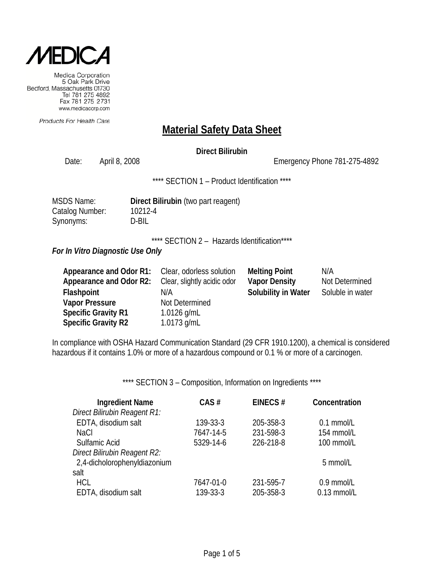

Products For Health Care

### **Material Safety Data Sheet**

### **Direct Bilirubin**

Date: April 8, 2008 Channel Controller Emergency Phone 781-275-4892

\*\*\*\* SECTION 1 - Product Identification \*\*\*\*

| <b>MSDS Name:</b> | <b>Direct</b> |
|-------------------|---------------|
| Catalog Number:   | 10212         |
| Synonyms:         | D-BIL         |

**Direct Bilirubin** (two part reagent) 10212-4

\*\*\*\* SECTION 2 - Hazards Identification\*\*\*\*

#### *For In Vitro Diagnostic Use Only*

| Appearance and Odor R1:    | Clear, odorless solution    | <b>Melting Point</b>       | N/A              |
|----------------------------|-----------------------------|----------------------------|------------------|
| Appearance and Odor R2:    | Clear, slightly acidic odor | <b>Vapor Density</b>       | Not Determined   |
| Flashpoint                 | N/A                         | <b>Solubility in Water</b> | Soluble in water |
| <b>Vapor Pressure</b>      | Not Determined              |                            |                  |
| <b>Specific Gravity R1</b> | 1.0126 g/mL                 |                            |                  |
| <b>Specific Gravity R2</b> | 1.0173 $g/mL$               |                            |                  |

In compliance with OSHA Hazard Communication Standard (29 CFR 1910.1200), a chemical is considered hazardous if it contains 1.0% or more of a hazardous compound or 0.1 % or more of a carcinogen.

\*\*\*\* SECTION 3 - Composition, Information on Ingredients \*\*\*\*

| <b>Ingredient Name</b>       | CAS#      | EINECS#   | Concentration |
|------------------------------|-----------|-----------|---------------|
| Direct Bilirubin Reagent R1: |           |           |               |
| EDTA, disodium salt          | 139-33-3  | 205-358-3 | $0.1$ mmol/L  |
| <b>NaCl</b>                  | 7647-14-5 | 231-598-3 | 154 mmol/L    |
| Sulfamic Acid                | 5329-14-6 | 226-218-8 | 100 mmol/L    |
| Direct Bilirubin Reagent R2: |           |           |               |
| 2,4-dicholorophenyldiazonium |           |           | 5 mmol/L      |
| salt                         |           |           |               |
| <b>HCL</b>                   | 7647-01-0 | 231-595-7 | 0.9 mmol/L    |
| EDTA, disodium salt          | 139-33-3  | 205-358-3 | $0.13$ mmol/L |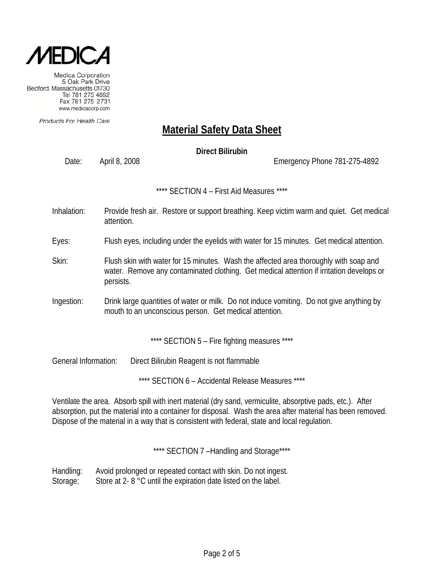

Products For Health Care

# **Material Safety Data Sheet**

**Direct Bilirubin**

Date: April 8, 2008 Emergency Phone 781-275-4892

\*\*\*\* SECTION 4 – First Aid Measures \*\*\*\*

- Inhalation: Provide fresh air. Restore or support breathing. Keep victim warm and quiet. Get medical attention.
- Eyes: Flush eyes, including under the eyelids with water for 15 minutes. Get medical attention.
- Skin: Flush skin with water for 15 minutes. Wash the affected area thoroughly with soap and water. Remove any contaminated clothing. Get medical attention if irritation develops or persists.
- Ingestion: Drink large quantities of water or milk. Do not induce vomiting. Do not give anything by mouth to an unconscious person. Get medical attention.

\*\*\*\* SECTION 5 - Fire fighting measures \*\*\*\*

General Information: Direct Bilirubin Reagent is not flammable

\*\*\*\* SECTION 6 – Accidental Release Measures \*\*\*\*

Ventilate the area. Absorb spill with inert material (dry sand, vermiculite, absorptive pads, etc.). After absorption, put the material into a container for disposal. Wash the area after material has been removed. Dispose of the material in a way that is consistent with federal, state and local regulation.

\*\*\*\* SECTION 7-Handling and Storage\*\*\*\*

Handling: Avoid prolonged or repeated contact with skin. Do not ingest. Storage: Store at 2- 8 °C until the expiration date listed on the label.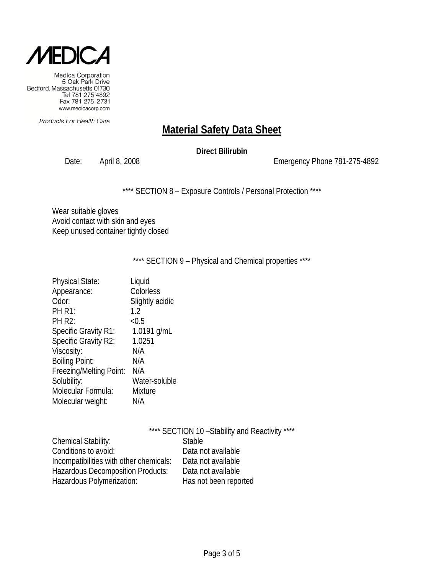

Products For Health Care

# **Material Safety Data Sheet**

### **Direct Bilirubin**

Date: April 8, 2008 2008 2008 Emergency Phone 781-275-4892

\*\*\*\* SECTION 8 - Exposure Controls / Personal Protection \*\*\*\*

Wear suitable gloves Avoid contact with skin and eyes Keep unused container tightly closed

\*\*\*\* SECTION 9 - Physical and Chemical properties \*\*\*\*

| <b>Physical State:</b>      | Liquid          |
|-----------------------------|-----------------|
| Appearance:                 | Colorless       |
| Odor:                       | Slightly acidic |
| <b>PH R1:</b>               | 1.2             |
| <b>PH R2:</b>               | < 0.5           |
| <b>Specific Gravity R1:</b> | 1.0191 g/mL     |
| Specific Gravity R2:        | 1.0251          |
| Viscosity:                  | N/A             |
| <b>Boiling Point:</b>       | N/A             |
| Freezing/Melting Point:     | N/A             |
| Solubility:                 | Water-soluble   |
| Molecular Formula:          | <b>Mixture</b>  |
| Molecular weight:           | N/A             |
|                             |                 |

|                                         | **** SECTION 10 - Stability and Reactivity **** |
|-----------------------------------------|-------------------------------------------------|
| <b>Chemical Stability:</b>              | <b>Stable</b>                                   |
| Conditions to avoid:                    | Data not available                              |
| Incompatibilities with other chemicals: | Data not available                              |
| Hazardous Decomposition Products:       | Data not available                              |
| Hazardous Polymerization:               | Has not been reported                           |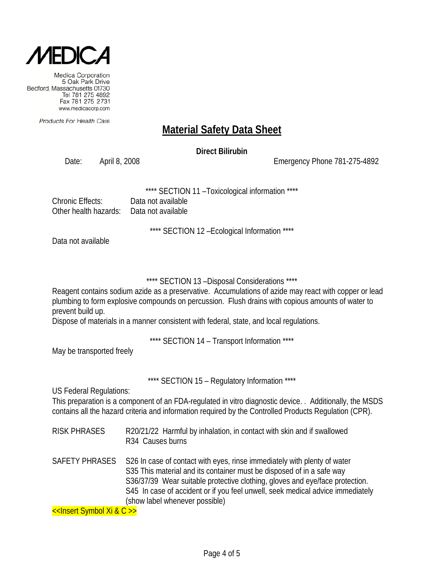

Products For Health Care

# **Material Safety Data Sheet**

**Direct Bilirubin**

Date: April 8, 2008 Emergency Phone 781-275-4892

SECTION 11 - Toxicological information \*\*\*\*

| Chronic Effects:                          | Data not available |
|-------------------------------------------|--------------------|
| Other health hazards:  Data not available |                    |

\*\*\*\* SECTION 12 –Ecological Information \*\*\*\*

Data not available

\*\*\*\* SECTION 13 –Disposal Considerations \*\*\*\*

Reagent contains sodium azide as a preservative. Accumulations of azide may react with copper or lead plumbing to form explosive compounds on percussion. Flush drains with copious amounts of water to prevent build up.

Dispose of materials in a manner consistent with federal, state, and local regulations.

\*\*\*\* SECTION 14 – Transport Information \*\*\*\*

May be transported freely

\*\*\*\* SECTION 15 – Regulatory Information \*\*\*\*

US Federal Regulations:

This preparation is a component of an FDA-regulated in vitro diagnostic device. . Additionally, the MSDS contains all the hazard criteria and information required by the Controlled Products Regulation (CPR).

- RISK PHRASES R20/21/22 Harmful by inhalation, in contact with skin and if swallowed R34 Causes burns
- SAFETY PHRASES S26 In case of contact with eyes, rinse immediately with plenty of water S35 This material and its container must be disposed of in a safe way S36/37/39 Wear suitable protective clothing, gloves and eye/face protection. S45 In case of accident or if you feel unwell, seek medical advice immediately (show label whenever possible)

<<Insert Symbol Xi & C >>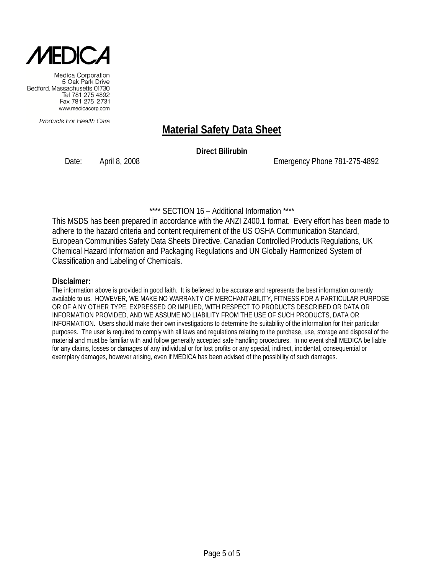

Products For Health Care

## **Material Safety Data Sheet**

**Direct Bilirubin**

Date: April 8, 2008 Emergency Phone 781-275-4892

\*\*\*\* SECTION 16 – Additional Information \*\*\*\*

This MSDS has been prepared in accordance with the ANZI Z400.1 format. Every effort has been made to adhere to the hazard criteria and content requirement of the US OSHA Communication Standard, European Communities Safety Data Sheets Directive, Canadian Controlled Products Regulations, UK Chemical Hazard Information and Packaging Regulations and UN Globally Harmonized System of Classification and Labeling of Chemicals.

#### **Disclaimer:**

The information above is provided in good faith. It is believed to be accurate and represents the best information currently available to us. HOWEVER, WE MAKE NO WARRANTY OF MERCHANTABILITY, FITNESS FOR A PARTICULAR PURPOSE OR OF A NY OTHER TYPE, EXPRESSED OR IMPLIED, WITH RESPECT TO PRODUCTS DESCRIBED OR DATA OR INFORMATION PROVIDED, AND WE ASSUME NO LIABILITY FROM THE USE OF SUCH PRODUCTS, DATA OR INFORMATION. Users should make their own investigations to determine the suitability of the information for their particular purposes. The user is required to comply with all laws and regulations relating to the purchase, use, storage and disposal of the material and must be familiar with and follow generally accepted safe handling procedures. In no event shall MEDICA be liable for any claims, losses or damages of any individual or for lost profits or any special, indirect, incidental, consequential or exemplary damages, however arising, even if MEDICA has been advised of the possibility of such damages.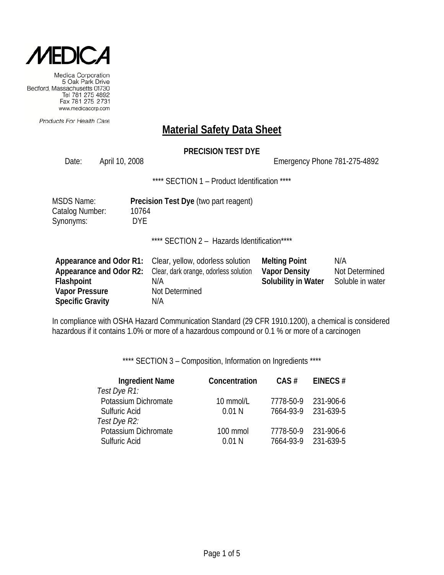

Products For Health Care

# **Material Safety Data Sheet**

### **PRECISION TEST DYE**

Date: April 10, 2008 Channel 2008 Emergency Phone 781-275-4892

\*\*\*\* SECTION 1 - Product Identification \*\*\*\*

| <b>MSDS Name:</b> | <b>Precision Test Dye (two part reagent)</b> |
|-------------------|----------------------------------------------|
| Catalog Number:   | 10764                                        |
| Synonyms:         | <b>DYE</b>                                   |

\*\*\*\* SECTION 2 - Hazards Identification\*\*\*\*

|                         | Appearance and Odor R1: Clear, yellow, odorless solution             | <b>Melting Point</b> | N/A              |
|-------------------------|----------------------------------------------------------------------|----------------------|------------------|
|                         | <b>Appearance and Odor R2:</b> Clear, dark orange, odorless solution | <b>Vapor Density</b> | Not Determined   |
| Flashpoint              | N/A                                                                  | Solubility in Water  | Soluble in water |
| <b>Vapor Pressure</b>   | Not Determined                                                       |                      |                  |
| <b>Specific Gravity</b> | N/A                                                                  |                      |                  |

In compliance with OSHA Hazard Communication Standard (29 CFR 1910.1200), a chemical is considered hazardous if it contains 1.0% or more of a hazardous compound or 0.1 % or more of a carcinogen

\*\*\*\* SECTION 3 - Composition, Information on Ingredients \*\*\*\*

| <b>Ingredient Name</b><br>Test Dye R1: | Concentration | CAS#      | EINECS#   |
|----------------------------------------|---------------|-----------|-----------|
| Potassium Dichromate                   | 10 mmol/L     | 7778-50-9 | 231-906-6 |
| Sulfuric Acid                          | 0.01N         | 7664-93-9 | 231-639-5 |
| Test Dye R2:                           |               |           |           |
| Potassium Dichromate                   | 100 mmol      | 7778-50-9 | 231-906-6 |
| Sulfuric Acid                          | 0.01N         | 7664-93-9 | 231-639-5 |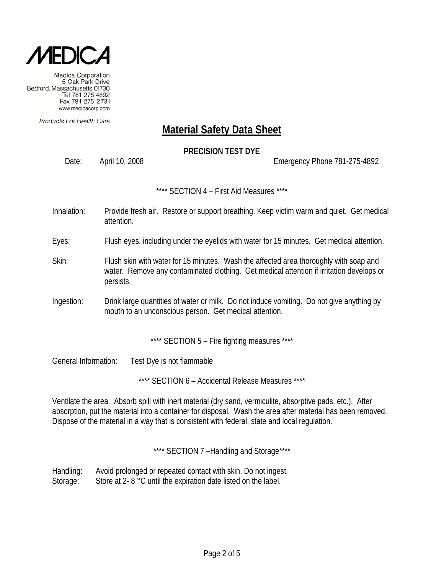

Products For Health Care

## **Material Safety Data Sheet**

### **PRECISION TEST DYE**

Date: April 10, 2008 Emergency Phone 781-275-4892

\*\*\*\* SECTION 4 – First Aid Measures \*\*\*\*

- Inhalation: Provide fresh air. Restore or support breathing. Keep victim warm and quiet. Get medical attention.
- Eyes: Flush eyes, including under the eyelids with water for 15 minutes. Get medical attention.
- Skin: Flush skin with water for 15 minutes. Wash the affected area thoroughly with soap and water. Remove any contaminated clothing. Get medical attention if irritation develops or persists.
- Ingestion: Drink large quantities of water or milk. Do not induce vomiting. Do not give anything by mouth to an unconscious person. Get medical attention.

\*\*\*\* SECTION 5 - Fire fighting measures \*\*\*\*

General Information: Test Dye is not flammable

\*\*\*\* SECTION 6 - Accidental Release Measures \*\*\*\*

Ventilate the area. Absorb spill with inert material (dry sand, vermiculite, absorptive pads, etc.). After absorption, put the material into a container for disposal. Wash the area after material has been removed. Dispose of the material in a way that is consistent with federal, state and local regulation.

\*\*\*\* SECTION 7-Handling and Storage\*\*\*\*

Handling: Avoid prolonged or repeated contact with skin. Do not ingest. Storage: Store at 2- 8 °C until the expiration date listed on the label.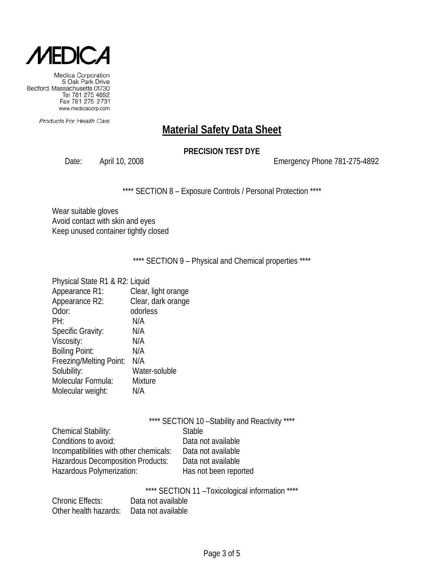

Products For Health Care

# **Material Safety Data Sheet**

### **PRECISION TEST DYE**

Date: April 10, 2008 2008 2009 Emergency Phone 781-275-4892

\*\*\*\* SECTION 8 - Exposure Controls / Personal Protection \*\*\*\*

Wear suitable gloves Avoid contact with skin and eyes Keep unused container tightly closed

\*\*\*\* SECTION 9 - Physical and Chemical properties \*\*\*\*

| Physical State R1 & R2: Liquid |                     |
|--------------------------------|---------------------|
| Appearance R1:                 | Clear, light orange |
| Appearance R2:                 | Clear, dark orange  |
| Odor:                          | odorless            |
| PH:                            | N/A                 |
| Specific Gravity:              | N/A                 |
| Viscosity:                     | N/A                 |
| <b>Boiling Point:</b>          | N/A                 |
| Freezing/Melting Point:        | N/A                 |
| Solubility:                    | Water-soluble       |
| Molecular Formula:             | <b>Mixture</b>      |
| Molecular weight:              | N/A                 |
|                                |                     |

|                                          |               | **** SECTION 10 - Stability and Reactivity **** |  |
|------------------------------------------|---------------|-------------------------------------------------|--|
| <b>Chemical Stability:</b>               | <b>Stable</b> |                                                 |  |
| Conditions to avoid:                     |               | Data not available                              |  |
| Incompatibilities with other chemicals:  |               | Data not available                              |  |
| <b>Hazardous Decomposition Products:</b> |               | Data not available                              |  |
| Hazardous Polymerization:                |               | Has not been reported                           |  |
|                                          |               |                                                 |  |

\*\*\*\* SECTION 11 –Toxicological information \*\*\*\*

| <b>Chronic Effects:</b> | Data not available |
|-------------------------|--------------------|
| Other health hazards:   | Data not available |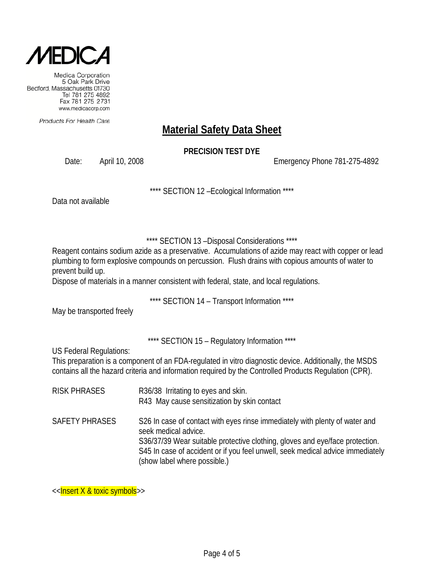

Products For Health Care

# **Material Safety Data Sheet**

### **PRECISION TEST DYE**

Date: April 10, 2008 Emergency Phone 781-275-4892

\*\*\*\* SECTION 12 –Ecological Information \*\*\*\*

Data not available

### \*\*\*\* SECTION 13 –Disposal Considerations \*\*\*\*

Reagent contains sodium azide as a preservative. Accumulations of azide may react with copper or lead plumbing to form explosive compounds on percussion. Flush drains with copious amounts of water to prevent build up.

Dispose of materials in a manner consistent with federal, state, and local regulations.

\*\*\*\* SECTION 14 – Transport Information \*\*\*\*

May be transported freely

\*\*\*\* SECTION 15 – Regulatory Information \*\*\*\*

US Federal Regulations:

This preparation is a component of an FDA-regulated in vitro diagnostic device. Additionally, the MSDS contains all the hazard criteria and information required by the Controlled Products Regulation (CPR).

RISK PHRASES R36/38 Irritating to eyes and skin. R43 May cause sensitization by skin contact SAFETY PHRASES S26 In case of contact with eyes rinse immediately with plenty of water and seek medical advice. S36/37/39 Wear suitable protective clothing, gloves and eye/face protection. S45 In case of accident or if you feel unwell, seek medical advice immediately (show label where possible.)

<<Insert X & toxic symbols>>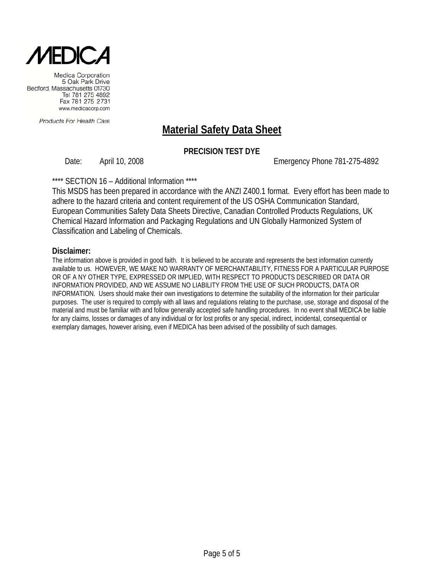

Products For Health Care

# **Material Safety Data Sheet**

### **PRECISION TEST DYE**

Date: April 10, 2008 Emergency Phone 781-275-4892

#### \*\*\*\* SECTION 16 – Additional Information \*\*\*\*

This MSDS has been prepared in accordance with the ANZI Z400.1 format. Every effort has been made to adhere to the hazard criteria and content requirement of the US OSHA Communication Standard, European Communities Safety Data Sheets Directive, Canadian Controlled Products Regulations, UK Chemical Hazard Information and Packaging Regulations and UN Globally Harmonized System of Classification and Labeling of Chemicals.

#### **Disclaimer:**

The information above is provided in good faith. It is believed to be accurate and represents the best information currently available to us. HOWEVER, WE MAKE NO WARRANTY OF MERCHANTABILITY, FITNESS FOR A PARTICULAR PURPOSE OR OF A NY OTHER TYPE, EXPRESSED OR IMPLIED, WITH RESPECT TO PRODUCTS DESCRIBED OR DATA OR INFORMATION PROVIDED, AND WE ASSUME NO LIABILITY FROM THE USE OF SUCH PRODUCTS, DATA OR INFORMATION. Users should make their own investigations to determine the suitability of the information for their particular purposes. The user is required to comply with all laws and regulations relating to the purchase, use, storage and disposal of the material and must be familiar with and follow generally accepted safe handling procedures. In no event shall MEDICA be liable for any claims, losses or damages of any individual or for lost profits or any special, indirect, incidental, consequential or exemplary damages, however arising, even if MEDICA has been advised of the possibility of such damages.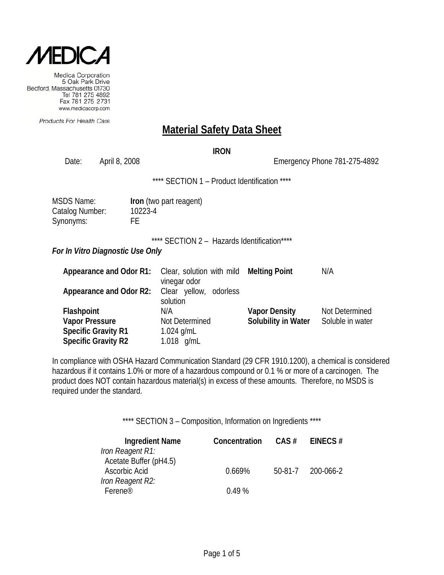

Products For Health Care

### **Material Safety Data Sheet**

#### **IRON**

Date: April 8, 2008 2008 2008 Emergency Phone 781-275-4892 \*\*\*\* SECTION 1 – Product Identification \*\*\*\* MSDS Name: **Iron** (two part reagent) Catalog Number: 10223-4 Synonyms: FE \*\*\*\* SECTION 2 - Hazards Identification\*\*\*\* *For In Vitro Diagnostic Use Only* **Appearance and Odor R1:** Clear, solution with mild vinegar odor **Melting Point** N/A **Appearance and Odor R2:** Clear yellow, odorless

solution **Flashpoint N/A Vapor Density** Not Determined **Vapor Pressure** Not Determined **Solubility in Water** Soluble in water **Specific Gravity R1** 1.024 g/mL **Specific Gravity R2** 1.018 g/mL

In compliance with OSHA Hazard Communication Standard (29 CFR 1910.1200), a chemical is considered hazardous if it contains 1.0% or more of a hazardous compound or 0.1 % or more of a carcinogen. The product does NOT contain hazardous material(s) in excess of these amounts. Therefore, no MSDS is required under the standard.

\*\*\*\* SECTION 3 – Composition, Information on Ingredients \*\*\*\*

| <b>Ingredient Name</b> | Concentration | $CAS \#$ | EINECS#   |
|------------------------|---------------|----------|-----------|
| Iron Reagent R1:       |               |          |           |
| Acetate Buffer (pH4.5) |               |          |           |
| Ascorbic Acid          | 0.669%        | 50-81-7  | 200-066-2 |
| Iron Reagent R2:       |               |          |           |
| Ferene <sup>®</sup>    | 0.49%         |          |           |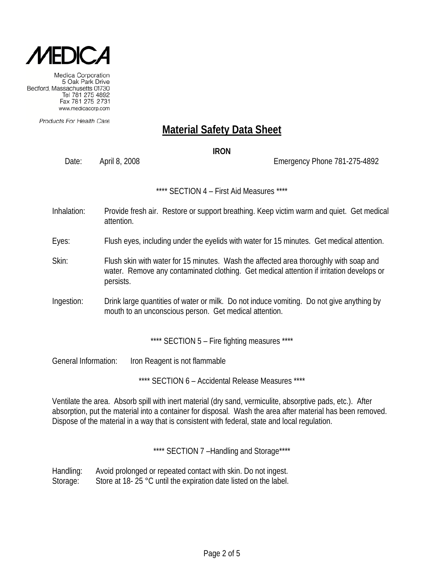

Products For Health Care

# **Material Safety Data Sheet**

**IRON**

Date: April 8, 2008 Emergency Phone 781-275-4892

\*\*\*\* SECTION 4 – First Aid Measures \*\*\*\*

Inhalation: Provide fresh air. Restore or support breathing. Keep victim warm and quiet. Get medical attention.

Eyes: Flush eyes, including under the eyelids with water for 15 minutes. Get medical attention.

- Skin: Flush skin with water for 15 minutes. Wash the affected area thoroughly with soap and water. Remove any contaminated clothing. Get medical attention if irritation develops or persists.
- Ingestion: Drink large quantities of water or milk. Do not induce vomiting. Do not give anything by mouth to an unconscious person. Get medical attention.

\*\*\*\* SECTION 5 - Fire fighting measures \*\*\*\*

General Information: Iron Reagent is not flammable

\*\*\*\* SECTION 6 – Accidental Release Measures \*\*\*\*

Ventilate the area. Absorb spill with inert material (dry sand, vermiculite, absorptive pads, etc.). After absorption, put the material into a container for disposal. Wash the area after material has been removed. Dispose of the material in a way that is consistent with federal, state and local regulation.

\*\*\*\* SECTION 7-Handling and Storage\*\*\*\*

Handling: Avoid prolonged or repeated contact with skin. Do not ingest. Storage: Store at 18- 25 °C until the expiration date listed on the label.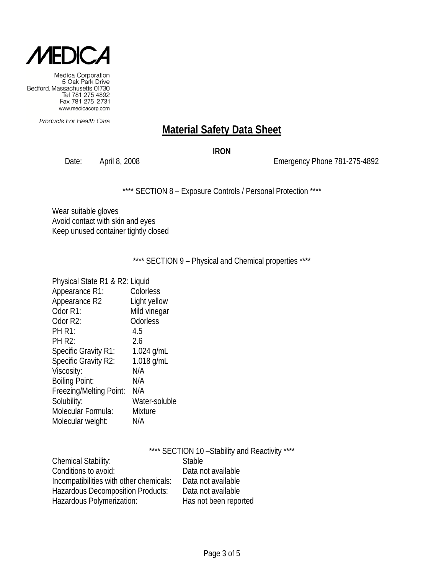

Products For Health Care

## **Material Safety Data Sheet**

#### **IRON**

Date: April 8, 2008 2008 2008 Emergency Phone 781-275-4892

\*\*\*\* SECTION 8 - Exposure Controls / Personal Protection \*\*\*\*

Wear suitable gloves Avoid contact with skin and eyes Keep unused container tightly closed

\*\*\*\* SECTION 9 - Physical and Chemical properties \*\*\*\*

| Physical State R1 & R2: Liquid |                |
|--------------------------------|----------------|
| Appearance R1:                 | Colorless      |
| Appearance R2                  | Light yellow   |
| Odor R1:                       | Mild vinegar   |
| Odor R2:                       | Odorless       |
| <b>PH R1:</b>                  | 4.5            |
| <b>PH R2:</b>                  | 2.6            |
| <b>Specific Gravity R1:</b>    | 1.024 $g/mL$   |
| Specific Gravity R2:           | 1.018 g/mL     |
| Viscosity:                     | N/A            |
| <b>Boiling Point:</b>          | N/A            |
| Freezing/Melting Point:        | N/A            |
| Solubility:                    | Water-soluble  |
| Molecular Formula:             | <b>Mixture</b> |
| Molecular weight:              | N/A            |

|                                          | **** SECTION 10 - Stability and Reactivity **** |
|------------------------------------------|-------------------------------------------------|
| <b>Chemical Stability:</b>               | <b>Stable</b>                                   |
| Conditions to avoid:                     | Data not available                              |
| Incompatibilities with other chemicals:  | Data not available                              |
| <b>Hazardous Decomposition Products:</b> | Data not available                              |
| Hazardous Polymerization:                | Has not been reported                           |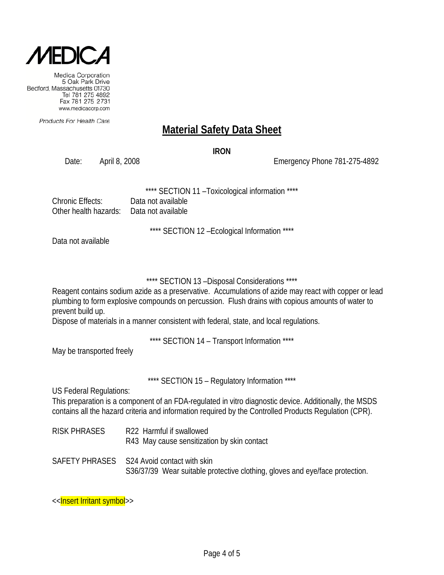

Products For Health Care

## **Material Safety Data Sheet**

**IRON**

Date: April 8, 2008 Emergency Phone 781-275-4892

\*\*\*\* SECTION 11 –Toxicological information \*\*\*\*

Chronic Effects: Data not available Other health hazards: Data not available

\*\*\*\* SECTION 12 –Ecological Information \*\*\*\*

Data not available

\*\*\*\* SECTION 13 –Disposal Considerations \*\*\*\*

Reagent contains sodium azide as a preservative. Accumulations of azide may react with copper or lead plumbing to form explosive compounds on percussion. Flush drains with copious amounts of water to prevent build up.

Dispose of materials in a manner consistent with federal, state, and local regulations.

\*\*\*\* SECTION 14 – Transport Information \*\*\*\*

May be transported freely

\*\*\*\* SECTION 15 - Regulatory Information \*\*\*\*

US Federal Regulations:

This preparation is a component of an FDA-regulated in vitro diagnostic device. Additionally, the MSDS contains all the hazard criteria and information required by the Controlled Products Regulation (CPR).

RISK PHRASES R22 Harmful if swallowed R43 May cause sensitization by skin contact

SAFETY PHRASES S24 Avoid contact with skin S36/37/39 Wear suitable protective clothing, gloves and eye/face protection.

<<**Insert Irritant symbol>>**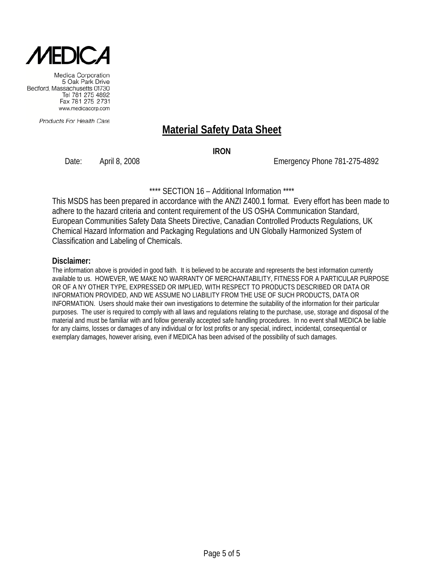

Products For Health Care

## **Material Safety Data Sheet**

**IRON**

Date: April 8, 2008 Emergency Phone 781-275-4892

\*\*\*\* SECTION 16 – Additional Information \*\*\*\*

This MSDS has been prepared in accordance with the ANZI Z400.1 format. Every effort has been made to adhere to the hazard criteria and content requirement of the US OSHA Communication Standard, European Communities Safety Data Sheets Directive, Canadian Controlled Products Regulations, UK Chemical Hazard Information and Packaging Regulations and UN Globally Harmonized System of Classification and Labeling of Chemicals.

#### **Disclaimer:**

The information above is provided in good faith. It is believed to be accurate and represents the best information currently available to us. HOWEVER, WE MAKE NO WARRANTY OF MERCHANTABILITY, FITNESS FOR A PARTICULAR PURPOSE OR OF A NY OTHER TYPE, EXPRESSED OR IMPLIED, WITH RESPECT TO PRODUCTS DESCRIBED OR DATA OR INFORMATION PROVIDED, AND WE ASSUME NO LIABILITY FROM THE USE OF SUCH PRODUCTS, DATA OR INFORMATION. Users should make their own investigations to determine the suitability of the information for their particular purposes. The user is required to comply with all laws and regulations relating to the purchase, use, storage and disposal of the material and must be familiar with and follow generally accepted safe handling procedures. In no event shall MEDICA be liable for any claims, losses or damages of any individual or for lost profits or any special, indirect, incidental, consequential or exemplary damages, however arising, even if MEDICA has been advised of the possibility of such damages.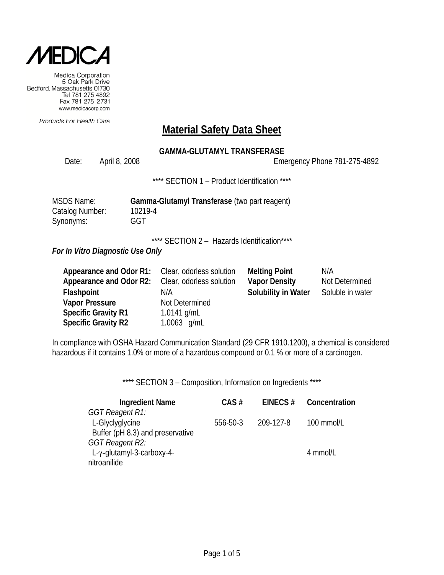

Products For Health Care

### **Material Safety Data Sheet**

### **GAMMA-GLUTAMYL TRANSFERASE**

Date: April 8, 2008 2008 2008 Emergency Phone 781-275-4892

\*\*\*\* SECTION 1 - Product Identification \*\*\*\*

| MSDS Name:      | Gamma-Glutamyl Transferase (two part reagent) |
|-----------------|-----------------------------------------------|
| Catalog Number: | 10219-4                                       |
| Synonyms:       | GGT                                           |

\*\*\*\* SECTION 2 - Hazards Identification\*\*\*\*

*For In Vitro Diagnostic Use Only*

| <b>Appearance and Odor R1:</b> Clear, odorless solution |                          | <b>Melting Point</b> | N/A              |
|---------------------------------------------------------|--------------------------|----------------------|------------------|
| Appearance and Odor R2:                                 | Clear, odorless solution | <b>Vapor Density</b> | Not Determined   |
| Flashpoint                                              | N/A                      | Solubility in Water  | Soluble in water |
| <b>Vapor Pressure</b>                                   | Not Determined           |                      |                  |
| <b>Specific Gravity R1</b>                              | 1.0141 $q/mL$            |                      |                  |
| <b>Specific Gravity R2</b>                              | 1.0063 g/mL              |                      |                  |

In compliance with OSHA Hazard Communication Standard (29 CFR 1910.1200), a chemical is considered hazardous if it contains 1.0% or more of a hazardous compound or 0.1 % or more of a carcinogen.

\*\*\*\* SECTION 3 - Composition, Information on Ingredients \*\*\*\*

| <b>Ingredient Name</b>             | $CAS \#$ | EINECS $#$ | Concentration |
|------------------------------------|----------|------------|---------------|
| <b>GGT Reagent R1:</b>             |          |            |               |
| L-Glyclyglycine                    | 556-50-3 | 209-127-8  | 100 mmol/L    |
| Buffer (pH 8.3) and preservative   |          |            |               |
| GGT Reagent R2:                    |          |            |               |
| L- $\gamma$ -glutamyl-3-carboxy-4- |          |            | 4 mmol/L      |
| nitroanilide                       |          |            |               |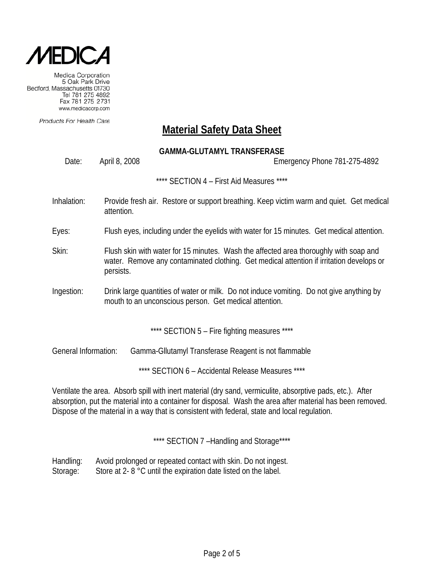

Products For Health Care

### **Material Safety Data Sheet**

### **GAMMA-GLUTAMYL TRANSFERASE**

Date: April 8, 2008 Emergency Phone 781-275-4892

\*\*\*\* SECTION 4 – First Aid Measures \*\*\*\*

- Inhalation: Provide fresh air. Restore or support breathing. Keep victim warm and quiet. Get medical attention.
- Eyes: Flush eyes, including under the eyelids with water for 15 minutes. Get medical attention.
- Skin: Flush skin with water for 15 minutes. Wash the affected area thoroughly with soap and water. Remove any contaminated clothing. Get medical attention if irritation develops or persists.
- Ingestion: Drink large quantities of water or milk. Do not induce vomiting. Do not give anything by mouth to an unconscious person. Get medical attention.

\*\*\*\* SECTION 5 – Fire fighting measures \*\*\*\*

General Information: Gamma-Gllutamyl Transferase Reagent is not flammable

\*\*\*\* SECTION 6 – Accidental Release Measures \*\*\*\*

Ventilate the area. Absorb spill with inert material (dry sand, vermiculite, absorptive pads, etc.). After absorption, put the material into a container for disposal. Wash the area after material has been removed. Dispose of the material in a way that is consistent with federal, state and local regulation.

\*\*\*\* SECTION 7 -Handling and Storage\*\*\*\*

Handling: Avoid prolonged or repeated contact with skin. Do not ingest. Storage: Store at 2- 8 °C until the expiration date listed on the label.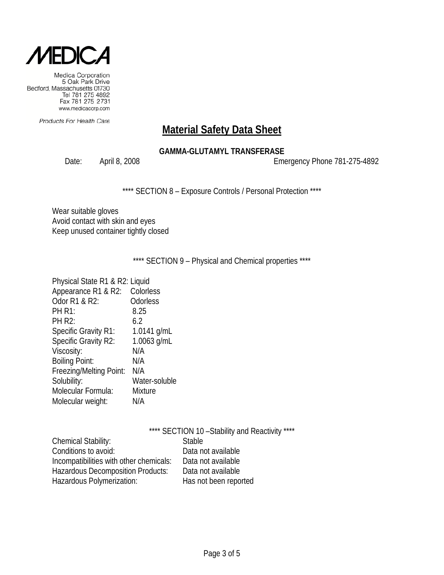

Products For Health Care

# **Material Safety Data Sheet**

### **GAMMA-GLUTAMYL TRANSFERASE**

Date: April 8, 2008 2008 2008 Emergency Phone 781-275-4892

\*\*\*\* SECTION 8 - Exposure Controls / Personal Protection \*\*\*\*

Wear suitable gloves Avoid contact with skin and eyes Keep unused container tightly closed

\*\*\*\* SECTION 9 - Physical and Chemical properties \*\*\*\*

| Physical State R1 & R2: Liquid |                |
|--------------------------------|----------------|
| Appearance R1 & R2:            | Colorless      |
| Odor R1 & R2:                  | Odorless       |
| <b>PH R1:</b>                  | 8.25           |
| <b>PH R2:</b>                  | 6.2            |
| <b>Specific Gravity R1:</b>    | 1.0141 $g/mL$  |
| Specific Gravity R2:           | 1.0063 g/mL    |
| Viscosity:                     | N/A            |
| <b>Boiling Point:</b>          | N/A            |
| Freezing/Melting Point:        | N/A            |
| Solubility:                    | Water-soluble  |
| Molecular Formula:             | <b>Mixture</b> |
| Molecular weight:              | N/A            |
|                                |                |

|                                         | **** SECTION 10 - Stability and Reactivity **** |
|-----------------------------------------|-------------------------------------------------|
| <b>Chemical Stability:</b>              | <b>Stable</b>                                   |
| Conditions to avoid:                    | Data not available                              |
| Incompatibilities with other chemicals: | Data not available                              |
| Hazardous Decomposition Products:       | Data not available                              |
| Hazardous Polymerization:               | Has not been reported                           |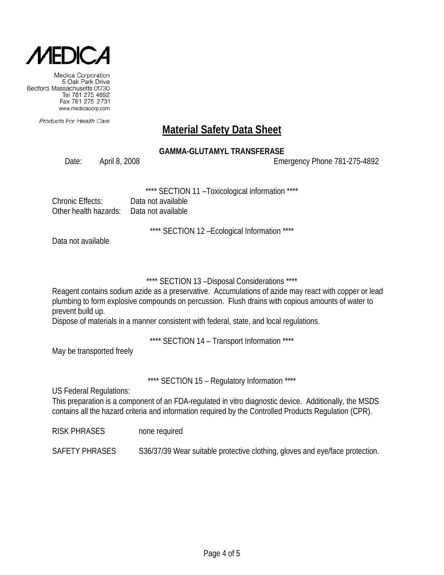

Products For Health Care

## **Material Safety Data Sheet**

### **GAMMA-GLUTAMYL TRANSFERASE**

Date: April 8, 2008 Emergency Phone 781-275-4892

SECTION 11 - Toxicological information \*\*\*\*

| Chronic Effects:                          | Data not available |
|-------------------------------------------|--------------------|
| Other health hazards:  Data not available |                    |

\*\*\*\* SECTION 12 –Ecological Information \*\*\*\*

Data not available

### \*\*\*\* SECTION 13 –Disposal Considerations \*\*\*\*

Reagent contains sodium azide as a preservative. Accumulations of azide may react with copper or lead plumbing to form explosive compounds on percussion. Flush drains with copious amounts of water to prevent build up.

Dispose of materials in a manner consistent with federal, state, and local regulations.

\*\*\*\* SECTION 14 – Transport Information \*\*\*\*

May be transported freely

\*\*\*\* SECTION 15 - Regulatory Information \*\*\*\*

US Federal Regulations:

This preparation is a component of an FDA-regulated in vitro diagnostic device. Additionally, the MSDS contains all the hazard criteria and information required by the Controlled Products Regulation (CPR).

RISK PHRASES none required

SAFETY PHRASES S36/37/39 Wear suitable protective clothing, gloves and eye/face protection.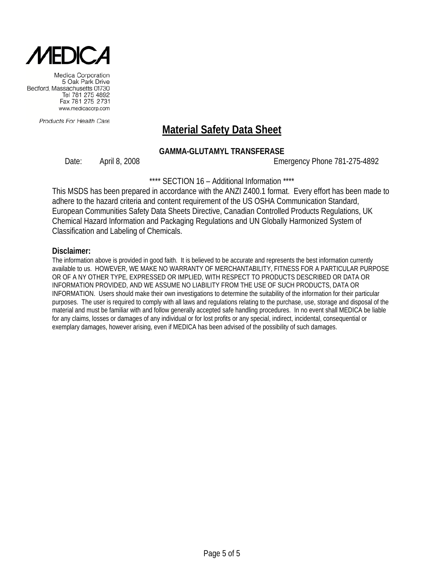

Products For Health Care

# **Material Safety Data Sheet**

#### **GAMMA-GLUTAMYL TRANSFERASE**

Date: April 8, 2008 Emergency Phone 781-275-4892

\*\*\*\* SECTION 16 – Additional Information \*\*\*\*

This MSDS has been prepared in accordance with the ANZI Z400.1 format. Every effort has been made to adhere to the hazard criteria and content requirement of the US OSHA Communication Standard, European Communities Safety Data Sheets Directive, Canadian Controlled Products Regulations, UK Chemical Hazard Information and Packaging Regulations and UN Globally Harmonized System of Classification and Labeling of Chemicals.

#### **Disclaimer:**

The information above is provided in good faith. It is believed to be accurate and represents the best information currently available to us. HOWEVER, WE MAKE NO WARRANTY OF MERCHANTABILITY, FITNESS FOR A PARTICULAR PURPOSE OR OF A NY OTHER TYPE, EXPRESSED OR IMPLIED, WITH RESPECT TO PRODUCTS DESCRIBED OR DATA OR INFORMATION PROVIDED, AND WE ASSUME NO LIABILITY FROM THE USE OF SUCH PRODUCTS, DATA OR INFORMATION. Users should make their own investigations to determine the suitability of the information for their particular purposes. The user is required to comply with all laws and regulations relating to the purchase, use, storage and disposal of the material and must be familiar with and follow generally accepted safe handling procedures. In no event shall MEDICA be liable for any claims, losses or damages of any individual or for lost profits or any special, indirect, incidental, consequential or exemplary damages, however arising, even if MEDICA has been advised of the possibility of such damages.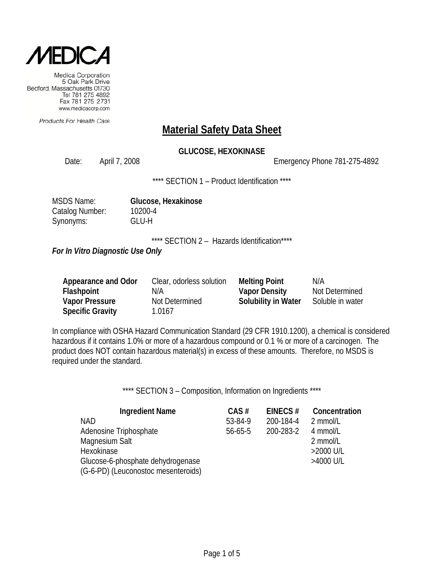

Products For Health Care

### **Material Safety Data Sheet**

### **GLUCOSE, HEXOKINASE**

Date: April 7, 2008 Emergency Phone 781-275-4892

\*\*\*\* SECTION 1 - Product Identification \*\*\*\*

| MSDS Name:      |
|-----------------|
| Catalog Number: |
| Synonyms:       |

**Glucose, Hexakinose** 10200-4 GLU-H

\*\*\*\* SECTION 2 - Hazards Identification\*\*\*\*

*For In Vitro Diagnostic Use Only*

| Appearance and Odor     | Clear, odorless solution | <b>Melting Point</b>       | N/A              |
|-------------------------|--------------------------|----------------------------|------------------|
| Flashpoint              | N/A                      | <b>Vapor Density</b>       | Not Determined   |
| <b>Vapor Pressure</b>   | Not Determined           | <b>Solubility in Water</b> | Soluble in water |
| <b>Specific Gravity</b> | 1.0167                   |                            |                  |

In compliance with OSHA Hazard Communication Standard (29 CFR 1910.1200), a chemical is considered hazardous if it contains 1.0% or more of a hazardous compound or 0.1 % or more of a carcinogen. The product does NOT contain hazardous material(s) in excess of these amounts. Therefore, no MSDS is required under the standard.

\*\*\*\* SECTION 3 - Composition, Information on Ingredients \*\*\*\*

| <b>Ingredient Name</b>              | $CAS \#$      | EINECS $#$ | Concentration |
|-------------------------------------|---------------|------------|---------------|
| <b>NAD</b>                          | 53-84-9       | 200-184-4  | 2 mmol/L      |
| Adenosine Triphosphate              | $56 - 65 - 5$ | 200-283-2  | 4 mmol/L      |
| Magnesium Salt                      |               |            | 2 mmol/L      |
| <b>Hexokinase</b>                   |               |            | >2000 U/L     |
| Glucose-6-phosphate dehydrogenase   |               |            | >4000 U/L     |
| (G-6-PD) (Leuconostoc mesenteroids) |               |            |               |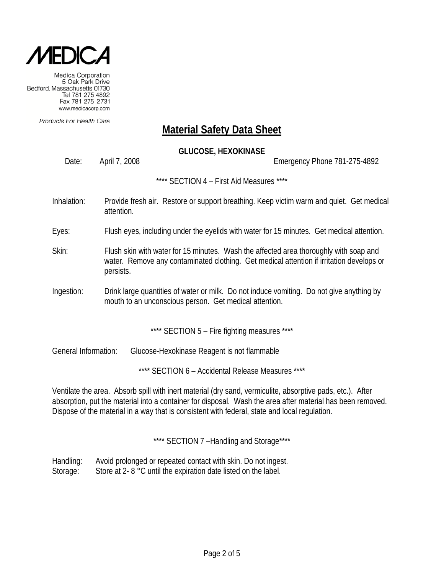

Products For Health Care

### **Material Safety Data Sheet**

### **GLUCOSE, HEXOKINASE**

Date: April 7, 2008 Emergency Phone 781-275-4892

\*\*\*\* SECTION 4 – First Aid Measures \*\*\*\*

- Inhalation: Provide fresh air. Restore or support breathing. Keep victim warm and quiet. Get medical attention.
- Eyes: Flush eyes, including under the eyelids with water for 15 minutes. Get medical attention.
- Skin: Flush skin with water for 15 minutes. Wash the affected area thoroughly with soap and water. Remove any contaminated clothing. Get medical attention if irritation develops or persists.
- Ingestion: Drink large quantities of water or milk. Do not induce vomiting. Do not give anything by mouth to an unconscious person. Get medical attention.

\*\*\*\* SECTION 5 - Fire fighting measures \*\*\*\*

General Information: Glucose-Hexokinase Reagent is not flammable

\*\*\*\* SECTION 6 – Accidental Release Measures \*\*\*\*

Ventilate the area. Absorb spill with inert material (dry sand, vermiculite, absorptive pads, etc.). After absorption, put the material into a container for disposal. Wash the area after material has been removed. Dispose of the material in a way that is consistent with federal, state and local regulation.

\*\*\*\* SECTION 7 -Handling and Storage\*\*\*\*

Handling: Avoid prolonged or repeated contact with skin. Do not ingest. Storage: Store at 2- 8 °C until the expiration date listed on the label.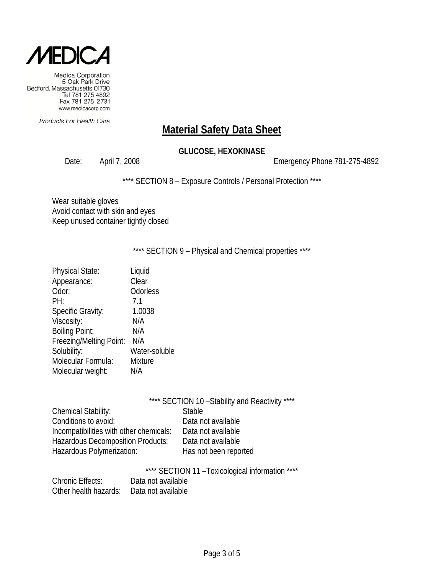

Products For Health Care

# **Material Safety Data Sheet**

### **GLUCOSE, HEXOKINASE**

Date: April 7, 2008 2008 2009 Emergency Phone 781-275-4892

\*\*\*\* SECTION 8 - Exposure Controls / Personal Protection \*\*\*\*

Wear suitable gloves Avoid contact with skin and eyes Keep unused container tightly closed

\*\*\*\* SECTION 9 - Physical and Chemical properties \*\*\*\*

| Liquid        |
|---------------|
| Clear         |
| Odorless      |
| 7.1           |
| 1.0038        |
| N/A           |
| N/A           |
| N/A           |
| Water-soluble |
| Mixture       |
| N/A           |
|               |

|                                         | **** SECTION 10 - Stability and Reactivity **** |  |
|-----------------------------------------|-------------------------------------------------|--|
| Chemical Stability:                     | <b>Stable</b>                                   |  |
| Conditions to avoid:                    | Data not available                              |  |
| Incompatibilities with other chemicals: | Data not available                              |  |
| Hazardous Decomposition Products:       | Data not available                              |  |
| Hazardous Polymerization:               | Has not been reported                           |  |

\*\*\*\* SECTION 11 –Toxicological information \*\*\*\*

| <b>Chronic Effects:</b>                  | Data not available |
|------------------------------------------|--------------------|
| Other health hazards: Data not available |                    |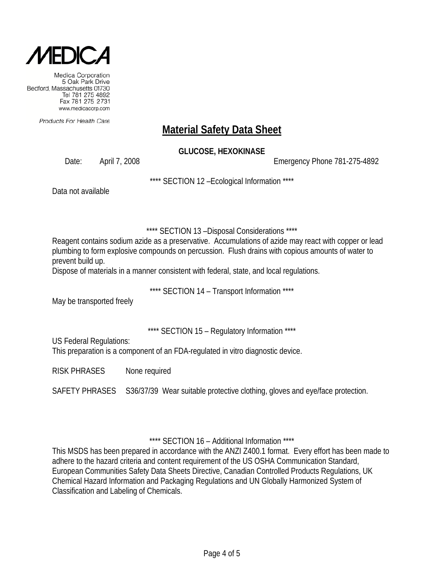

Products For Health Care

# **Material Safety Data Sheet**

### **GLUCOSE, HEXOKINASE**

Date: April 7, 2008 Emergency Phone 781-275-4892

\*\*\*\* SECTION 12 –Ecological Information \*\*\*\*

Data not available

\*\*\*\* SECTION 13 –Disposal Considerations \*\*\*\*

Reagent contains sodium azide as a preservative. Accumulations of azide may react with copper or lead plumbing to form explosive compounds on percussion. Flush drains with copious amounts of water to prevent build up.

Dispose of materials in a manner consistent with federal, state, and local regulations.

\*\*\*\* SECTION 14 – Transport Information \*\*\*\*

May be transported freely

\*\*\*\* SECTION 15 – Regulatory Information \*\*\*\*

US Federal Regulations:

This preparation is a component of an FDA-regulated in vitro diagnostic device.

RISK PHRASES None required

SAFETY PHRASES S36/37/39 Wear suitable protective clothing, gloves and eye/face protection.

\*\*\*\* SECTION 16 – Additional Information \*\*\*\*

This MSDS has been prepared in accordance with the ANZI Z400.1 format. Every effort has been made to adhere to the hazard criteria and content requirement of the US OSHA Communication Standard, European Communities Safety Data Sheets Directive, Canadian Controlled Products Regulations, UK Chemical Hazard Information and Packaging Regulations and UN Globally Harmonized System of Classification and Labeling of Chemicals.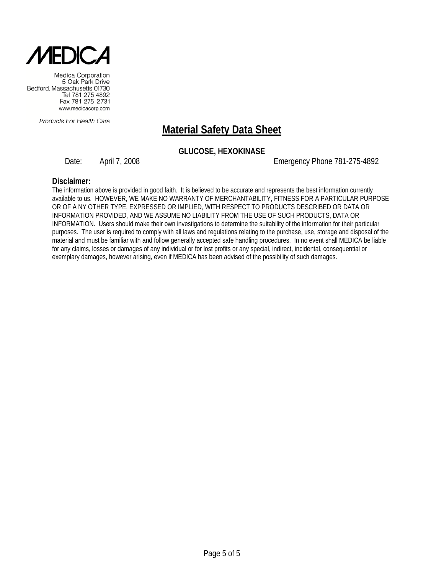

Products For Health Care

# **Material Safety Data Sheet**

### **GLUCOSE, HEXOKINASE**

Date: April 7, 2008 Emergency Phone 781-275-4892

#### **Disclaimer:**

The information above is provided in good faith. It is believed to be accurate and represents the best information currently available to us. HOWEVER, WE MAKE NO WARRANTY OF MERCHANTABILITY, FITNESS FOR A PARTICULAR PURPOSE OR OF A NY OTHER TYPE, EXPRESSED OR IMPLIED, WITH RESPECT TO PRODUCTS DESCRIBED OR DATA OR INFORMATION PROVIDED, AND WE ASSUME NO LIABILITY FROM THE USE OF SUCH PRODUCTS, DATA OR INFORMATION. Users should make their own investigations to determine the suitability of the information for their particular purposes. The user is required to comply with all laws and regulations relating to the purchase, use, storage and disposal of the material and must be familiar with and follow generally accepted safe handling procedures. In no event shall MEDICA be liable for any claims, losses or damages of any individual or for lost profits or any special, indirect, incidental, consequential or exemplary damages, however arising, even if MEDICA has been advised of the possibility of such damages.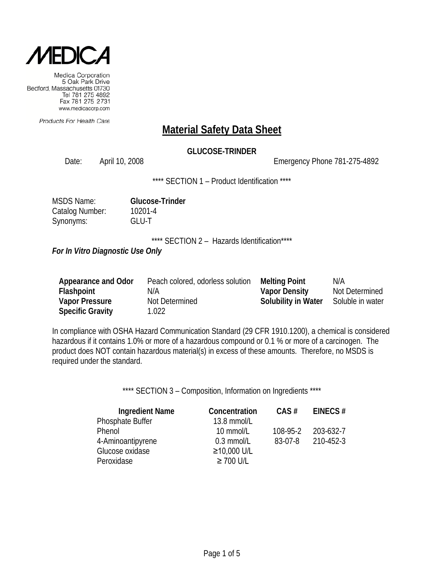

Products For Health Care

### **Material Safety Data Sheet**

### **GLUCOSE-TRINDER**

Date: April 10, 2008 Emergency Phone 781-275-4892

\*\*\*\* SECTION 1 - Product Identification \*\*\*\*

| <b>MSDS Name:</b> | <b>Glucose-Trinder</b> |
|-------------------|------------------------|
| Catalog Number:   | 10201-4                |
| Synonyms:         | GLU-T                  |

\*\*\*\* SECTION 2 - Hazards Identification\*\*\*\*

*For In Vitro Diagnostic Use Only*

| Appearance and Odor     | Peach colored, odorless solution | <b>Melting Point</b>       | N/A              |
|-------------------------|----------------------------------|----------------------------|------------------|
| <b>Flashpoint</b>       | N/A                              | <b>Vapor Density</b>       | Not Determined   |
| <b>Vapor Pressure</b>   | Not Determined                   | <b>Solubility in Water</b> | Soluble in water |
| <b>Specific Gravity</b> | 1.022                            |                            |                  |

In compliance with OSHA Hazard Communication Standard (29 CFR 1910.1200), a chemical is considered hazardous if it contains 1.0% or more of a hazardous compound or 0.1 % or more of a carcinogen. The product does NOT contain hazardous material(s) in excess of these amounts. Therefore, no MSDS is required under the standard.

\*\*\*\* SECTION 3 - Composition, Information on Ingredients \*\*\*\*

| <b>Ingredient Name</b> | Concentration  | $CAS \#$ | EINECS $#$ |
|------------------------|----------------|----------|------------|
| Phosphate Buffer       | 13.8 mmol/L    |          |            |
| Phenol                 | 10 mmol/L      | 108-95-2 | 203-632-7  |
| 4-Aminoantipyrene      | $0.3$ mmol/L   | 83-07-8  | 210-452-3  |
| Glucose oxidase        | ≥10,000 U/L    |          |            |
| Peroxidase             | $\geq$ 700 U/L |          |            |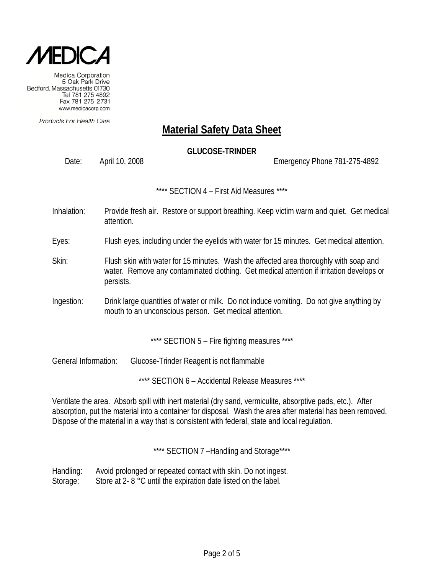

Products For Health Care

# **Material Safety Data Sheet**

### **GLUCOSE-TRINDER**

Date: April 10, 2008 Emergency Phone 781-275-4892

\*\*\*\* SECTION 4 – First Aid Measures \*\*\*\*

Inhalation: Provide fresh air. Restore or support breathing. Keep victim warm and quiet. Get medical attention.

Eyes: Flush eyes, including under the eyelids with water for 15 minutes. Get medical attention.

- Skin: Flush skin with water for 15 minutes. Wash the affected area thoroughly with soap and water. Remove any contaminated clothing. Get medical attention if irritation develops or persists.
- Ingestion: Drink large quantities of water or milk. Do not induce vomiting. Do not give anything by mouth to an unconscious person. Get medical attention.

\*\*\*\* SECTION 5 - Fire fighting measures \*\*\*\*

General Information: Glucose-Trinder Reagent is not flammable

\*\*\*\* SECTION 6 – Accidental Release Measures \*\*\*\*

Ventilate the area. Absorb spill with inert material (dry sand, vermiculite, absorptive pads, etc.). After absorption, put the material into a container for disposal. Wash the area after material has been removed. Dispose of the material in a way that is consistent with federal, state and local regulation.

\*\*\*\* SECTION 7-Handling and Storage\*\*\*\*

Handling: Avoid prolonged or repeated contact with skin. Do not ingest. Storage: Store at 2- 8 °C until the expiration date listed on the label.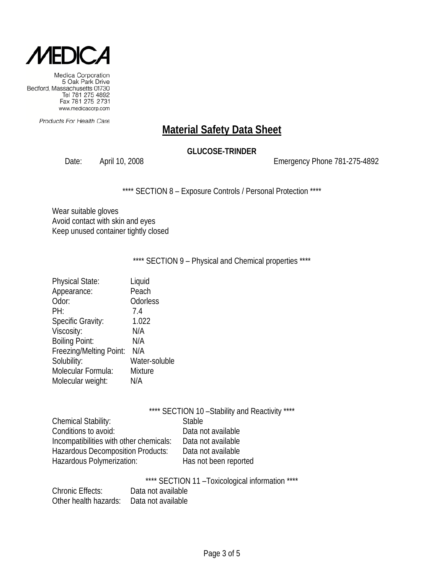

Products For Health Care

# **Material Safety Data Sheet**

### **GLUCOSE-TRINDER**

Date: April 10, 2008 2008 2009 Emergency Phone 781-275-4892

\*\*\*\* SECTION 8 - Exposure Controls / Personal Protection \*\*\*\*

Wear suitable gloves Avoid contact with skin and eyes Keep unused container tightly closed

\*\*\*\* SECTION 9 - Physical and Chemical properties \*\*\*\*

| <b>Physical State:</b>   | Liquid         |
|--------------------------|----------------|
| Appearance:              | Peach          |
| Odor:                    | Odorless       |
| PH:                      | 7.4            |
| <b>Specific Gravity:</b> | 1.022          |
| Viscosity:               | N/A            |
| <b>Boiling Point:</b>    | N/A            |
| Freezing/Melting Point:  | N/A            |
| Solubility:              | Water-soluble  |
| Molecular Formula:       | <b>Mixture</b> |
| Molecular weight:        | N/A            |
|                          |                |

|                                         | **** SECTION 10 - Stability and Reactivity **** |
|-----------------------------------------|-------------------------------------------------|
| <b>Chemical Stability:</b>              | <b>Stable</b>                                   |
| Conditions to avoid:                    | Data not available                              |
| Incompatibilities with other chemicals: | Data not available                              |
| Hazardous Decomposition Products:       | Data not available                              |

\*\*\*\* SECTION 11 - Toxicological information \*\*\*\*

|                                          | <u>OLONON II.I</u> |  |
|------------------------------------------|--------------------|--|
| <b>Chronic Effects:</b>                  | Data not available |  |
| Other health hazards: Data not available |                    |  |

Hazardous Polymerization: Has not been reported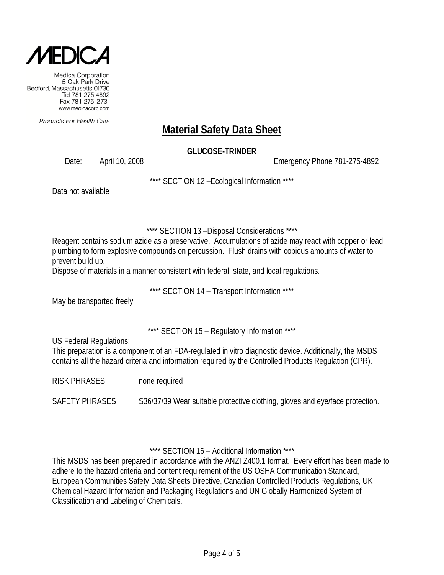

Products For Health Care

# **Material Safety Data Sheet**

**GLUCOSE-TRINDER**

Date: April 10, 2008 Emergency Phone 781-275-4892

\*\*\*\* SECTION 12 –Ecological Information \*\*\*\*

Data not available

\*\*\*\* SECTION 13 –Disposal Considerations \*\*\*\*

Reagent contains sodium azide as a preservative. Accumulations of azide may react with copper or lead plumbing to form explosive compounds on percussion. Flush drains with copious amounts of water to prevent build up.

Dispose of materials in a manner consistent with federal, state, and local regulations.

\*\*\*\* SECTION 14 – Transport Information \*\*\*\*

May be transported freely

\*\*\*\* SECTION 15 – Regulatory Information \*\*\*\*

US Federal Regulations:

This preparation is a component of an FDA-regulated in vitro diagnostic device. Additionally, the MSDS contains all the hazard criteria and information required by the Controlled Products Regulation (CPR).

RISK PHRASES none required

SAFETY PHRASES S36/37/39 Wear suitable protective clothing, gloves and eye/face protection.

\*\*\*\* SECTION 16 – Additional Information \*\*\*\*

This MSDS has been prepared in accordance with the ANZI Z400.1 format. Every effort has been made to adhere to the hazard criteria and content requirement of the US OSHA Communication Standard, European Communities Safety Data Sheets Directive, Canadian Controlled Products Regulations, UK Chemical Hazard Information and Packaging Regulations and UN Globally Harmonized System of Classification and Labeling of Chemicals.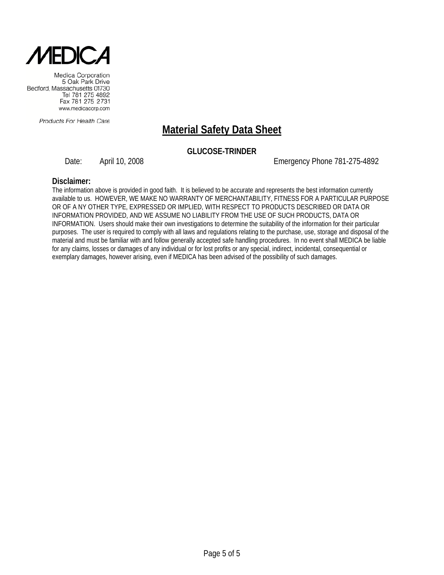

Products For Health Care

# **Material Safety Data Sheet**

### **GLUCOSE-TRINDER**

Date: April 10, 2008 Emergency Phone 781-275-4892

#### **Disclaimer:**

The information above is provided in good faith. It is believed to be accurate and represents the best information currently available to us. HOWEVER, WE MAKE NO WARRANTY OF MERCHANTABILITY, FITNESS FOR A PARTICULAR PURPOSE OR OF A NY OTHER TYPE, EXPRESSED OR IMPLIED, WITH RESPECT TO PRODUCTS DESCRIBED OR DATA OR INFORMATION PROVIDED, AND WE ASSUME NO LIABILITY FROM THE USE OF SUCH PRODUCTS, DATA OR INFORMATION. Users should make their own investigations to determine the suitability of the information for their particular purposes. The user is required to comply with all laws and regulations relating to the purchase, use, storage and disposal of the material and must be familiar with and follow generally accepted safe handling procedures. In no event shall MEDICA be liable for any claims, losses or damages of any individual or for lost profits or any special, indirect, incidental, consequential or exemplary damages, however arising, even if MEDICA has been advised of the possibility of such damages.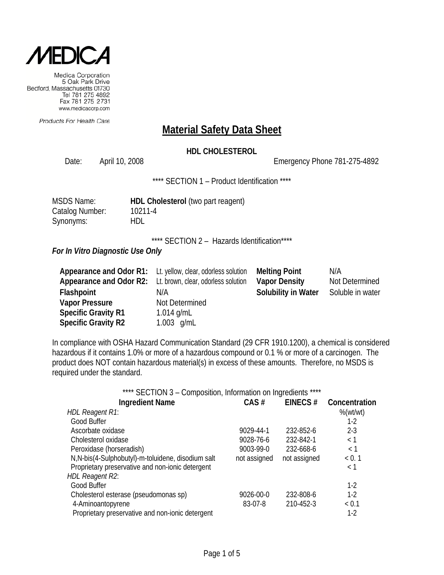

Products For Health Care

### **Material Safety Data Sheet**

### **HDL CHOLESTEROL**

Date: April 10, 2008 Channel 2008 Emergency Phone 781-275-4892

\*\*\*\* SECTION 1 – Product Identification \*\*\*\*

| MSDS Name:      | HDL Cholesterol (two part reagent) |
|-----------------|------------------------------------|
| Catalog Number: | 10211-4                            |
| Synonyms:       | HDL                                |

\*\*\*\* SECTION 2 - Hazards Identification\*\*\*\*

#### *For In Vitro Diagnostic Use Only*

| <b>Appearance and Odor R1:</b> Lt. yellow, clear, odorless solution |                | <b>Melting Point</b>       | N/A              |
|---------------------------------------------------------------------|----------------|----------------------------|------------------|
| Appearance and Odor R2: Lt. brown, clear, odorless solution         |                | <b>Vapor Density</b>       | Not Determined   |
| Flashpoint                                                          | N/A            | <b>Solubility in Water</b> | Soluble in water |
| <b>Vapor Pressure</b>                                               | Not Determined |                            |                  |
| <b>Specific Gravity R1</b>                                          | 1.014 g/mL     |                            |                  |
| <b>Specific Gravity R2</b>                                          | 1.003 $g/mL$   |                            |                  |

In compliance with OSHA Hazard Communication Standard (29 CFR 1910.1200), a chemical is considered hazardous if it contains 1.0% or more of a hazardous compound or 0.1 % or more of a carcinogen. The product does NOT contain hazardous material(s) in excess of these amounts. Therefore, no MSDS is required under the standard.

| **** SECTION 3 - Composition, Information on Ingredients **** |              |              |               |
|---------------------------------------------------------------|--------------|--------------|---------------|
| <b>Ingredient Name</b>                                        | CAS#         | EINECS#      | Concentration |
| <b>HDL Reagent R1:</b>                                        |              |              | $%$ (wt/wt)   |
| Good Buffer                                                   |              |              | $1-2$         |
| Ascorbate oxidase                                             | 9029-44-1    | 232-852-6    | $2 - 3$       |
| Cholesterol oxidase                                           | 9028-76-6    | 232-842-1    | < 1           |
| Peroxidase (horseradish)                                      | 9003-99-0    | 232-668-6    | < 1           |
| N, N-bis(4-Sulphobutyl)-m-toluidene, disodium salt            | not assigned | not assigned | < 0.1         |
| Proprietary preservative and non-ionic detergent              |              |              | < 1           |
| <b>HDL Reagent R2:</b>                                        |              |              |               |
| Good Buffer                                                   |              |              | $1-2$         |
| Cholesterol esterase (pseudomonas sp)                         | 9026-00-0    | 232-808-6    | $1-2$         |
| 4-Aminoantopyrene                                             | 83-07-8      | 210-452-3    | < 0.1         |
| Proprietary preservative and non-ionic detergent              |              |              | $1-2$         |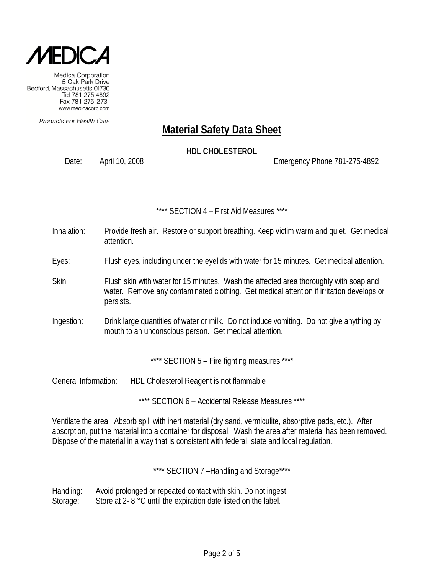

Products For Health Care

# **Material Safety Data Sheet**

**HDL CHOLESTEROL**

Date: April 10, 2008 Emergency Phone 781-275-4892

\*\*\*\* SECTION 4 – First Aid Measures \*\*\*\*

- Inhalation: Provide fresh air. Restore or support breathing. Keep victim warm and quiet. Get medical attention.
- Eyes: Flush eyes, including under the eyelids with water for 15 minutes. Get medical attention.
- Skin: Flush skin with water for 15 minutes. Wash the affected area thoroughly with soap and water. Remove any contaminated clothing. Get medical attention if irritation develops or persists.
- Ingestion: Drink large quantities of water or milk. Do not induce vomiting. Do not give anything by mouth to an unconscious person. Get medical attention.

\*\*\*\* SECTION 5 - Fire fighting measures \*\*\*\*

General Information: HDL Cholesterol Reagent is not flammable

\*\*\*\* SECTION 6 – Accidental Release Measures \*\*\*\*

Ventilate the area. Absorb spill with inert material (dry sand, vermiculite, absorptive pads, etc.). After absorption, put the material into a container for disposal. Wash the area after material has been removed. Dispose of the material in a way that is consistent with federal, state and local regulation.

\*\*\*\* SECTION 7 -Handling and Storage\*\*\*\*

Handling: Avoid prolonged or repeated contact with skin. Do not ingest. Storage: Store at 2- 8 °C until the expiration date listed on the label.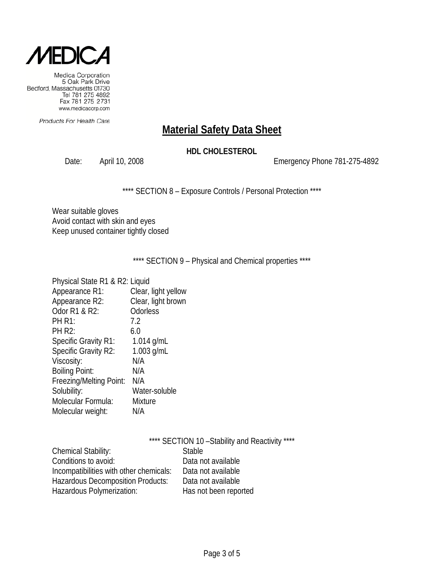

Products For Health Care

# **Material Safety Data Sheet**

### **HDL CHOLESTEROL**

Date: April 10, 2008 2008 2009 Emergency Phone 781-275-4892

\*\*\*\* SECTION 8 - Exposure Controls / Personal Protection \*\*\*\*

Wear suitable gloves Avoid contact with skin and eyes Keep unused container tightly closed

\*\*\*\* SECTION 9 - Physical and Chemical properties \*\*\*\*

| Physical State R1 & R2: Liquid |                     |
|--------------------------------|---------------------|
| Appearance R1:                 | Clear, light yellow |
| Appearance R2:                 | Clear, light brown  |
| Odor R1 & R2:                  | Odorless            |
| <b>PH R1:</b>                  | 7.2                 |
| <b>PH R2:</b>                  | 6.0                 |
| <b>Specific Gravity R1:</b>    | 1.014 $g/mL$        |
| Specific Gravity R2:           | $1.003$ g/mL        |
| Viscosity:                     | N/A                 |
| <b>Boiling Point:</b>          | N/A                 |
| Freezing/Melting Point:        | N/A                 |
| Solubility:                    | Water-soluble       |
| Molecular Formula:             | <b>Mixture</b>      |
| Molecular weight:              | N/A                 |

|                                          | **** SECTION 10 - Stability and Reactivity **** |
|------------------------------------------|-------------------------------------------------|
| <b>Chemical Stability:</b>               | <b>Stable</b>                                   |
| Conditions to avoid:                     | Data not available                              |
| Incompatibilities with other chemicals:  | Data not available                              |
| <b>Hazardous Decomposition Products:</b> | Data not available                              |
| Hazardous Polymerization:                | Has not been reported                           |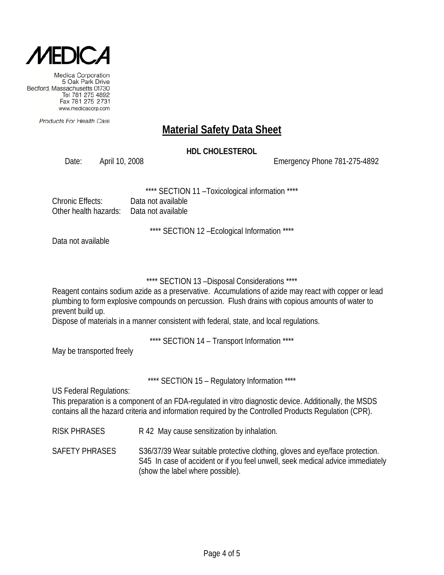

Products For Health Care

# **Material Safety Data Sheet**

### **HDL CHOLESTEROL**

Date: April 10, 2008 Emergency Phone 781-275-4892

SECTION 11 - Toxicological information \*\*\*\*

| Chronic Effects:      | Data not av |
|-----------------------|-------------|
| Other health hazards: | Data not av |

\*\*\*\* SECTION 12 –Ecological Information \*\*\*\*

Data not available

### \*\*\*\* SECTION 13 –Disposal Considerations \*\*\*\*

Reagent contains sodium azide as a preservative. Accumulations of azide may react with copper or lead plumbing to form explosive compounds on percussion. Flush drains with copious amounts of water to prevent build up.

Dispose of materials in a manner consistent with federal, state, and local regulations.

ailable ailahle

\*\*\*\* SECTION 14 – Transport Information \*\*\*\*

May be transported freely

\*\*\*\* SECTION 15 - Regulatory Information \*\*\*\*

US Federal Regulations:

This preparation is a component of an FDA-regulated in vitro diagnostic device. Additionally, the MSDS contains all the hazard criteria and information required by the Controlled Products Regulation (CPR).

RISK PHRASES R 42 May cause sensitization by inhalation.

SAFETY PHRASES S36/37/39 Wear suitable protective clothing, gloves and eye/face protection. S45 In case of accident or if you feel unwell, seek medical advice immediately (show the label where possible).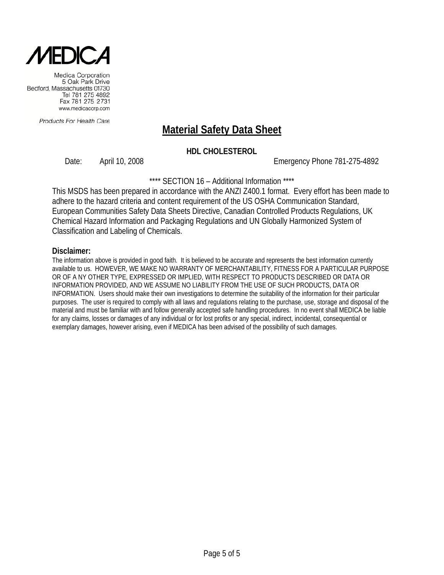

Products For Health Care

# **Material Safety Data Sheet**

### **HDL CHOLESTEROL**

Date: April 10, 2008 Emergency Phone 781-275-4892

\*\*\*\* SECTION 16 – Additional Information \*\*\*\*

This MSDS has been prepared in accordance with the ANZI Z400.1 format. Every effort has been made to adhere to the hazard criteria and content requirement of the US OSHA Communication Standard, European Communities Safety Data Sheets Directive, Canadian Controlled Products Regulations, UK Chemical Hazard Information and Packaging Regulations and UN Globally Harmonized System of Classification and Labeling of Chemicals.

#### **Disclaimer:**

The information above is provided in good faith. It is believed to be accurate and represents the best information currently available to us. HOWEVER, WE MAKE NO WARRANTY OF MERCHANTABILITY, FITNESS FOR A PARTICULAR PURPOSE OR OF A NY OTHER TYPE, EXPRESSED OR IMPLIED, WITH RESPECT TO PRODUCTS DESCRIBED OR DATA OR INFORMATION PROVIDED, AND WE ASSUME NO LIABILITY FROM THE USE OF SUCH PRODUCTS, DATA OR INFORMATION. Users should make their own investigations to determine the suitability of the information for their particular purposes. The user is required to comply with all laws and regulations relating to the purchase, use, storage and disposal of the material and must be familiar with and follow generally accepted safe handling procedures. In no event shall MEDICA be liable for any claims, losses or damages of any individual or for lost profits or any special, indirect, incidental, consequential or exemplary damages, however arising, even if MEDICA has been advised of the possibility of such damages.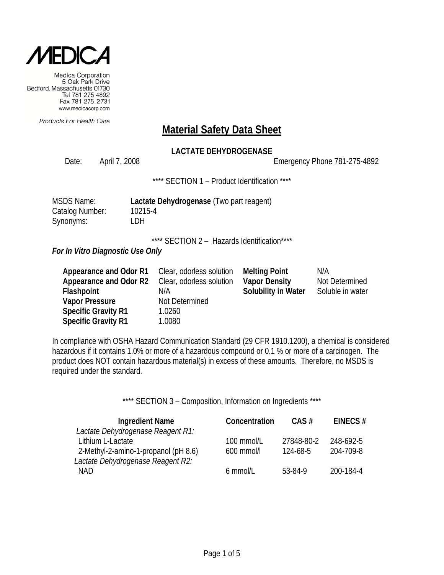

Products For Health Care

### **Material Safety Data Sheet**

### **LACTATE DEHYDROGENASE**

Date: April 7, 2008 Emergency Phone 781-275-4892

\*\*\*\* SECTION 1 – Product Identification \*\*\*\*

| MSDS Name:      | Lactate Dehydrogenase (Two part reagent) |
|-----------------|------------------------------------------|
| Catalog Number: | 10215-4                                  |
| Synonyms:       | LDH                                      |

\*\*\*\* SECTION 2 - Hazards Identification\*\*\*\*

*For In Vitro Diagnostic Use Only*

| Appearance and Odor R1     | Clear, odorless solution | <b>Melting Point</b> | N/A              |
|----------------------------|--------------------------|----------------------|------------------|
| Appearance and Odor R2     | Clear, odorless solution | <b>Vapor Density</b> | Not Determined   |
| Flashpoint                 | N/A                      | Solubility in Water  | Soluble in water |
| <b>Vapor Pressure</b>      | Not Determined           |                      |                  |
| <b>Specific Gravity R1</b> | 1.0260                   |                      |                  |
| <b>Specific Gravity R1</b> | 1.0080                   |                      |                  |

In compliance with OSHA Hazard Communication Standard (29 CFR 1910.1200), a chemical is considered hazardous if it contains 1.0% or more of a hazardous compound or 0.1 % or more of a carcinogen. The product does NOT contain hazardous material(s) in excess of these amounts. Therefore, no MSDS is required under the standard.

\*\*\*\* SECTION 3 - Composition, Information on Ingredients \*\*\*\*

| <b>Ingredient Name</b>               | Concentration | $CAS \#$   | EINECS#   |
|--------------------------------------|---------------|------------|-----------|
| Lactate Dehydrogenase Reagent R1:    |               |            |           |
| Lithium L-Lactate                    | 100 mmol/L    | 27848-80-2 | 248-692-5 |
| 2-Methyl-2-amino-1-propanol (pH 8.6) | 600 mmol/l    | 124-68-5   | 204-709-8 |
| Lactate Dehydrogenase Reagent R2:    |               |            |           |
| NAD.                                 | 6 mmol/L      | 53-84-9    | 200-184-4 |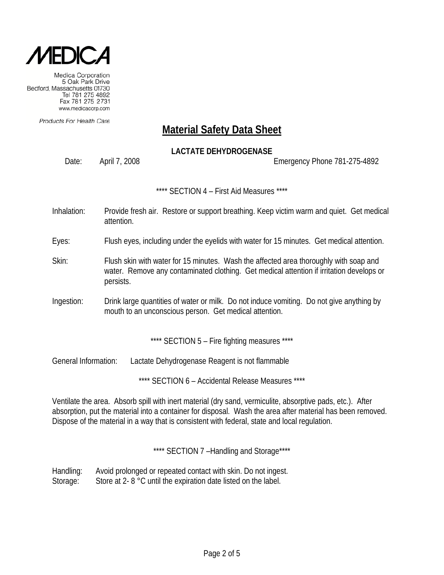

Products For Health Care

# **Material Safety Data Sheet**

### **LACTATE DEHYDROGENASE**

Date: April 7, 2008 Emergency Phone 781-275-4892

\*\*\*\* SECTION 4 – First Aid Measures \*\*\*\*

- Inhalation: Provide fresh air. Restore or support breathing. Keep victim warm and quiet. Get medical attention.
- Eyes: Flush eyes, including under the eyelids with water for 15 minutes. Get medical attention.
- Skin: Flush skin with water for 15 minutes. Wash the affected area thoroughly with soap and water. Remove any contaminated clothing. Get medical attention if irritation develops or persists.
- Ingestion: Drink large quantities of water or milk. Do not induce vomiting. Do not give anything by mouth to an unconscious person. Get medical attention.

\*\*\*\* SECTION 5 - Fire fighting measures \*\*\*\*

General Information: Lactate Dehydrogenase Reagent is not flammable

\*\*\*\* SECTION 6 – Accidental Release Measures \*\*\*\*

Ventilate the area. Absorb spill with inert material (dry sand, vermiculite, absorptive pads, etc.). After absorption, put the material into a container for disposal. Wash the area after material has been removed. Dispose of the material in a way that is consistent with federal, state and local regulation.

\*\*\*\* SECTION 7-Handling and Storage\*\*\*\*

Handling: Avoid prolonged or repeated contact with skin. Do not ingest. Storage: Store at 2- 8 °C until the expiration date listed on the label.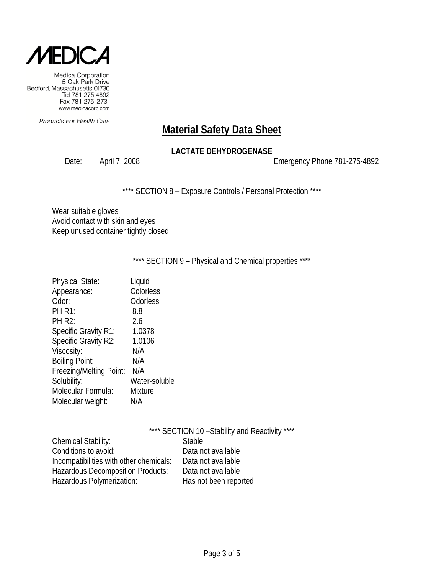

Products For Health Care

# **Material Safety Data Sheet**

### **LACTATE DEHYDROGENASE**

Date: April 7, 2008 2008 2009 Emergency Phone 781-275-4892

\*\*\*\* SECTION 8 - Exposure Controls / Personal Protection \*\*\*\*

Wear suitable gloves Avoid contact with skin and eyes Keep unused container tightly closed

\*\*\*\* SECTION 9 - Physical and Chemical properties \*\*\*\*

| <b>Physical State:</b>      | Liquid        |
|-----------------------------|---------------|
| Appearance:                 | Colorless     |
| Odor:                       | Odorless      |
| <b>PH R1:</b>               | 8.8           |
| <b>PH R2:</b>               | 2.6           |
| <b>Specific Gravity R1:</b> | 1.0378        |
| Specific Gravity R2:        | 1.0106        |
| Viscosity:                  | N/A           |
| <b>Boiling Point:</b>       | N/A           |
| Freezing/Melting Point:     | N/A           |
| Solubility:                 | Water-soluble |
| Molecular Formula:          | Mixture       |
| Molecular weight:           | N/A           |

|                                          | **** SECTION 10 - Stability and Reactivity **** |
|------------------------------------------|-------------------------------------------------|
| <b>Chemical Stability:</b>               | <b>Stable</b>                                   |
| Conditions to avoid:                     | Data not available                              |
| Incompatibilities with other chemicals:  | Data not available                              |
| <b>Hazardous Decomposition Products:</b> | Data not available                              |
| Hazardous Polymerization:                | Has not been reported                           |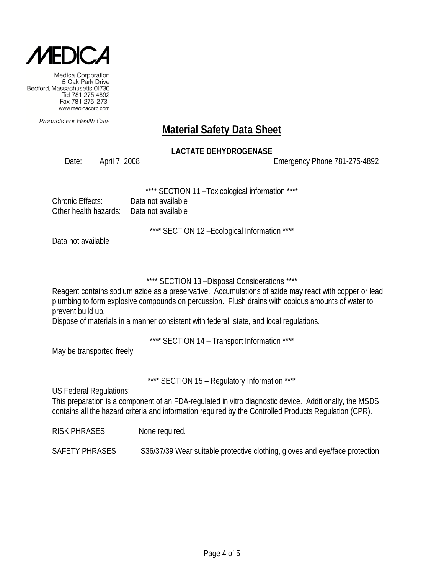

Products For Health Care

# **Material Safety Data Sheet**

### **LACTATE DEHYDROGENASE**

Date: April 7, 2008 Emergency Phone 781-275-4892

SECTION 11 - Toxicological information \*\*\*\*

| Chronic Effects:                          | Data not available |
|-------------------------------------------|--------------------|
| Other health hazards:  Data not available |                    |

\*\*\*\* SECTION 12 –Ecological Information \*\*\*\*

Data not available

### \*\*\*\* SECTION 13 –Disposal Considerations \*\*\*\*

Reagent contains sodium azide as a preservative. Accumulations of azide may react with copper or lead plumbing to form explosive compounds on percussion. Flush drains with copious amounts of water to prevent build up.

Dispose of materials in a manner consistent with federal, state, and local regulations.

\*\*\*\* SECTION 14 – Transport Information \*\*\*\*

May be transported freely

\*\*\*\* SECTION 15 - Regulatory Information \*\*\*\*

US Federal Regulations:

This preparation is a component of an FDA-regulated in vitro diagnostic device. Additionally, the MSDS contains all the hazard criteria and information required by the Controlled Products Regulation (CPR).

RISK PHRASES None required.

SAFETY PHRASES S36/37/39 Wear suitable protective clothing, gloves and eye/face protection.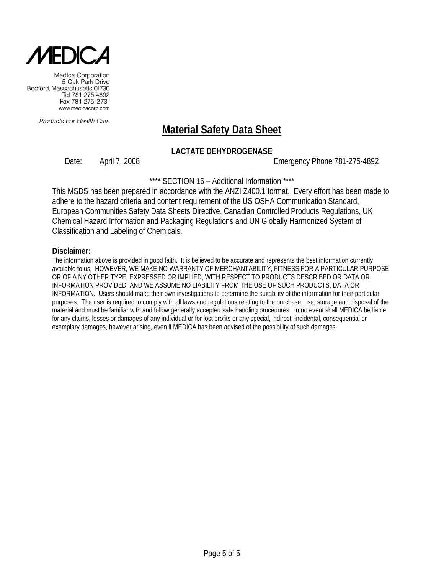

Products For Health Care

# **Material Safety Data Sheet**

### **LACTATE DEHYDROGENASE**

Date: April 7, 2008 Emergency Phone 781-275-4892

\*\*\*\* SECTION 16 – Additional Information \*\*\*\*

This MSDS has been prepared in accordance with the ANZI Z400.1 format. Every effort has been made to adhere to the hazard criteria and content requirement of the US OSHA Communication Standard, European Communities Safety Data Sheets Directive, Canadian Controlled Products Regulations, UK Chemical Hazard Information and Packaging Regulations and UN Globally Harmonized System of Classification and Labeling of Chemicals.

#### **Disclaimer:**

The information above is provided in good faith. It is believed to be accurate and represents the best information currently available to us. HOWEVER, WE MAKE NO WARRANTY OF MERCHANTABILITY, FITNESS FOR A PARTICULAR PURPOSE OR OF A NY OTHER TYPE, EXPRESSED OR IMPLIED, WITH RESPECT TO PRODUCTS DESCRIBED OR DATA OR INFORMATION PROVIDED, AND WE ASSUME NO LIABILITY FROM THE USE OF SUCH PRODUCTS, DATA OR INFORMATION. Users should make their own investigations to determine the suitability of the information for their particular purposes. The user is required to comply with all laws and regulations relating to the purchase, use, storage and disposal of the material and must be familiar with and follow generally accepted safe handling procedures. In no event shall MEDICA be liable for any claims, losses or damages of any individual or for lost profits or any special, indirect, incidental, consequential or exemplary damages, however arising, even if MEDICA has been advised of the possibility of such damages.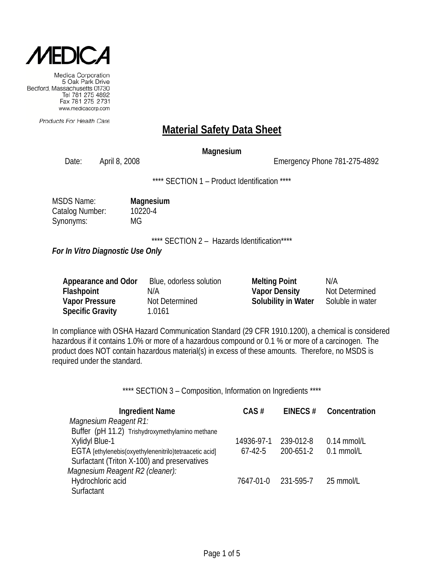

Products For Health Care

### **Material Safety Data Sheet**

#### **Magnesium**

Date: April 8, 2008 2008 2008 Emergency Phone 781-275-4892

\*\*\*\* SECTION 1 – Product Identification \*\*\*\*

| <b>MSDS Name:</b> | Magnesium |
|-------------------|-----------|
| Catalog Number:   | 10220-4   |
| Synonyms:         | MG        |

\*\*\*\* SECTION 2 - Hazards Identification\*\*\*\*

*For In Vitro Diagnostic Use Only*

| Appearance and Odor     | Blue, odorless solution | <b>Melting Point</b>       | N/A              |
|-------------------------|-------------------------|----------------------------|------------------|
| <b>Flashpoint</b>       | N/A                     | <b>Vapor Density</b>       | Not Determined   |
| <b>Vapor Pressure</b>   | Not Determined          | <b>Solubility in Water</b> | Soluble in water |
| <b>Specific Gravity</b> | 1.0161                  |                            |                  |

In compliance with OSHA Hazard Communication Standard (29 CFR 1910.1200), a chemical is considered hazardous if it contains 1.0% or more of a hazardous compound or 0.1 % or more of a carcinogen. The product does NOT contain hazardous material(s) in excess of these amounts. Therefore, no MSDS is required under the standard.

\*\*\*\* SECTION 3 - Composition, Information on Ingredients \*\*\*\*

| <b>Ingredient Name</b>                                 | CAS#       | EINECS $#$ | Concentration |
|--------------------------------------------------------|------------|------------|---------------|
| Magnesium Reagent R1:                                  |            |            |               |
| Buffer (pH 11.2) Trishydroxymethylamino methane        |            |            |               |
| Xylidyl Blue-1                                         | 14936-97-1 | 239-012-8  | $0.14$ mmol/L |
| EGTA [ethylenebis(oxyethylenenitrilo)tetraacetic acid] | $67-42-5$  | 200-651-2  | $0.1$ mmol/L  |
| Surfactant (Triton X-100) and preservatives            |            |            |               |
| Magnesium Reagent R2 (cleaner):                        |            |            |               |
| Hydrochloric acid                                      | 7647-01-0  | 231-595-7  | 25 mmol/L     |
| Surfactant                                             |            |            |               |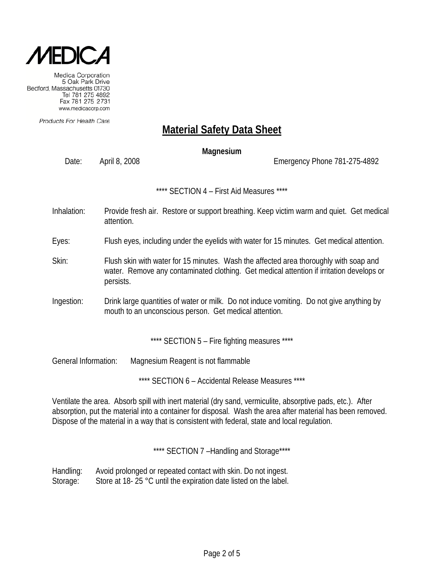

Products For Health Care

# **Material Safety Data Sheet**

### **Magnesium**

Date: April 8, 2008 Emergency Phone 781-275-4892

\*\*\*\* SECTION 4 – First Aid Measures \*\*\*\*

- Inhalation: Provide fresh air. Restore or support breathing. Keep victim warm and quiet. Get medical attention.
- Eyes: Flush eyes, including under the eyelids with water for 15 minutes. Get medical attention.
- Skin: Flush skin with water for 15 minutes. Wash the affected area thoroughly with soap and water. Remove any contaminated clothing. Get medical attention if irritation develops or persists.
- Ingestion: Drink large quantities of water or milk. Do not induce vomiting. Do not give anything by mouth to an unconscious person. Get medical attention.

\*\*\*\* SECTION 5 - Fire fighting measures \*\*\*\*

General Information: Magnesium Reagent is not flammable

\*\*\*\* SECTION 6 – Accidental Release Measures \*\*\*\*

Ventilate the area. Absorb spill with inert material (dry sand, vermiculite, absorptive pads, etc.). After absorption, put the material into a container for disposal. Wash the area after material has been removed. Dispose of the material in a way that is consistent with federal, state and local regulation.

\*\*\*\* SECTION 7-Handling and Storage\*\*\*\*

Handling: Avoid prolonged or repeated contact with skin. Do not ingest. Storage: Store at 18- 25 °C until the expiration date listed on the label.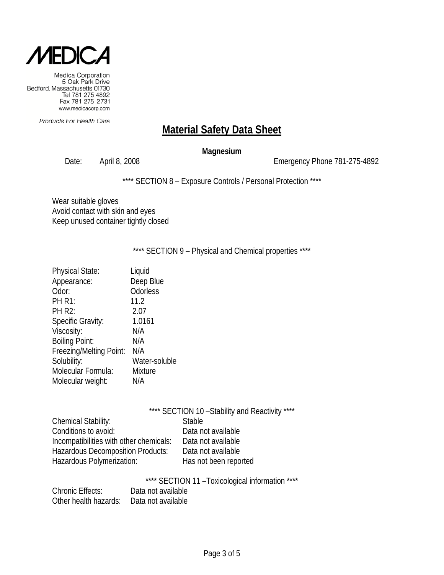

Products For Health Care

# **Material Safety Data Sheet**

#### **Magnesium**

Date: April 8, 2008 Emergency Phone 781-275-4892

\*\*\*\* SECTION 8 - Exposure Controls / Personal Protection \*\*\*\*

Wear suitable gloves Avoid contact with skin and eyes Keep unused container tightly closed

\*\*\*\* SECTION 9 - Physical and Chemical properties \*\*\*\*

| <b>Physical State:</b>  | Liquid         |
|-------------------------|----------------|
| Appearance:             | Deep Blue      |
| Odor:                   | Odorless       |
| <b>PH R1:</b>           | 11.2           |
| <b>PH R2:</b>           | 2.07           |
| Specific Gravity:       | 1.0161         |
| Viscosity:              | N/A            |
| <b>Boiling Point:</b>   | N/A            |
| Freezing/Melting Point: | N/A            |
| Solubility:             | Water-soluble  |
| Molecular Formula:      | <b>Mixture</b> |
| Molecular weight:       | N/A            |
|                         |                |

| <b>Stable</b>         |
|-----------------------|
| Data not available    |
| Data not available    |
| Data not available    |
| Has not been reported |
|                       |

\*\*\*\* SECTION 11 –Toxicological information \*\*\*\*

| <b>Chronic Effects:</b> | Data not available |
|-------------------------|--------------------|
| Other health hazards:   | Data not available |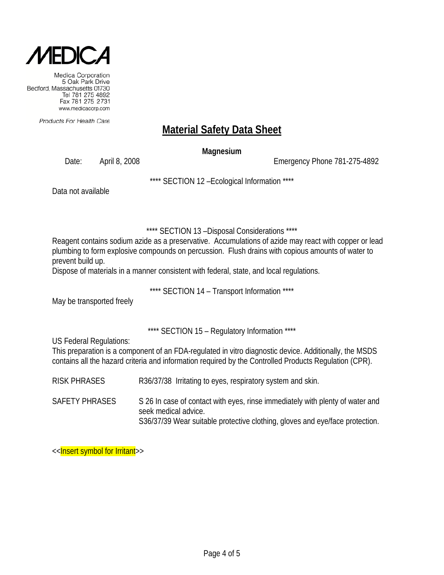

Products For Health Care

# **Material Safety Data Sheet**

**Magnesium**

Date: April 8, 2008 Emergency Phone 781-275-4892

\*\*\*\* SECTION 12 –Ecological Information \*\*\*\*

Data not available

\*\*\*\* SECTION 13 –Disposal Considerations \*\*\*\*

Reagent contains sodium azide as a preservative. Accumulations of azide may react with copper or lead plumbing to form explosive compounds on percussion. Flush drains with copious amounts of water to prevent build up.

Dispose of materials in a manner consistent with federal, state, and local regulations.

\*\*\*\* SECTION 14 – Transport Information \*\*\*\*

May be transported freely

\*\*\*\* SECTION 15 – Regulatory Information \*\*\*\*

US Federal Regulations:

This preparation is a component of an FDA-regulated in vitro diagnostic device. Additionally, the MSDS contains all the hazard criteria and information required by the Controlled Products Regulation (CPR).

RISK PHRASES R36/37/38 Irritating to eyes, respiratory system and skin.

SAFETY PHRASES S 26 In case of contact with eyes, rinse immediately with plenty of water and seek medical advice. S36/37/39 Wear suitable protective clothing, gloves and eye/face protection.

<<Insert symbol for Irritant>>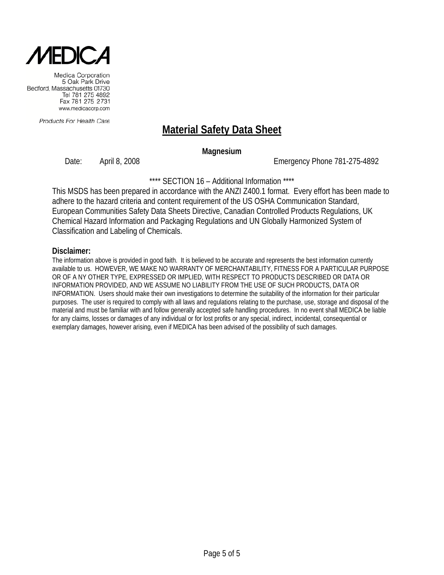

Products For Health Care

# **Material Safety Data Sheet**

#### **Magnesium**

Date: April 8, 2008 Emergency Phone 781-275-4892

\*\*\*\* SECTION 16 – Additional Information \*\*\*\*

This MSDS has been prepared in accordance with the ANZI Z400.1 format. Every effort has been made to adhere to the hazard criteria and content requirement of the US OSHA Communication Standard, European Communities Safety Data Sheets Directive, Canadian Controlled Products Regulations, UK Chemical Hazard Information and Packaging Regulations and UN Globally Harmonized System of Classification and Labeling of Chemicals.

#### **Disclaimer:**

The information above is provided in good faith. It is believed to be accurate and represents the best information currently available to us. HOWEVER, WE MAKE NO WARRANTY OF MERCHANTABILITY, FITNESS FOR A PARTICULAR PURPOSE OR OF A NY OTHER TYPE, EXPRESSED OR IMPLIED, WITH RESPECT TO PRODUCTS DESCRIBED OR DATA OR INFORMATION PROVIDED, AND WE ASSUME NO LIABILITY FROM THE USE OF SUCH PRODUCTS, DATA OR INFORMATION. Users should make their own investigations to determine the suitability of the information for their particular purposes. The user is required to comply with all laws and regulations relating to the purchase, use, storage and disposal of the material and must be familiar with and follow generally accepted safe handling procedures. In no event shall MEDICA be liable for any claims, losses or damages of any individual or for lost profits or any special, indirect, incidental, consequential or exemplary damages, however arising, even if MEDICA has been advised of the possibility of such damages.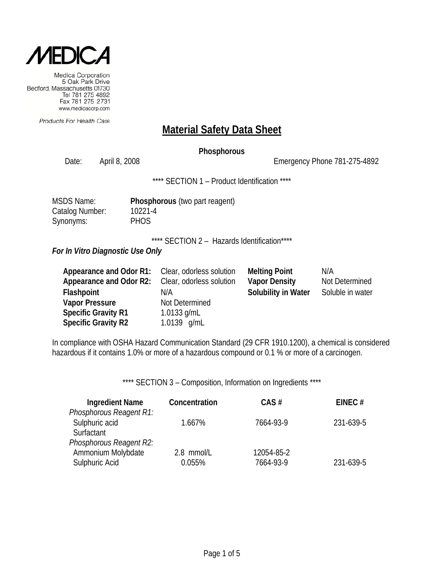

Products For Health Care

### **Material Safety Data Sheet**

#### **Phosphorous**

Date: April 8, 2008 2008 2008 Emergency Phone 781-275-4892

\*\*\*\* SECTION 1 - Product Identification \*\*\*\*

| <b>MSDS Name:</b> | Phosp       |
|-------------------|-------------|
| Catalog Number:   | $10221 -$   |
| Synonyms:         | <b>PHOS</b> |

hosphorous (two part reagent)  $221 - 4$ 

\*\*\*\* SECTION 2 - Hazards Identification\*\*\*\*

*For In Vitro Diagnostic Use Only*

| Appearance and Odor R1: Clear, odorless solution |                          | <b>Melting Point</b> | N/A              |
|--------------------------------------------------|--------------------------|----------------------|------------------|
| Appearance and Odor R2:                          | Clear, odorless solution | <b>Vapor Density</b> | Not Determined   |
| <b>Flashpoint</b>                                | N/A                      | Solubility in Water  | Soluble in water |
| <b>Vapor Pressure</b>                            | Not Determined           |                      |                  |
| <b>Specific Gravity R1</b>                       | 1.0133 $g/mL$            |                      |                  |
| <b>Specific Gravity R2</b>                       | 1.0139 g/mL              |                      |                  |

In compliance with OSHA Hazard Communication Standard (29 CFR 1910.1200), a chemical is considered hazardous if it contains 1.0% or more of a hazardous compound or 0.1 % or more of a carcinogen.

\*\*\*\* SECTION 3 - Composition, Information on Ingredients \*\*\*\*

| <b>Ingredient Name</b>  | Concentration | CAS#       | EINEC $#$ |
|-------------------------|---------------|------------|-----------|
| Phosphorous Reagent R1: |               |            |           |
| Sulphuric acid          | 1.667%        | 7664-93-9  | 231-639-5 |
| Surfactant              |               |            |           |
| Phosphorous Reagent R2: |               |            |           |
| Ammonium Molybdate      | 2.8 mmol/L    | 12054-85-2 |           |
| Sulphuric Acid          | 0.055%        | 7664-93-9  | 231-639-5 |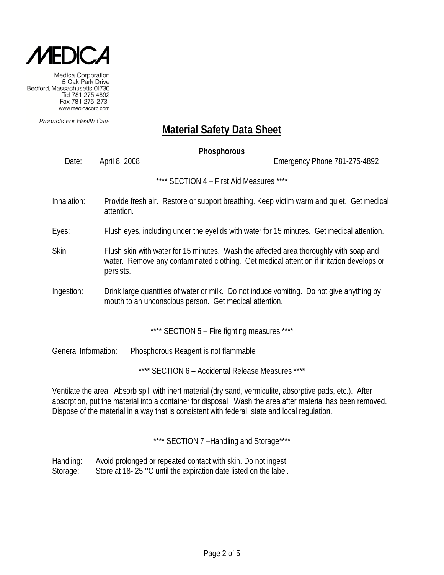

Products For Health Care

# **Material Safety Data Sheet**

# **Phosphorous** Date: April 8, 2008 Emergency Phone 781-275-4892 \*\*\*\* SECTION 4 – First Aid Measures \*\*\*\* Inhalation: Provide fresh air. Restore or support breathing. Keep victim warm and quiet. Get medical attention. Eyes: Flush eyes, including under the eyelids with water for 15 minutes. Get medical attention. Skin: Flush skin with water for 15 minutes. Wash the affected area thoroughly with soap and water. Remove any contaminated clothing. Get medical attention if irritation develops or persists. Ingestion: Drink large quantities of water or milk. Do not induce vomiting. Do not give anything by mouth to an unconscious person. Get medical attention. \*\*\*\* SECTION 5 - Fire fighting measures \*\*\*\* General Information: Phosphorous Reagent is not flammable \*\*\*\* SECTION 6 – Accidental Release Measures \*\*\*\* Ventilate the area. Absorb spill with inert material (dry sand, vermiculite, absorptive pads, etc.). After

absorption, put the material into a container for disposal. Wash the area after material has been removed. Dispose of the material in a way that is consistent with federal, state and local regulation.

\*\*\*\* SECTION 7 -Handling and Storage\*\*\*\*

Handling: Avoid prolonged or repeated contact with skin. Do not ingest. Storage: Store at 18- 25 °C until the expiration date listed on the label.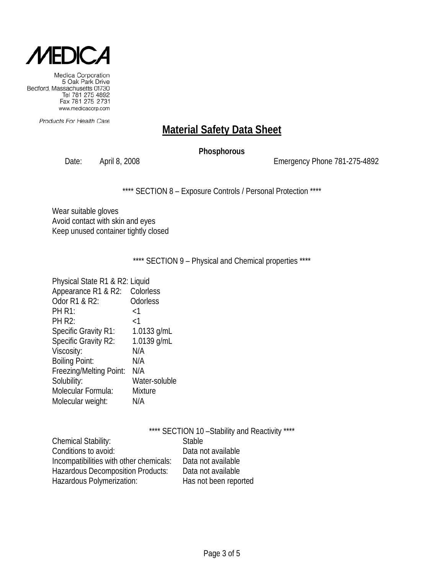

Products For Health Care

# **Material Safety Data Sheet**

### **Phosphorous**

Date: April 8, 2008 Channel Contract Contract Contract Contract Contract Contract Contract Contract Contract Contract Contract Contract Contract Contract Contract Contract Contract Contract Contract Contract Contract Contr

\*\*\*\* SECTION 8 - Exposure Controls / Personal Protection \*\*\*\*

Wear suitable gloves Avoid contact with skin and eyes Keep unused container tightly closed

\*\*\*\* SECTION 9 - Physical and Chemical properties \*\*\*\*

| Physical State R1 & R2: Liquid |                 |
|--------------------------------|-----------------|
| Appearance R1 & R2:            | Colorless       |
| Odor R1 & R2:                  | <b>Odorless</b> |
| <b>PH R1:</b>                  | ${<}1$          |
| <b>PH R2:</b>                  | ${<}1$          |
| <b>Specific Gravity R1:</b>    | 1.0133 $g/mL$   |
| Specific Gravity R2:           | 1.0139 g/mL     |
| Viscosity:                     | N/A             |
| <b>Boiling Point:</b>          | N/A             |
| Freezing/Melting Point:        | N/A             |
| Solubility:                    | Water-soluble   |
| Molecular Formula:             | <b>Mixture</b>  |
| Molecular weight:              | N/A             |
|                                |                 |

|                                          | **** SECTION 10 - Stability and Reactivity **** |
|------------------------------------------|-------------------------------------------------|
| <b>Chemical Stability:</b>               | <b>Stable</b>                                   |
| Conditions to avoid:                     | Data not available                              |
| Incompatibilities with other chemicals:  | Data not available                              |
| <b>Hazardous Decomposition Products:</b> | Data not available                              |
| Hazardous Polymerization:                | Has not been reported                           |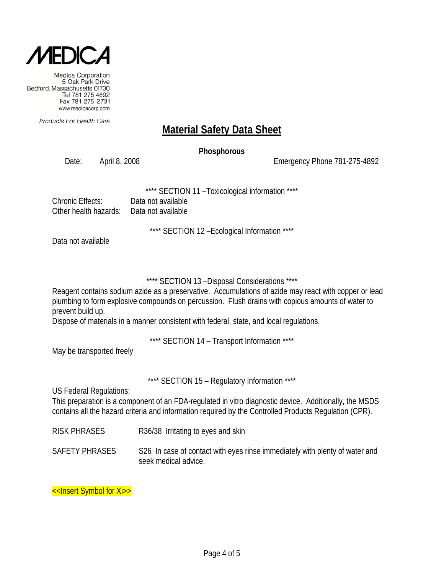

Products For Health Care

# **Material Safety Data Sheet**

#### **Phosphorous**

Date: April 8, 2008 Emergency Phone 781-275-4892

SECTION 11 - Toxicological information \*\*\*\*

| Chronic Effects:                          | Data not available |
|-------------------------------------------|--------------------|
| Other health hazards:  Data not available |                    |

\*\*\*\* SECTION 12 –Ecological Information \*\*\*\*

Data not available

### \*\*\*\* SECTION 13 –Disposal Considerations \*\*\*\*

Reagent contains sodium azide as a preservative. Accumulations of azide may react with copper or lead plumbing to form explosive compounds on percussion. Flush drains with copious amounts of water to prevent build up.

Dispose of materials in a manner consistent with federal, state, and local regulations.

\*\*\*\* SECTION 14 – Transport Information \*\*\*\*

May be transported freely

\*\*\*\* SECTION 15 - Regulatory Information \*\*\*\*

US Federal Regulations:

This preparation is a component of an FDA-regulated in vitro diagnostic device. Additionally, the MSDS contains all the hazard criteria and information required by the Controlled Products Regulation (CPR).

- RISK PHRASES R36/38 Irritating to eyes and skin
- SAFETY PHRASES S26 In case of contact with eyes rinse immediately with plenty of water and seek medical advice.

<<Insert Symbol for Xi>>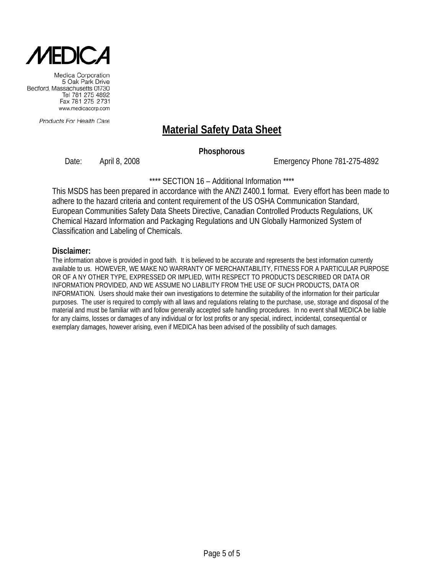

Products For Health Care

# **Material Safety Data Sheet**

#### **Phosphorous**

Date: April 8, 2008 Emergency Phone 781-275-4892

\*\*\*\* SECTION 16 – Additional Information \*\*\*\*

This MSDS has been prepared in accordance with the ANZI Z400.1 format. Every effort has been made to adhere to the hazard criteria and content requirement of the US OSHA Communication Standard, European Communities Safety Data Sheets Directive, Canadian Controlled Products Regulations, UK Chemical Hazard Information and Packaging Regulations and UN Globally Harmonized System of Classification and Labeling of Chemicals.

#### **Disclaimer:**

The information above is provided in good faith. It is believed to be accurate and represents the best information currently available to us. HOWEVER, WE MAKE NO WARRANTY OF MERCHANTABILITY, FITNESS FOR A PARTICULAR PURPOSE OR OF A NY OTHER TYPE, EXPRESSED OR IMPLIED, WITH RESPECT TO PRODUCTS DESCRIBED OR DATA OR INFORMATION PROVIDED, AND WE ASSUME NO LIABILITY FROM THE USE OF SUCH PRODUCTS, DATA OR INFORMATION. Users should make their own investigations to determine the suitability of the information for their particular purposes. The user is required to comply with all laws and regulations relating to the purchase, use, storage and disposal of the material and must be familiar with and follow generally accepted safe handling procedures. In no event shall MEDICA be liable for any claims, losses or damages of any individual or for lost profits or any special, indirect, incidental, consequential or exemplary damages, however arising, even if MEDICA has been advised of the possibility of such damages.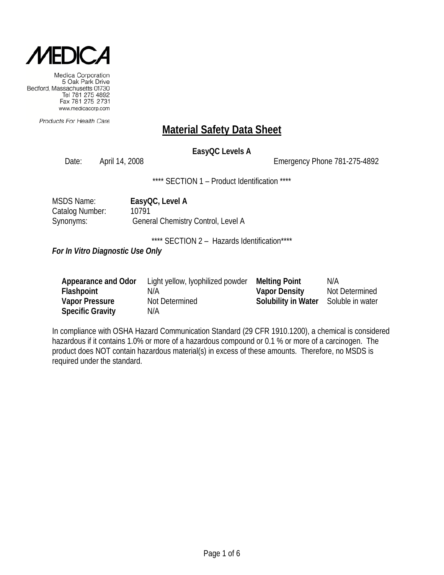

Products For Health Care

### **Material Safety Data Sheet**

### **EasyQC Levels A**

Date: April 14, 2008 **Emergency Phone 781-275-4892** 

\*\*\*\* SECTION 1 - Product Identification \*\*\*\*

| MSDS Name:      | EasyQC, Level A                    |
|-----------------|------------------------------------|
| Catalog Number: | 10791                              |
| Synonyms:       | General Chemistry Control, Level A |

\*\*\*\* SECTION 2 - Hazards Identification\*\*\*\*

*For In Vitro Diagnostic Use Only*

| Appearance and Odor     | Light yellow, lyophilized powder | <b>Melting Point</b>                 | N/A            |
|-------------------------|----------------------------------|--------------------------------------|----------------|
| Flashpoint              | N/A                              | <b>Vapor Density</b>                 | Not Determined |
| <b>Vapor Pressure</b>   | Not Determined                   | Solubility in Water Soluble in water |                |
| <b>Specific Gravity</b> | N/A                              |                                      |                |

In compliance with OSHA Hazard Communication Standard (29 CFR 1910.1200), a chemical is considered hazardous if it contains 1.0% or more of a hazardous compound or 0.1 % or more of a carcinogen. The product does NOT contain hazardous material(s) in excess of these amounts. Therefore, no MSDS is required under the standard.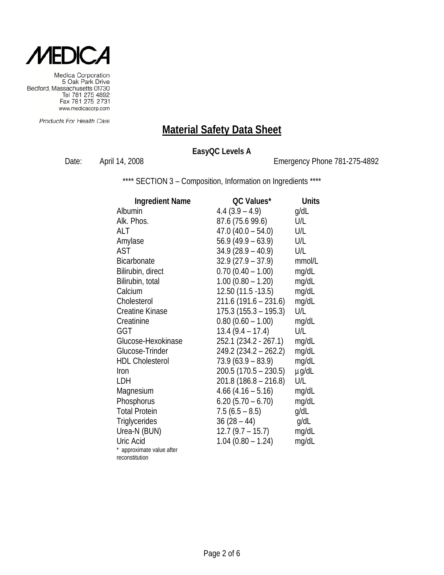

Medica Corporation<br>5 Oak Park Drive Bedford, Massachusetts 01730 Tel 781 275 4892<br>Tel 781 275 4892<br>Fax 781 275 2731 www.medicacorp.com

Products For Health Care

# **Material Safety Data Sheet**

### **EasyQC Levels A**

Date: April 14, 2008 **Emergency Phone 781-275-4892** 

\*\*\*\* SECTION 3 - Composition, Information on Ingredients \*\*\*\*

| <b>Ingredient Name</b>    | QC Values*              | <b>Units</b> |
|---------------------------|-------------------------|--------------|
| Albumin                   | $4.4(3.9 - 4.9)$        | g/dL         |
| Alk. Phos.                | 87.6 (75.6 99.6)        | U/L          |
| ALT                       | $47.0(40.0 - 54.0)$     | U/L          |
| Amylase                   | $56.9(49.9 - 63.9)$     | U/L          |
| AST                       | $34.9(28.9 - 40.9)$     | U/L          |
| <b>Bicarbonate</b>        | $32.9(27.9 - 37.9)$     | mmol/L       |
| Bilirubin, direct         | $0.70(0.40 - 1.00)$     | mg/dL        |
| Bilirubin, total          | $1.00$ (0.80 - 1.20)    | mg/dL        |
| Calcium                   | 12.50 (11.5 - 13.5)     | mg/dL        |
| Cholesterol               | $211.6(191.6 - 231.6)$  | mg/dL        |
| <b>Creatine Kinase</b>    | $175.3(155.3 - 195.3)$  | U/L          |
| Creatinine                | $0.80$ (0.60 - 1.00)    | mg/dL        |
| GGT                       | $13.4(9.4 - 17.4)$      | U/L          |
| Glucose-Hexokinase        | 252.1 (234.2 - 267.1)   | mg/dL        |
| Glucose-Trinder           | $249.2 (234.2 - 262.2)$ | mg/dL        |
| <b>HDL Cholesterol</b>    | $73.9(63.9 - 83.9)$     | mg/dL        |
| Iron                      | $200.5(170.5 - 230.5)$  | $\mu$ g/dL   |
| LDH                       | 201.8 (186.8 – 216.8)   | U/L          |
| Magnesium                 | $4.66$ (4.16 – 5.16)    | mg/dL        |
| Phosphorus                | $6.20$ (5.70 – 6.70)    | mg/dL        |
| <b>Total Protein</b>      | $7.5(6.5 - 8.5)$        | g/dL         |
| Triglycerides             | $36(28-44)$             | g/dL         |
| Urea-N (BUN)              | $12.7(9.7 - 15.7)$      | mg/dL        |
| Uric Acid                 | $1.04(0.80 - 1.24)$     | mg/dL        |
| * approximate value after |                         |              |
| reconstitution            |                         |              |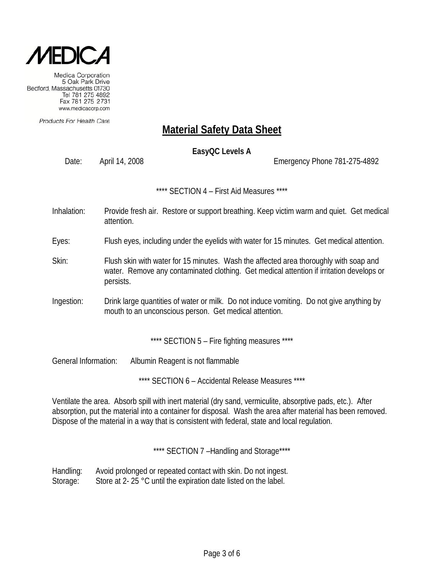

Products For Health Care

# **Material Safety Data Sheet**

**EasyQC Levels A** 

Date: April 14, 2008 Channel 2008 Emergency Phone 781-275-4892

\*\*\*\* SECTION 4 – First Aid Measures \*\*\*\*

Inhalation: Provide fresh air. Restore or support breathing. Keep victim warm and quiet. Get medical attention.

Eyes: Flush eyes, including under the eyelids with water for 15 minutes. Get medical attention.

- Skin: Flush skin with water for 15 minutes. Wash the affected area thoroughly with soap and water. Remove any contaminated clothing. Get medical attention if irritation develops or persists.
- Ingestion: Drink large quantities of water or milk. Do not induce vomiting. Do not give anything by mouth to an unconscious person. Get medical attention.

\*\*\*\* SECTION 5 - Fire fighting measures \*\*\*\*

General Information: Albumin Reagent is not flammable

\*\*\*\* SECTION 6 – Accidental Release Measures \*\*\*\*

Ventilate the area. Absorb spill with inert material (dry sand, vermiculite, absorptive pads, etc.). After absorption, put the material into a container for disposal. Wash the area after material has been removed. Dispose of the material in a way that is consistent with federal, state and local regulation.

\*\*\*\* SECTION 7-Handling and Storage\*\*\*\*

Handling: Avoid prolonged or repeated contact with skin. Do not ingest. Storage: Store at 2- 25 °C until the expiration date listed on the label.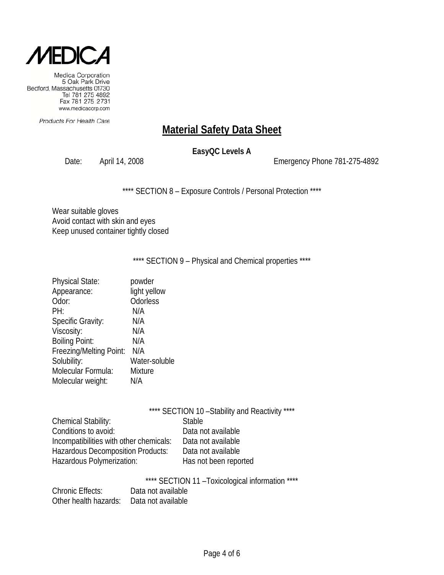

Products For Health Care

# **Material Safety Data Sheet**

### **EasyQC Levels A**

Date: April 14, 2008 Emergency Phone 781-275-4892

\*\*\*\* SECTION 8 - Exposure Controls / Personal Protection \*\*\*\*

Wear suitable gloves Avoid contact with skin and eyes Keep unused container tightly closed

\*\*\*\* SECTION 9 - Physical and Chemical properties \*\*\*\*

| <b>Physical State:</b>   | powder         |
|--------------------------|----------------|
| Appearance:              | light yellow   |
| Odor:                    | Odorless       |
| PH:                      | N/A            |
| <b>Specific Gravity:</b> | N/A            |
| Viscosity:               | N/A            |
| <b>Boiling Point:</b>    | N/A            |
| Freezing/Melting Point:  | N/A            |
| Solubility:              | Water-soluble  |
| Molecular Formula:       | <b>Mixture</b> |
| Molecular weight:        | N/A            |
|                          |                |

\*\*\*\* SECTION 10-Stability and Reactivity \*\*\*\*

| <b>Stable</b>         |
|-----------------------|
| Data not available    |
| Data not available    |
| Data not available    |
| Has not been reported |
|                       |

\*\*\*\* SECTION 11 –Toxicological information \*\*\*\*

| <b>Chronic Effects:</b> | Data not available |
|-------------------------|--------------------|
| Other health hazards:   | Data not available |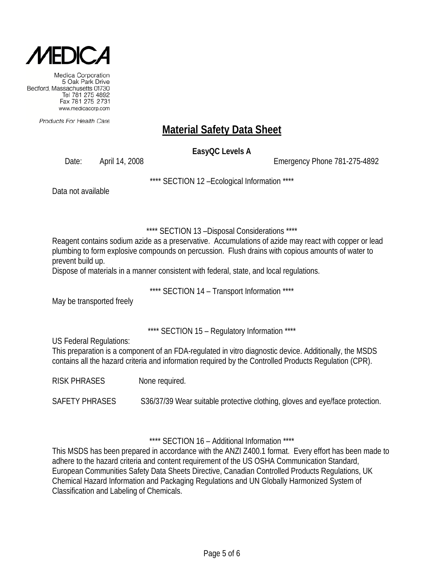

Products For Health Care

# **Material Safety Data Sheet**

**EasyQC Levels A** 

Date: April 14, 2008 Channel 2008 Emergency Phone 781-275-4892

\*\*\*\* SECTION 12 –Ecological Information \*\*\*\*

Data not available

\*\*\*\* SECTION 13 –Disposal Considerations \*\*\*\*

Reagent contains sodium azide as a preservative. Accumulations of azide may react with copper or lead plumbing to form explosive compounds on percussion. Flush drains with copious amounts of water to prevent build up.

Dispose of materials in a manner consistent with federal, state, and local regulations.

\*\*\*\* SECTION 14 – Transport Information \*\*\*\*

May be transported freely

\*\*\*\* SECTION 15 – Regulatory Information \*\*\*\*

US Federal Regulations:

This preparation is a component of an FDA-regulated in vitro diagnostic device. Additionally, the MSDS contains all the hazard criteria and information required by the Controlled Products Regulation (CPR).

RISK PHRASES None required.

SAFETY PHRASES S36/37/39 Wear suitable protective clothing, gloves and eye/face protection.

\*\*\*\* SECTION 16 – Additional Information \*\*\*\*

This MSDS has been prepared in accordance with the ANZI Z400.1 format. Every effort has been made to adhere to the hazard criteria and content requirement of the US OSHA Communication Standard, European Communities Safety Data Sheets Directive, Canadian Controlled Products Regulations, UK Chemical Hazard Information and Packaging Regulations and UN Globally Harmonized System of Classification and Labeling of Chemicals.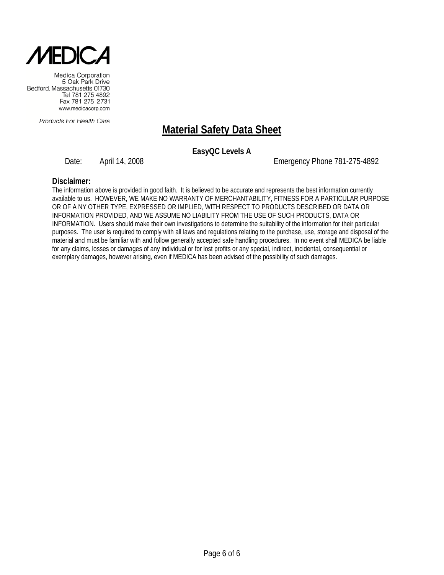

Products For Health Care

# **Material Safety Data Sheet**

**EasyQC Levels A** 

Date: April 14, 2008 Channel 2008 Emergency Phone 781-275-4892

#### **Disclaimer:**

The information above is provided in good faith. It is believed to be accurate and represents the best information currently available to us. HOWEVER, WE MAKE NO WARRANTY OF MERCHANTABILITY, FITNESS FOR A PARTICULAR PURPOSE OR OF A NY OTHER TYPE, EXPRESSED OR IMPLIED, WITH RESPECT TO PRODUCTS DESCRIBED OR DATA OR INFORMATION PROVIDED, AND WE ASSUME NO LIABILITY FROM THE USE OF SUCH PRODUCTS, DATA OR INFORMATION. Users should make their own investigations to determine the suitability of the information for their particular purposes. The user is required to comply with all laws and regulations relating to the purchase, use, storage and disposal of the material and must be familiar with and follow generally accepted safe handling procedures. In no event shall MEDICA be liable for any claims, losses or damages of any individual or for lost profits or any special, indirect, incidental, consequential or exemplary damages, however arising, even if MEDICA has been advised of the possibility of such damages.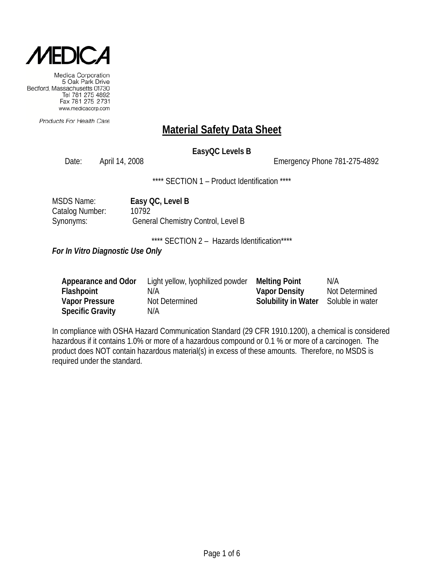

Products For Health Care

### **Material Safety Data Sheet**

### **EasyQC Levels B**

Date: April 14, 2008 **Emergency Phone 781-275-4892** 

\*\*\*\* SECTION 1 - Product Identification \*\*\*\*

| MSDS Name:      | Easy QC, Level B                   |
|-----------------|------------------------------------|
| Catalog Number: | 10792                              |
| Synonyms:       | General Chemistry Control, Level B |

\*\*\*\* SECTION 2 - Hazards Identification\*\*\*\*

*For In Vitro Diagnostic Use Only*

| Appearance and Odor     | Light yellow, lyophilized powder | <b>Melting Point</b>                 | N/A            |
|-------------------------|----------------------------------|--------------------------------------|----------------|
| Flashpoint              | N/A                              | <b>Vapor Density</b>                 | Not Determined |
| <b>Vapor Pressure</b>   | Not Determined                   | Solubility in Water Soluble in water |                |
| <b>Specific Gravity</b> | N/A                              |                                      |                |

In compliance with OSHA Hazard Communication Standard (29 CFR 1910.1200), a chemical is considered hazardous if it contains 1.0% or more of a hazardous compound or 0.1 % or more of a carcinogen. The product does NOT contain hazardous material(s) in excess of these amounts. Therefore, no MSDS is required under the standard.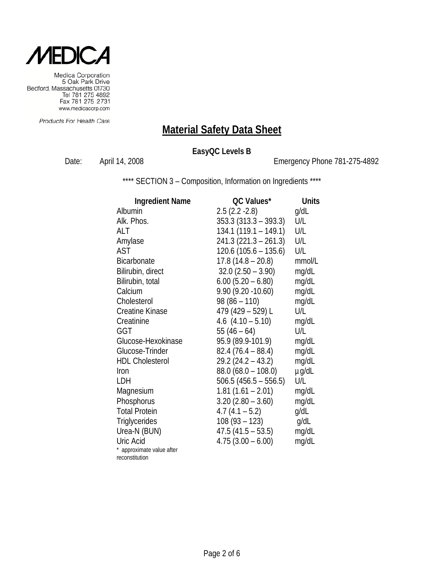

Medica Corporation<br>5 Oak Park Drive Bedford, Massachusetts 01730 Tel 781 275 4892<br>Tel 781 275 4892<br>Fax 781 275 2731 www.medicacorp.com

Products For Health Care

# **Material Safety Data Sheet**

### **EasyQC Levels B**

Date: April 14, 2008 **Emergency Phone 781-275-4892** 

\*\*\*\* SECTION 3 - Composition, Information on Ingredients \*\*\*\*

| <b>Ingredient Name</b>                      | QC Values*              | <b>Units</b> |
|---------------------------------------------|-------------------------|--------------|
| Albumin                                     | $2.5(2.2 - 2.8)$        | g/dL         |
| Alk. Phos.                                  | $353.3 (313.3 - 393.3)$ | U/L          |
| ALT                                         | $134.1(119.1 - 149.1)$  | U/L          |
| Amylase                                     | $241.3(221.3 - 261.3)$  | U/L          |
| <b>AST</b>                                  | $120.6(105.6 - 135.6)$  | U/L          |
| <b>Bicarbonate</b>                          | $17.8(14.8 - 20.8)$     | mmol/L       |
| Bilirubin, direct                           | $32.0$ $(2.50 - 3.90)$  | mg/dL        |
| Bilirubin, total                            | $6.00$ (5.20 – 6.80)    | mg/dL        |
| Calcium                                     | $9.90(9.20 - 10.60)$    | mg/dL        |
| Cholesterol                                 | $98(86 - 110)$          | mg/dL        |
| <b>Creatine Kinase</b>                      | 479 (429 - 529) L       | U/L          |
| Creatinine                                  | 4.6 $(4.10 - 5.10)$     | mg/dL        |
| GGT                                         | $55(46-64)$             | U/L          |
| Glucose-Hexokinase                          | 95.9 (89.9-101.9)       | mg/dL        |
| Glucose-Trinder                             | $82.4(76.4-88.4)$       | mg/dL        |
| <b>HDL Cholesterol</b>                      | $29.2(24.2 - 43.2)$     | mg/dL        |
| Iron                                        | $88.0 (68.0 - 108.0)$   | $\mu$ g/dL   |
| LDH                                         | $506.5(456.5 - 556.5)$  | U/L          |
| Magnesium                                   | $1.81(1.61 - 2.01)$     | mg/dL        |
| Phosphorus                                  | $3.20(2.80 - 3.60)$     | mg/dL        |
| <b>Total Protein</b>                        | $4.7(4.1 - 5.2)$        | g/dL         |
| Triglycerides                               | $108(93 - 123)$         | g/dL         |
| Urea-N (BUN)                                | $47.5(41.5 - 53.5)$     | mg/dL        |
| Uric Acid                                   | $4.75(3.00 - 6.00)$     | mg/dL        |
|                                             |                         |              |
| * approximate value after<br>reconstitution |                         |              |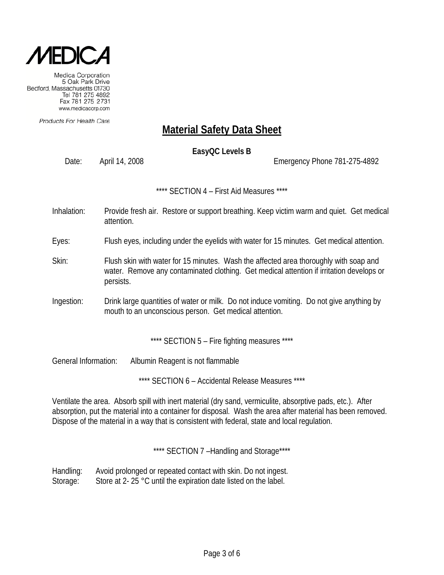

Products For Health Care

# **Material Safety Data Sheet**

**EasyQC Levels B** 

Date: April 14, 2008 Channel 2008 Emergency Phone 781-275-4892

\*\*\*\* SECTION 4 – First Aid Measures \*\*\*\*

- Inhalation: Provide fresh air. Restore or support breathing. Keep victim warm and quiet. Get medical attention.
- Eyes: Flush eyes, including under the eyelids with water for 15 minutes. Get medical attention.
- Skin: Flush skin with water for 15 minutes. Wash the affected area thoroughly with soap and water. Remove any contaminated clothing. Get medical attention if irritation develops or persists.
- Ingestion: Drink large quantities of water or milk. Do not induce vomiting. Do not give anything by mouth to an unconscious person. Get medical attention.

\*\*\*\* SECTION 5 - Fire fighting measures \*\*\*\*

General Information: Albumin Reagent is not flammable

\*\*\*\* SECTION 6 – Accidental Release Measures \*\*\*\*

Ventilate the area. Absorb spill with inert material (dry sand, vermiculite, absorptive pads, etc.). After absorption, put the material into a container for disposal. Wash the area after material has been removed. Dispose of the material in a way that is consistent with federal, state and local regulation.

\*\*\*\* SECTION 7-Handling and Storage\*\*\*\*

Handling: Avoid prolonged or repeated contact with skin. Do not ingest. Storage: Store at 2- 25 °C until the expiration date listed on the label.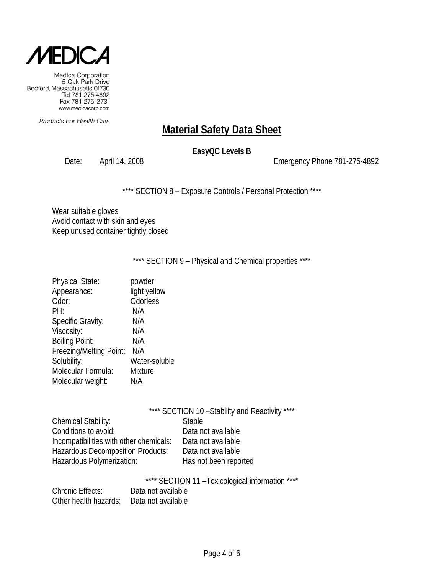

Products For Health Care

# **Material Safety Data Sheet**

### **EasyQC Levels B**

Date: April 14, 2008 Emergency Phone 781-275-4892

\*\*\*\* SECTION 8 - Exposure Controls / Personal Protection \*\*\*\*

Wear suitable gloves Avoid contact with skin and eyes Keep unused container tightly closed

\*\*\*\* SECTION 9 - Physical and Chemical properties \*\*\*\*

| <b>Physical State:</b>   | powder         |
|--------------------------|----------------|
| Appearance:              | light yellow   |
| Odor:                    | Odorless       |
| PH:                      | N/A            |
| <b>Specific Gravity:</b> | N/A            |
| Viscosity:               | N/A            |
| <b>Boiling Point:</b>    | N/A            |
| Freezing/Melting Point:  | N/A            |
| Solubility:              | Water-soluble  |
| Molecular Formula:       | <b>Mixture</b> |
| Molecular weight:        | N/A            |
|                          |                |

\*\*\*\* SECTION 10-Stability and Reactivity \*\*\*\*

| <b>Stable</b>         |
|-----------------------|
| Data not available    |
| Data not available    |
| Data not available    |
| Has not been reported |
|                       |

\*\*\*\* SECTION 11 - Toxicological information \*\*\*\*

| <b>Chronic Effects:</b> | Data not available |
|-------------------------|--------------------|
| Other health hazards:   | Data not available |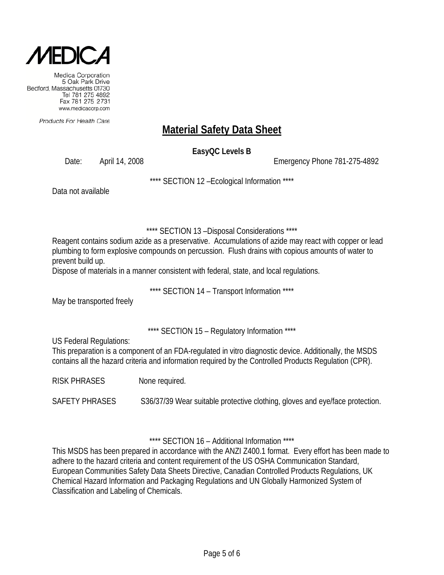

Products For Health Care

# **Material Safety Data Sheet**

**EasyQC Levels B** 

Date: April 14, 2008 Channel 2008 Emergency Phone 781-275-4892

\*\*\*\* SECTION 12 –Ecological Information \*\*\*\*

Data not available

\*\*\*\* SECTION 13 –Disposal Considerations \*\*\*\*

Reagent contains sodium azide as a preservative. Accumulations of azide may react with copper or lead plumbing to form explosive compounds on percussion. Flush drains with copious amounts of water to prevent build up.

Dispose of materials in a manner consistent with federal, state, and local regulations.

\*\*\*\* SECTION 14 – Transport Information \*\*\*\*

May be transported freely

\*\*\*\* SECTION 15 – Regulatory Information \*\*\*\*

US Federal Regulations:

This preparation is a component of an FDA-regulated in vitro diagnostic device. Additionally, the MSDS contains all the hazard criteria and information required by the Controlled Products Regulation (CPR).

RISK PHRASES None required.

SAFETY PHRASES S36/37/39 Wear suitable protective clothing, gloves and eye/face protection.

\*\*\*\* SECTION 16 – Additional Information \*\*\*\*

This MSDS has been prepared in accordance with the ANZI Z400.1 format. Every effort has been made to adhere to the hazard criteria and content requirement of the US OSHA Communication Standard, European Communities Safety Data Sheets Directive, Canadian Controlled Products Regulations, UK Chemical Hazard Information and Packaging Regulations and UN Globally Harmonized System of Classification and Labeling of Chemicals.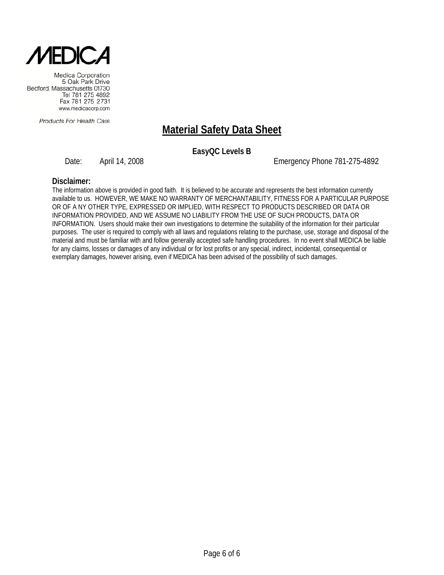

Products For Health Care

# **Material Safety Data Sheet**

**EasyQC Levels B** 

Date: April 14, 2008 Channel 2008 Emergency Phone 781-275-4892

#### **Disclaimer:**

The information above is provided in good faith. It is believed to be accurate and represents the best information currently available to us. HOWEVER, WE MAKE NO WARRANTY OF MERCHANTABILITY, FITNESS FOR A PARTICULAR PURPOSE OR OF A NY OTHER TYPE, EXPRESSED OR IMPLIED, WITH RESPECT TO PRODUCTS DESCRIBED OR DATA OR INFORMATION PROVIDED, AND WE ASSUME NO LIABILITY FROM THE USE OF SUCH PRODUCTS, DATA OR INFORMATION. Users should make their own investigations to determine the suitability of the information for their particular purposes. The user is required to comply with all laws and regulations relating to the purchase, use, storage and disposal of the material and must be familiar with and follow generally accepted safe handling procedures. In no event shall MEDICA be liable for any claims, losses or damages of any individual or for lost profits or any special, indirect, incidental, consequential or exemplary damages, however arising, even if MEDICA has been advised of the possibility of such damages.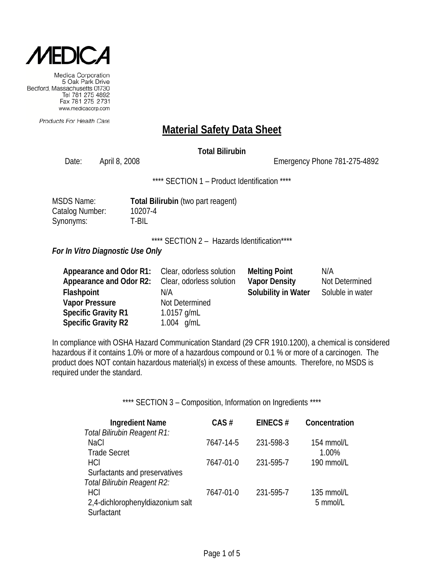

Products For Health Care

### **Material Safety Data Sheet**

### **Total Bilirubin**

Date: April 8, 2008 Channel Controller Emergency Phone 781-275-4892

\*\*\*\* SECTION 1 - Product Identification \*\*\*\*

| <b>MSDS Name:</b> | <b>Total Bi</b> |
|-------------------|-----------------|
| Catalog Number:   | 10207-4         |
| Synonyms:         | T-BIL           |

**Bilirubin** (two part reagent)

\*\*\*\* SECTION 2 - Hazards Identification\*\*\*\*

#### *For In Vitro Diagnostic Use Only*

| Appearance and Odor R1:        | Clear, odorless solution | <b>Melting Point</b>       | N/A              |
|--------------------------------|--------------------------|----------------------------|------------------|
| <b>Appearance and Odor R2:</b> | Clear, odorless solution | <b>Vapor Density</b>       | Not Determined   |
| Flashpoint                     | N/A                      | <b>Solubility in Water</b> | Soluble in water |
| <b>Vapor Pressure</b>          | Not Determined           |                            |                  |
| <b>Specific Gravity R1</b>     | 1.0157 g/mL              |                            |                  |
| <b>Specific Gravity R2</b>     | 1.004 $q/mL$             |                            |                  |

In compliance with OSHA Hazard Communication Standard (29 CFR 1910.1200), a chemical is considered hazardous if it contains 1.0% or more of a hazardous compound or 0.1 % or more of a carcinogen. The product does NOT contain hazardous material(s) in excess of these amounts. Therefore, no MSDS is required under the standard.

| <b>Ingredient Name</b>           | $CAS \#$  | EINECS#   | Concentration |
|----------------------------------|-----------|-----------|---------------|
| Total Bilirubin Reagent R1:      |           |           |               |
| <b>NaCl</b>                      | 7647-14-5 | 231-598-3 | 154 mmol/L    |
| <b>Trade Secret</b>              |           |           | 1.00%         |
| <b>HCI</b>                       | 7647-01-0 | 231-595-7 | 190 mmol/L    |
| Surfactants and preservatives    |           |           |               |
| Total Bilirubin Reagent R2:      |           |           |               |
| HCI                              | 7647-01-0 | 231-595-7 | 135 mmol/L    |
| 2,4-dichlorophenyldiazonium salt |           |           | 5 mmol/L      |
| Surfactant                       |           |           |               |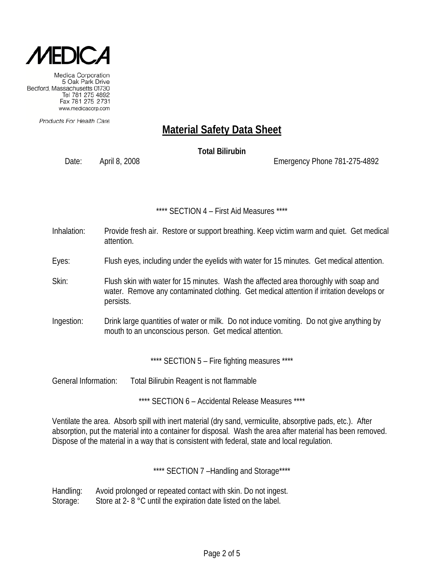

Products For Health Care

# **Material Safety Data Sheet**

**Total Bilirubin**

Date: April 8, 2008 Emergency Phone 781-275-4892

#### \*\*\*\* SECTION 4 – First Aid Measures \*\*\*\*

- Inhalation: Provide fresh air. Restore or support breathing. Keep victim warm and quiet. Get medical attention.
- Eyes: Flush eyes, including under the eyelids with water for 15 minutes. Get medical attention.
- Skin: Flush skin with water for 15 minutes. Wash the affected area thoroughly with soap and water. Remove any contaminated clothing. Get medical attention if irritation develops or persists.
- Ingestion: Drink large quantities of water or milk. Do not induce vomiting. Do not give anything by mouth to an unconscious person. Get medical attention.

\*\*\*\* SECTION 5 - Fire fighting measures \*\*\*\*

General Information: Total Bilirubin Reagent is not flammable

\*\*\*\* SECTION 6 – Accidental Release Measures \*\*\*\*

Ventilate the area. Absorb spill with inert material (dry sand, vermiculite, absorptive pads, etc.). After absorption, put the material into a container for disposal. Wash the area after material has been removed. Dispose of the material in a way that is consistent with federal, state and local regulation.

\*\*\*\* SECTION 7 -Handling and Storage\*\*\*\*

Handling: Avoid prolonged or repeated contact with skin. Do not ingest. Storage: Store at 2- 8 °C until the expiration date listed on the label.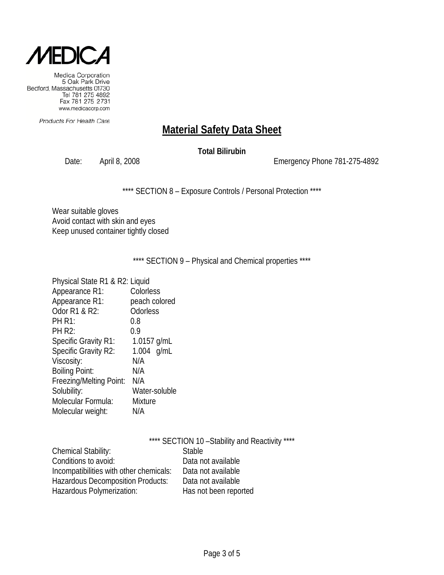

Products For Health Care

### **Material Safety Data Sheet**

### **Total Bilirubin**

Date: April 8, 2008 2008 2008 Emergency Phone 781-275-4892

\*\*\*\* SECTION 8 - Exposure Controls / Personal Protection \*\*\*\*

Wear suitable gloves Avoid contact with skin and eyes Keep unused container tightly closed

\*\*\*\* SECTION 9 - Physical and Chemical properties \*\*\*\*

| Physical State R1 & R2: Liquid |                |
|--------------------------------|----------------|
| Appearance R1:                 | Colorless      |
| Appearance R1:                 | peach colored  |
| Odor R1 & R2:                  | Odorless       |
| <b>PH R1:</b>                  | 0.8            |
| <b>PH R2:</b>                  | 0.9            |
| <b>Specific Gravity R1:</b>    | 1.0157 g/mL    |
| Specific Gravity R2:           | $1.004$ g/mL   |
| Viscosity:                     | N/A            |
| <b>Boiling Point:</b>          | N/A            |
| Freezing/Melting Point:        | N/A            |
| Solubility:                    | Water-soluble  |
| Molecular Formula:             | <b>Mixture</b> |
| Molecular weight:              | N/A            |
|                                |                |

|                                         | **** SECTION 10 - Stability and Reactivity **** |
|-----------------------------------------|-------------------------------------------------|
| <b>Chemical Stability:</b>              | <b>Stable</b>                                   |
| Conditions to avoid:                    | Data not available                              |
| Incompatibilities with other chemicals: | Data not available                              |
| Hazardous Decomposition Products:       | Data not available                              |
| Hazardous Polymerization:               | Has not been reported                           |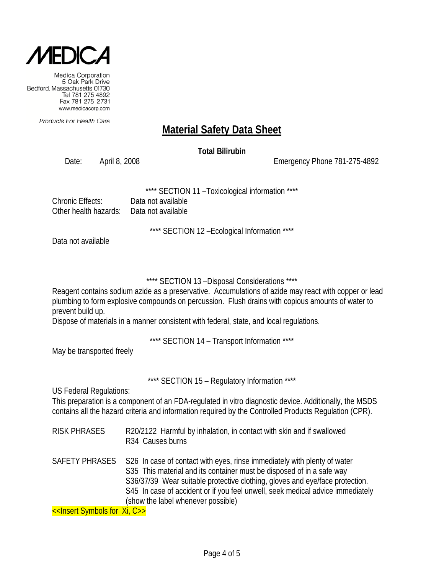

Products For Health Care

## **Material Safety Data Sheet**

**Total Bilirubin**

Date: April 8, 2008 Emergency Phone 781-275-4892

SECTION 11 - Toxicological information \*\*\*\*

| Chronic Effects:                          | Data not available |
|-------------------------------------------|--------------------|
| Other health hazards:  Data not available |                    |

\*\*\*\* SECTION 12 –Ecological Information \*\*\*\*

Data not available

\*\*\*\* SECTION 13 –Disposal Considerations \*\*\*\*

Reagent contains sodium azide as a preservative. Accumulations of azide may react with copper or lead plumbing to form explosive compounds on percussion. Flush drains with copious amounts of water to prevent build up.

Dispose of materials in a manner consistent with federal, state, and local regulations.

\*\*\*\* SECTION 14 – Transport Information \*\*\*\*

May be transported freely

\*\*\*\* SECTION 15 – Regulatory Information \*\*\*\*

US Federal Regulations:

This preparation is a component of an FDA-regulated in vitro diagnostic device. Additionally, the MSDS contains all the hazard criteria and information required by the Controlled Products Regulation (CPR).

- RISK PHRASES R20/2122 Harmful by inhalation, in contact with skin and if swallowed R34 Causes burns
- SAFETY PHRASES S26 In case of contact with eyes, rinse immediately with plenty of water S35 This material and its container must be disposed of in a safe way S36/37/39 Wear suitable protective clothing, gloves and eye/face protection. S45 In case of accident or if you feel unwell, seek medical advice immediately (show the label whenever possible)

<<Insert Symbols for Xi, C>>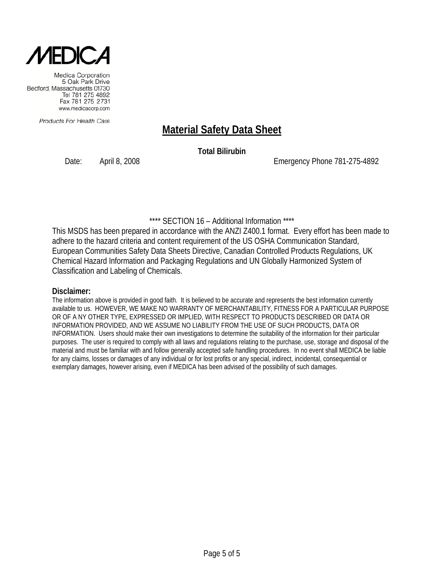

Products For Health Care

### **Material Safety Data Sheet**

**Total Bilirubin**

Date: April 8, 2008 Emergency Phone 781-275-4892

### \*\*\*\* SECTION 16 – Additional Information \*\*\*\*

This MSDS has been prepared in accordance with the ANZI Z400.1 format. Every effort has been made to adhere to the hazard criteria and content requirement of the US OSHA Communication Standard, European Communities Safety Data Sheets Directive, Canadian Controlled Products Regulations, UK Chemical Hazard Information and Packaging Regulations and UN Globally Harmonized System of Classification and Labeling of Chemicals.

#### **Disclaimer:**

The information above is provided in good faith. It is believed to be accurate and represents the best information currently available to us. HOWEVER, WE MAKE NO WARRANTY OF MERCHANTABILITY, FITNESS FOR A PARTICULAR PURPOSE OR OF A NY OTHER TYPE, EXPRESSED OR IMPLIED, WITH RESPECT TO PRODUCTS DESCRIBED OR DATA OR INFORMATION PROVIDED, AND WE ASSUME NO LIABILITY FROM THE USE OF SUCH PRODUCTS, DATA OR INFORMATION. Users should make their own investigations to determine the suitability of the information for their particular purposes. The user is required to comply with all laws and regulations relating to the purchase, use, storage and disposal of the material and must be familiar with and follow generally accepted safe handling procedures. In no event shall MEDICA be liable for any claims, losses or damages of any individual or for lost profits or any special, indirect, incidental, consequential or exemplary damages, however arising, even if MEDICA has been advised of the possibility of such damages.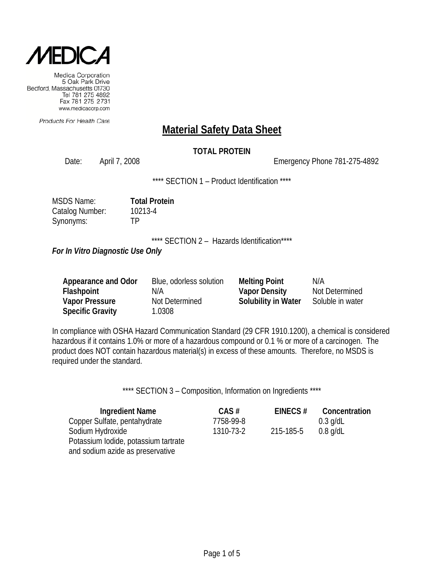

Products For Health Care

### **Material Safety Data Sheet**

### **TOTAL PROTEIN**

Date: April 7, 2008 Emergency Phone 781-275-4892

\*\*\*\* SECTION 1 – Product Identification \*\*\*\*

| <b>MSDS Name:</b> | <b>Total Protein</b> |
|-------------------|----------------------|
| Catalog Number:   | 10213-4              |
| Synonyms:         | ТP                   |

\*\*\*\* SECTION 2 - Hazards Identification\*\*\*\*

*For In Vitro Diagnostic Use Only*

| Appearance and Odor     | Blue, odorless solution | <b>Melting Point</b> | N/A              |
|-------------------------|-------------------------|----------------------|------------------|
| Flashpoint              | N/A                     | <b>Vapor Density</b> | Not Determined   |
| <b>Vapor Pressure</b>   | Not Determined          | Solubility in Water  | Soluble in water |
| <b>Specific Gravity</b> | 1.0308                  |                      |                  |

In compliance with OSHA Hazard Communication Standard (29 CFR 1910.1200), a chemical is considered hazardous if it contains 1.0% or more of a hazardous compound or 0.1 % or more of a carcinogen. The product does NOT contain hazardous material(s) in excess of these amounts. Therefore, no MSDS is required under the standard.

| <b>Ingredient Name</b>               | $CAS \#$  | EINECS $#$ | Concentration |
|--------------------------------------|-----------|------------|---------------|
| Copper Sulfate, pentahydrate         | 7758-99-8 |            | $0.3$ g/dL    |
| Sodium Hydroxide                     | 1310-73-2 | 215-185-5  | $0.8$ g/dL    |
| Potassium lodide, potassium tartrate |           |            |               |
| and sodium azide as preservative     |           |            |               |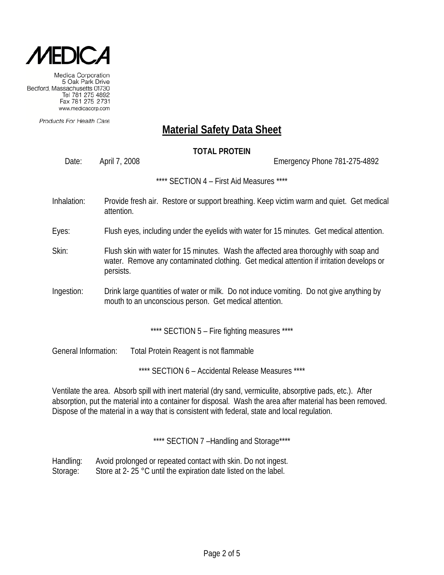

Products For Health Care

### **Material Safety Data Sheet**

### **TOTAL PROTEIN**

Date: April 7, 2008 Emergency Phone 781-275-4892

\*\*\*\* SECTION 4 – First Aid Measures \*\*\*\*

- Inhalation: Provide fresh air. Restore or support breathing. Keep victim warm and quiet. Get medical attention.
- Eyes: Flush eyes, including under the eyelids with water for 15 minutes. Get medical attention.
- Skin: Flush skin with water for 15 minutes. Wash the affected area thoroughly with soap and water. Remove any contaminated clothing. Get medical attention if irritation develops or persists.
- Ingestion: Drink large quantities of water or milk. Do not induce vomiting. Do not give anything by mouth to an unconscious person. Get medical attention.

\*\*\*\* SECTION 5 - Fire fighting measures \*\*\*\*

General Information: Total Protein Reagent is not flammable

\*\*\*\* SECTION 6 – Accidental Release Measures \*\*\*\*

Ventilate the area. Absorb spill with inert material (dry sand, vermiculite, absorptive pads, etc.). After absorption, put the material into a container for disposal. Wash the area after material has been removed. Dispose of the material in a way that is consistent with federal, state and local regulation.

\*\*\*\* SECTION 7 -Handling and Storage\*\*\*\*

Handling: Avoid prolonged or repeated contact with skin. Do not ingest. Storage: Store at 2- 25 °C until the expiration date listed on the label.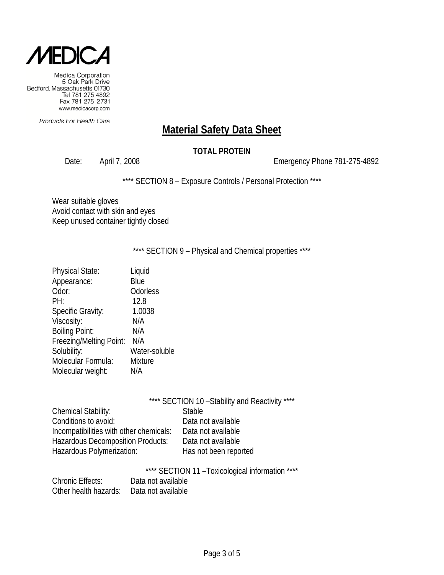

Products For Health Care

## **Material Safety Data Sheet**

### **TOTAL PROTEIN**

Date: April 7, 2008 2008 2009 2010 Emergency Phone 781-275-4892

\*\*\*\* SECTION 8 - Exposure Controls / Personal Protection \*\*\*\*

Wear suitable gloves Avoid contact with skin and eyes Keep unused container tightly closed

\*\*\*\* SECTION 9 - Physical and Chemical properties \*\*\*\*

| <b>Physical State:</b>   | Liquid        |
|--------------------------|---------------|
| Appearance:              | Blue          |
| Odor:                    | Odorless      |
| PH:                      | 12.8          |
| <b>Specific Gravity:</b> | 1.0038        |
| Viscosity:               | N/A           |
| <b>Boiling Point:</b>    | N/A           |
| Freezing/Melting Point:  | N/A           |
| Solubility:              | Water-soluble |
| Molecular Formula:       | Mixture       |
| Molecular weight:        | N/A           |
|                          |               |

| **** SECTION 10 - Stability and Reactivity ****                |
|----------------------------------------------------------------|
| <b>Stable</b>                                                  |
| Data not available                                             |
| Incompatibilities with other chemicals:<br>Data not available  |
| <b>Hazardous Decomposition Products:</b><br>Data not available |
| Has not been reported                                          |
|                                                                |

\*\*\*\* SECTION 11 –Toxicological information \*\*\*\*

| <b>Chronic Effects:</b>                  | Data not available |
|------------------------------------------|--------------------|
| Other health hazards: Data not available |                    |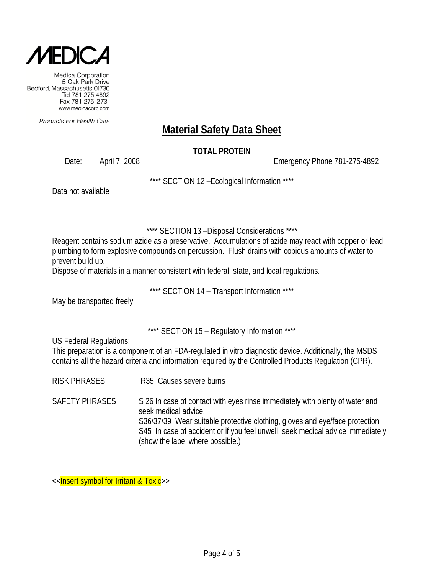

Products For Health Care

# **Material Safety Data Sheet**

### **TOTAL PROTEIN**

Date: April 7, 2008 Emergency Phone 781-275-4892

\*\*\*\* SECTION 12 –Ecological Information \*\*\*\*

Data not available

\*\*\*\* SECTION 13 –Disposal Considerations \*\*\*\*

Reagent contains sodium azide as a preservative. Accumulations of azide may react with copper or lead plumbing to form explosive compounds on percussion. Flush drains with copious amounts of water to prevent build up.

Dispose of materials in a manner consistent with federal, state, and local regulations.

\*\*\*\* SECTION 14 – Transport Information \*\*\*\*

May be transported freely

\*\*\*\* SECTION 15 – Regulatory Information \*\*\*\*

US Federal Regulations:

This preparation is a component of an FDA-regulated in vitro diagnostic device. Additionally, the MSDS contains all the hazard criteria and information required by the Controlled Products Regulation (CPR).

- RISK PHRASES R35 Causes severe burns
- SAFETY PHRASES S 26 In case of contact with eyes rinse immediately with plenty of water and seek medical advice. S36/37/39 Wear suitable protective clothing, gloves and eye/face protection. S45 In case of accident or if you feel unwell, seek medical advice immediately (show the label where possible.)

<<**Insert symbol for Irritant & Toxic**>>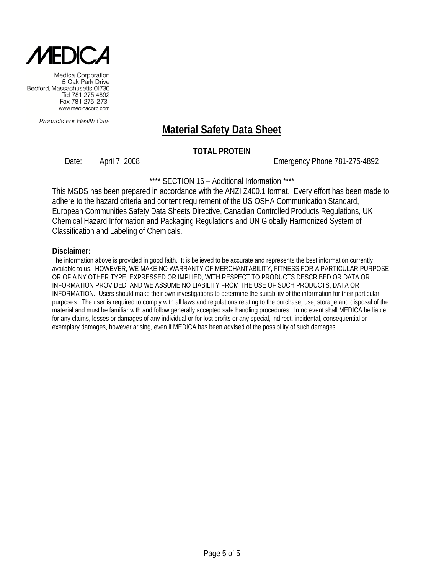

Products For Health Care

### **Material Safety Data Sheet**

#### **TOTAL PROTEIN**

Date: April 7, 2008 Emergency Phone 781-275-4892

\*\*\*\* SECTION 16 - Additional Information \*\*\*\*

This MSDS has been prepared in accordance with the ANZI Z400.1 format. Every effort has been made to adhere to the hazard criteria and content requirement of the US OSHA Communication Standard, European Communities Safety Data Sheets Directive, Canadian Controlled Products Regulations, UK Chemical Hazard Information and Packaging Regulations and UN Globally Harmonized System of Classification and Labeling of Chemicals.

#### **Disclaimer:**

The information above is provided in good faith. It is believed to be accurate and represents the best information currently available to us. HOWEVER, WE MAKE NO WARRANTY OF MERCHANTABILITY, FITNESS FOR A PARTICULAR PURPOSE OR OF A NY OTHER TYPE, EXPRESSED OR IMPLIED, WITH RESPECT TO PRODUCTS DESCRIBED OR DATA OR INFORMATION PROVIDED, AND WE ASSUME NO LIABILITY FROM THE USE OF SUCH PRODUCTS, DATA OR INFORMATION. Users should make their own investigations to determine the suitability of the information for their particular purposes. The user is required to comply with all laws and regulations relating to the purchase, use, storage and disposal of the material and must be familiar with and follow generally accepted safe handling procedures. In no event shall MEDICA be liable for any claims, losses or damages of any individual or for lost profits or any special, indirect, incidental, consequential or exemplary damages, however arising, even if MEDICA has been advised of the possibility of such damages.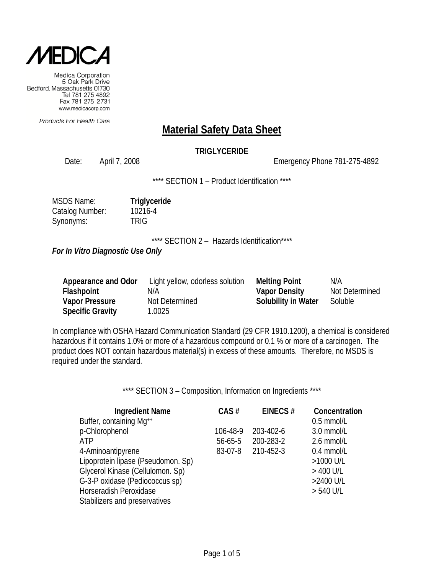

Products For Health Care

### **Material Safety Data Sheet**

### **TRIGLYCERIDE**

Date: April 7, 2008 Emergency Phone 781-275-4892

\*\*\*\* SECTION 1 - Product Identification \*\*\*\*

| <b>MSDS Name:</b> | Triglyceride |
|-------------------|--------------|
| Catalog Number:   | 10216-4      |
| Synonyms:         | <b>TRIG</b>  |

\*\*\*\* SECTION 2 - Hazards Identification\*\*\*\*

*For In Vitro Diagnostic Use Only*

| Appearance and Odor     | Light yellow, odorless solution | <b>Melting Point</b>       | N/A            |
|-------------------------|---------------------------------|----------------------------|----------------|
| Flashpoint              | N/A                             | <b>Vapor Density</b>       | Not Determined |
| <b>Vapor Pressure</b>   | Not Determined                  | <b>Solubility in Water</b> | Soluble        |
| <b>Specific Gravity</b> | 1.0025                          |                            |                |

In compliance with OSHA Hazard Communication Standard (29 CFR 1910.1200), a chemical is considered hazardous if it contains 1.0% or more of a hazardous compound or 0.1 % or more of a carcinogen. The product does NOT contain hazardous material(s) in excess of these amounts. Therefore, no MSDS is required under the standard.

| <b>Ingredient Name</b>             | CAS#          | EINECS#   | Concentration |
|------------------------------------|---------------|-----------|---------------|
| Buffer, containing Mg++            |               |           | $0.5$ mmol/L  |
| p-Chlorophenol                     | 106-48-9      | 203-402-6 | 3.0 mmol/L    |
| ATP                                | $56 - 65 - 5$ | 200-283-2 | 2.6 mmol/L    |
| 4-Aminoantipyrene                  | 83-07-8       | 210-452-3 | $0.4$ mmol/L  |
| Lipoprotein lipase (Pseudomon. Sp) |               |           | >1000 U/L     |
| Glycerol Kinase (Cellulomon. Sp)   |               |           | $>$ 400 U/L   |
| G-3-P oxidase (Pediococcus sp)     |               |           | >2400 U/L     |
| Horseradish Peroxidase             |               |           | $> 540$ U/L   |
| Stabilizers and preservatives      |               |           |               |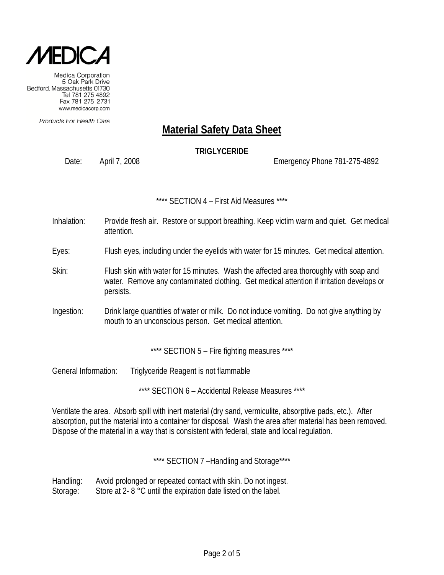

Products For Health Care

## **Material Safety Data Sheet**

### **TRIGLYCERIDE**

Date: April 7, 2008 Emergency Phone 781-275-4892

\*\*\*\* SECTION 4 – First Aid Measures \*\*\*\*

- Inhalation: Provide fresh air. Restore or support breathing. Keep victim warm and quiet. Get medical attention.
- Eyes: Flush eyes, including under the eyelids with water for 15 minutes. Get medical attention.
- Skin: Flush skin with water for 15 minutes. Wash the affected area thoroughly with soap and water. Remove any contaminated clothing. Get medical attention if irritation develops or persists.
- Ingestion: Drink large quantities of water or milk. Do not induce vomiting. Do not give anything by mouth to an unconscious person. Get medical attention.

\*\*\*\* SECTION 5 - Fire fighting measures \*\*\*\*

General Information: Triglyceride Reagent is not flammable

\*\*\*\* SECTION 6 – Accidental Release Measures \*\*\*\*

Ventilate the area. Absorb spill with inert material (dry sand, vermiculite, absorptive pads, etc.). After absorption, put the material into a container for disposal. Wash the area after material has been removed. Dispose of the material in a way that is consistent with federal, state and local regulation.

\*\*\*\* SECTION 7-Handling and Storage\*\*\*\*

Handling: Avoid prolonged or repeated contact with skin. Do not ingest. Storage: Store at 2- 8 °C until the expiration date listed on the label.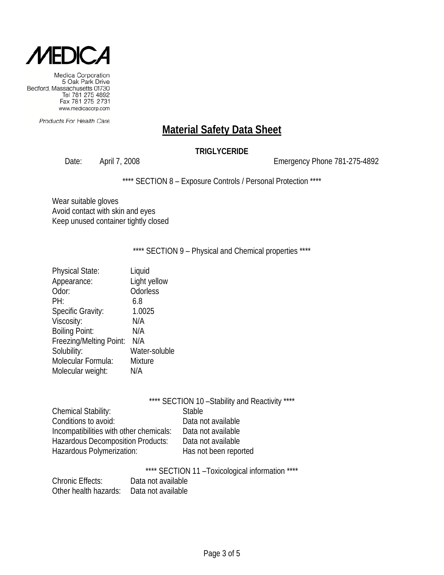

Products For Health Care

## **Material Safety Data Sheet**

### **TRIGLYCERIDE**

Date: April 7, 2008 2008 2009 2010 Emergency Phone 781-275-4892

\*\*\*\* SECTION 8 - Exposure Controls / Personal Protection \*\*\*\*

Wear suitable gloves Avoid contact with skin and eyes Keep unused container tightly closed

\*\*\*\* SECTION 9 - Physical and Chemical properties \*\*\*\*

| <b>Physical State:</b>   | Liquid        |
|--------------------------|---------------|
| Appearance:              | Light yellow  |
| Odor:                    | Odorless      |
| PH:                      | 6.8           |
| <b>Specific Gravity:</b> | 1.0025        |
| Viscosity:               | N/A           |
| <b>Boiling Point:</b>    | N/A           |
| Freezing/Melting Point:  | N/A           |
| Solubility:              | Water-soluble |
| Molecular Formula:       | Mixture       |
| Molecular weight:        | N/A           |

|                                          | **** SECTION 10 - Stability and Reactivity **** |
|------------------------------------------|-------------------------------------------------|
| Chemical Stability:                      | <b>Stable</b>                                   |
| Conditions to avoid:                     | Data not available                              |
| Incompatibilities with other chemicals:  | Data not available                              |
| <b>Hazardous Decomposition Products:</b> | Data not available                              |
| Hazardous Polymerization:                | Has not been reported                           |
|                                          |                                                 |

\*\*\*\* SECTION 11 –Toxicological information \*\*\*\*

| <b>Chronic Effects:</b> | Data not available |
|-------------------------|--------------------|
| Other health hazards:   | Data not available |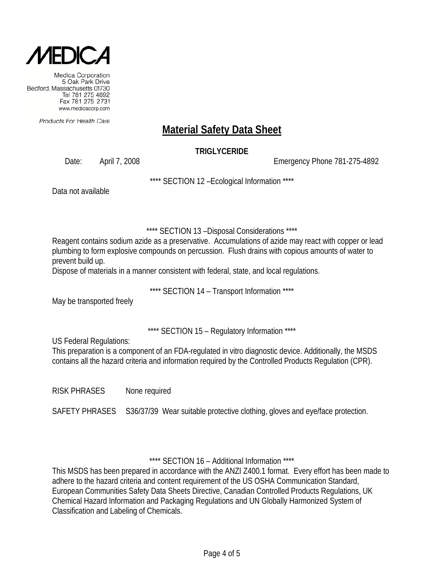

Products For Health Care

# **Material Safety Data Sheet**

**TRIGLYCERIDE**

Date: April 7, 2008 Emergency Phone 781-275-4892

\*\*\*\* SECTION 12 –Ecological Information \*\*\*\*

Data not available

\*\*\*\* SECTION 13 –Disposal Considerations \*\*\*\*

Reagent contains sodium azide as a preservative. Accumulations of azide may react with copper or lead plumbing to form explosive compounds on percussion. Flush drains with copious amounts of water to prevent build up.

Dispose of materials in a manner consistent with federal, state, and local regulations.

\*\*\*\* SECTION 14 – Transport Information \*\*\*\*

May be transported freely

\*\*\*\* SECTION 15 – Regulatory Information \*\*\*\*

US Federal Regulations:

This preparation is a component of an FDA-regulated in vitro diagnostic device. Additionally, the MSDS contains all the hazard criteria and information required by the Controlled Products Regulation (CPR).

RISK PHRASES None required

SAFETY PHRASES S36/37/39 Wear suitable protective clothing, gloves and eye/face protection.

\*\*\*\* SECTION 16 – Additional Information \*\*\*\*

This MSDS has been prepared in accordance with the ANZI Z400.1 format. Every effort has been made to adhere to the hazard criteria and content requirement of the US OSHA Communication Standard, European Communities Safety Data Sheets Directive, Canadian Controlled Products Regulations, UK Chemical Hazard Information and Packaging Regulations and UN Globally Harmonized System of Classification and Labeling of Chemicals.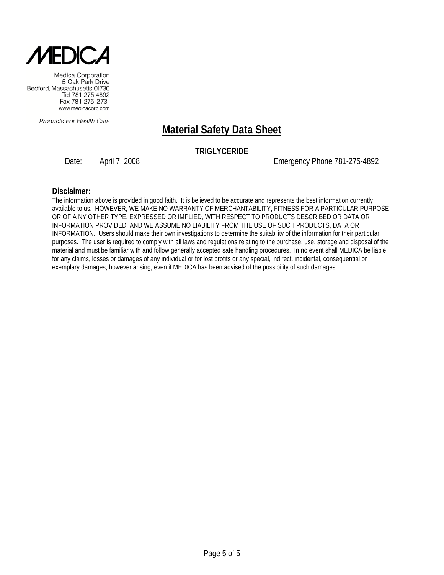

Products For Health Care

## **Material Safety Data Sheet**

#### **TRIGLYCERIDE**

Date: April 7, 2008 2008 2009 Emergency Phone 781-275-4892

#### **Disclaimer:**

The information above is provided in good faith. It is believed to be accurate and represents the best information currently available to us. HOWEVER, WE MAKE NO WARRANTY OF MERCHANTABILITY, FITNESS FOR A PARTICULAR PURPOSE OR OF A NY OTHER TYPE, EXPRESSED OR IMPLIED, WITH RESPECT TO PRODUCTS DESCRIBED OR DATA OR INFORMATION PROVIDED, AND WE ASSUME NO LIABILITY FROM THE USE OF SUCH PRODUCTS, DATA OR INFORMATION. Users should make their own investigations to determine the suitability of the information for their particular purposes. The user is required to comply with all laws and regulations relating to the purchase, use, storage and disposal of the material and must be familiar with and follow generally accepted safe handling procedures. In no event shall MEDICA be liable for any claims, losses or damages of any individual or for lost profits or any special, indirect, incidental, consequential or exemplary damages, however arising, even if MEDICA has been advised of the possibility of such damages.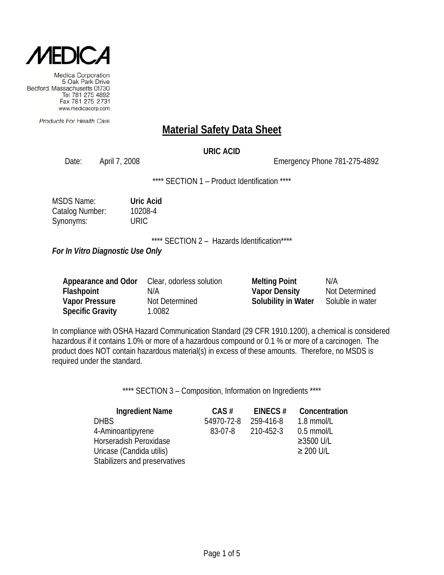

Products For Health Care

### **Material Safety Data Sheet**

#### **URIC ACID**

Date: April 7, 2008 Emergency Phone 781-275-4892

\*\*\*\* SECTION 1 - Product Identification \*\*\*\*

| <b>MSDS Name:</b> | <b>Uric Acid</b> |
|-------------------|------------------|
| Catalog Number:   | 10208-4          |
| Synonyms:         | URIC             |

\*\*\*\* SECTION 2 - Hazards Identification\*\*\*\*

*For In Vitro Diagnostic Use Only*

| Appearance and Odor     | Clear, odorless solution | <b>Melting Point</b>       | N/A              |
|-------------------------|--------------------------|----------------------------|------------------|
| Flashpoint              | N/A                      | <b>Vapor Density</b>       | Not Determined   |
| <b>Vapor Pressure</b>   | Not Determined           | <b>Solubility in Water</b> | Soluble in water |
| <b>Specific Gravity</b> | 1.0082                   |                            |                  |

In compliance with OSHA Hazard Communication Standard (29 CFR 1910.1200), a chemical is considered hazardous if it contains 1.0% or more of a hazardous compound or 0.1 % or more of a carcinogen. The product does NOT contain hazardous material(s) in excess of these amounts. Therefore, no MSDS is required under the standard.

| <b>Ingredient Name</b>        | $CAS \#$   | EINECS $#$ | Concentration  |
|-------------------------------|------------|------------|----------------|
| <b>DHBS</b>                   | 54970-72-8 | 259-416-8  | 1.8 mmol/L     |
| 4-Aminoantipyrene             | 83-07-8    | 210-452-3  | $0.5$ mmol/L   |
| Horseradish Peroxidase        |            |            | ≥3500 U/L      |
| Uricase (Candida utilis)      |            |            | $\geq$ 200 U/L |
| Stabilizers and preservatives |            |            |                |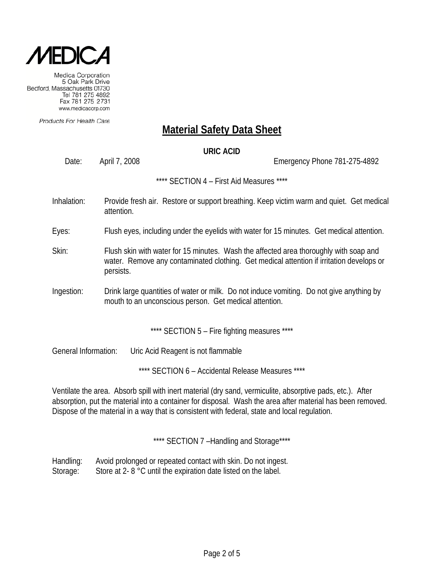

Products For Health Care

### **Material Safety Data Sheet**

#### **URIC ACID**

Date: April 7, 2008 Emergency Phone 781-275-4892

\*\*\*\* SECTION 4 – First Aid Measures \*\*\*\*

- Inhalation: Provide fresh air. Restore or support breathing. Keep victim warm and quiet. Get medical attention.
- Eyes: Flush eyes, including under the eyelids with water for 15 minutes. Get medical attention.
- Skin: Flush skin with water for 15 minutes. Wash the affected area thoroughly with soap and water. Remove any contaminated clothing. Get medical attention if irritation develops or persists.
- Ingestion: Drink large quantities of water or milk. Do not induce vomiting. Do not give anything by mouth to an unconscious person. Get medical attention.

\*\*\*\* SECTION 5 - Fire fighting measures \*\*\*\*

General Information: Uric Acid Reagent is not flammable

\*\*\*\* SECTION 6 – Accidental Release Measures \*\*\*\*

Ventilate the area. Absorb spill with inert material (dry sand, vermiculite, absorptive pads, etc.). After absorption, put the material into a container for disposal. Wash the area after material has been removed. Dispose of the material in a way that is consistent with federal, state and local regulation.

\*\*\*\* SECTION 7 -Handling and Storage\*\*\*\*

Handling: Avoid prolonged or repeated contact with skin. Do not ingest. Storage: Store at 2- 8 °C until the expiration date listed on the label.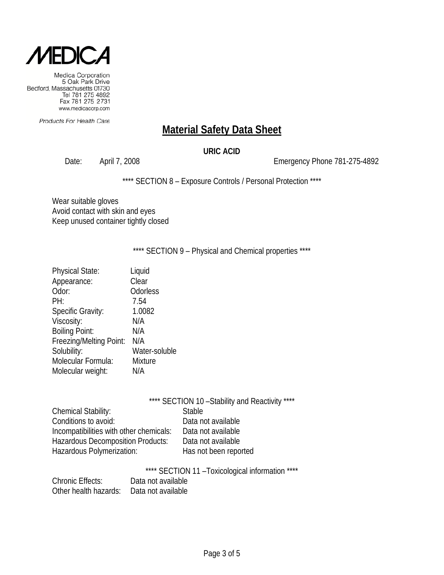

Products For Health Care

## **Material Safety Data Sheet**

#### **URIC ACID**

Date: April 7, 2008 2008 2009 2010 Emergency Phone 781-275-4892

\*\*\*\* SECTION 8 - Exposure Controls / Personal Protection \*\*\*\*

Wear suitable gloves Avoid contact with skin and eyes Keep unused container tightly closed

\*\*\*\* SECTION 9 - Physical and Chemical properties \*\*\*\*

| <b>Physical State:</b>   | Liquid         |
|--------------------------|----------------|
| Appearance:              | Clear          |
| Odor:                    | Odorless       |
| PH:                      | 7.54           |
| <b>Specific Gravity:</b> | 1.0082         |
| Viscosity:               | N/A            |
| <b>Boiling Point:</b>    | N/A            |
| Freezing/Melting Point:  | N/A            |
| Solubility:              | Water-soluble  |
| Molecular Formula:       | <b>Mixture</b> |
| Molecular weight:        | N/A            |
|                          |                |

|                                          | **** SECTION 10 - Stability and Reactivity **** |
|------------------------------------------|-------------------------------------------------|
| Chemical Stability:                      | <b>Stable</b>                                   |
| Conditions to avoid:                     | Data not available                              |
| Incompatibilities with other chemicals:  | Data not available                              |
| <b>Hazardous Decomposition Products:</b> | Data not available                              |
| Hazardous Polymerization:                | Has not been reported                           |
|                                          |                                                 |

\*\*\*\* SECTION 11 –Toxicological information \*\*\*\*

| <b>Chronic Effects:</b> | Data not available |
|-------------------------|--------------------|
| Other health hazards:   | Data not available |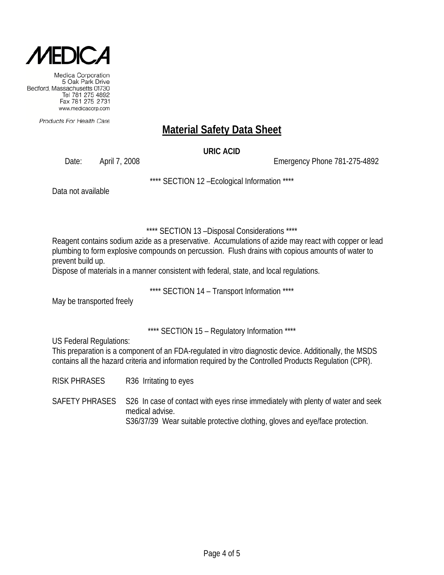

Products For Health Care

# **Material Safety Data Sheet**

**URIC ACID**

Date: April 7, 2008 Emergency Phone 781-275-4892

\*\*\*\* SECTION 12 –Ecological Information \*\*\*\*

Data not available

\*\*\*\* SECTION 13 –Disposal Considerations \*\*\*\*

Reagent contains sodium azide as a preservative. Accumulations of azide may react with copper or lead plumbing to form explosive compounds on percussion. Flush drains with copious amounts of water to prevent build up.

Dispose of materials in a manner consistent with federal, state, and local regulations.

\*\*\*\* SECTION 14 – Transport Information \*\*\*\*

May be transported freely

\*\*\*\* SECTION 15 – Regulatory Information \*\*\*\*

US Federal Regulations:

This preparation is a component of an FDA-regulated in vitro diagnostic device. Additionally, the MSDS contains all the hazard criteria and information required by the Controlled Products Regulation (CPR).

RISK PHRASES R36 Irritating to eyes

SAFETY PHRASES S26 In case of contact with eyes rinse immediately with plenty of water and seek medical advise. S36/37/39 Wear suitable protective clothing, gloves and eye/face protection.